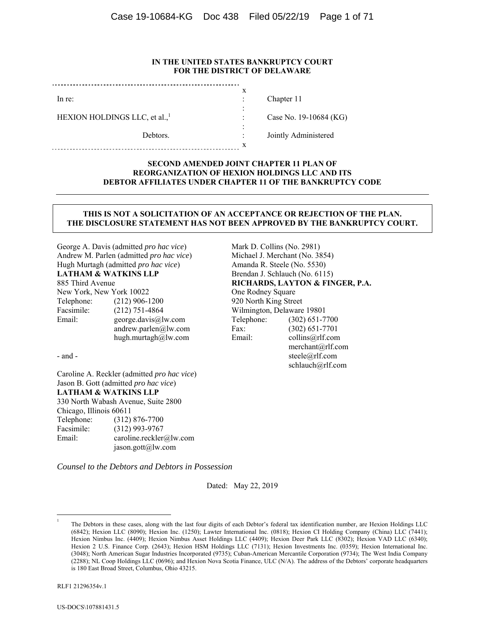#### **IN THE UNITED STATES BANKRUPTCY COURT FOR THE DISTRICT OF DELAWARE**

x : : : : : x

In re:

HEXION HOLDINGS LLC, et al.,<sup>1</sup>

Debtors.

Chapter 11

Case No. 19-10684 (KG)

Jointly Administered

#### **SECOND AMENDED JOINT CHAPTER 11 PLAN OF REORGANIZATION OF HEXION HOLDINGS LLC AND ITS DEBTOR AFFILIATES UNDER CHAPTER 11 OF THE BANKRUPTCY CODE**

#### **THIS IS NOT A SOLICITATION OF AN ACCEPTANCE OR REJECTION OF THE PLAN. THE DISCLOSURE STATEMENT HAS NOT BEEN APPROVED BY THE BANKRUPTCY COURT.**

George A. Davis (admitted *pro hac vice*) Andrew M. Parlen (admitted *pro hac vice*) Hugh Murtagh (admitted *pro hac vice*) **LATHAM & WATKINS LLP**  885 Third Avenue New York, New York 10022 Telephone: (212) 906-1200 Facsimile: (212) 751-4864 Email: george.davis@lw.com

- and -

Caroline A. Reckler (admitted *pro hac vice*) Jason B. Gott (admitted *pro hac vice*) **LATHAM & WATKINS LLP**  330 North Wabash Avenue, Suite 2800 Chicago, Illinois 60611 Telephone: (312) 876-7700 Facsimile: (312) 993-9767 Email: caroline.reckler@lw.com jason.gott@lw.com

*Counsel to the Debtors and Debtors in Possession* 

 andrew.parlen@lw.com hugh.murtagh@lw.com

Dated: May 22, 2019

1 1 Michael J. Merchant (No. 3854) Amanda R. Steele (No. 5530) Brendan J. Schlauch (No. 6115) **RICHARDS, LAYTON & FINGER, P.A.**  One Rodney Square 920 North King Street Wilmington, Delaware 19801 Telephone: (302) 651-7700 Fax: (302) 651-7701 Email: collins@rlf.com merchant@rlf.com steele@rlf.com schlauch@rlf.com

Mark D. Collins (No. 2981)

The Debtors in these cases, along with the last four digits of each Debtor's federal tax identification number, are Hexion Holdings LLC (6842); Hexion LLC (8090); Hexion Inc. (1250); Lawter International Inc. (0818); Hexion CI Holding Company (China) LLC (7441); Hexion Nimbus Inc. (4409); Hexion Nimbus Asset Holdings LLC (4409); Hexion Deer Park LLC (8302); Hexion VAD LLC (6340); Hexion 2 U.S. Finance Corp. (2643); Hexion HSM Holdings LLC (7131); Hexion Investments Inc. (0359); Hexion International Inc. (3048); North American Sugar Industries Incorporated (9735); Cuban-American Mercantile Corporation (9734); The West India Company (2288); NL Coop Holdings LLC (0696); and Hexion Nova Scotia Finance, ULC (N/A). The address of the Debtors' corporate headquarters is 180 East Broad Street, Columbus, Ohio 43215.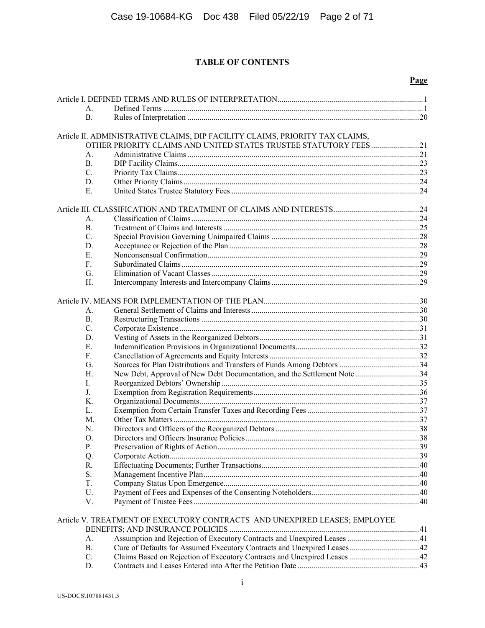# **TABLE OF CONTENTS**

### **Page**

| А.         |                                                                              |  |
|------------|------------------------------------------------------------------------------|--|
| <b>B.</b>  |                                                                              |  |
|            | Article II. ADMINISTRATIVE CLAIMS, DIP FACILITY CLAIMS, PRIORITY TAX CLAIMS, |  |
|            | OTHER PRIORITY CLAIMS AND UNITED STATES TRUSTEE STATUTORY FEES21             |  |
| A.         |                                                                              |  |
| <b>B.</b>  |                                                                              |  |
| C.         |                                                                              |  |
| D.         |                                                                              |  |
| E.         |                                                                              |  |
|            |                                                                              |  |
|            |                                                                              |  |
| А.         |                                                                              |  |
| <b>B.</b>  |                                                                              |  |
| C.         |                                                                              |  |
| D.         |                                                                              |  |
| E.         |                                                                              |  |
| F.         |                                                                              |  |
| G.         |                                                                              |  |
| H.         |                                                                              |  |
|            |                                                                              |  |
|            |                                                                              |  |
| A.         |                                                                              |  |
| В.         |                                                                              |  |
| C.         |                                                                              |  |
| D.         |                                                                              |  |
| E.         |                                                                              |  |
| F.         |                                                                              |  |
| G.         |                                                                              |  |
| H.         | New Debt, Approval of New Debt Documentation, and the Settlement Note34      |  |
| I.         |                                                                              |  |
| J.         |                                                                              |  |
| K.         |                                                                              |  |
| L.         |                                                                              |  |
| M.         |                                                                              |  |
| N.         |                                                                              |  |
| Ο.         |                                                                              |  |
| ${\bf P}.$ |                                                                              |  |
| Q.<br>R.   |                                                                              |  |
| S.         |                                                                              |  |
| T.         |                                                                              |  |
| U.         |                                                                              |  |
| V.         |                                                                              |  |
|            |                                                                              |  |
|            | Article V. TREATMENT OF EXECUTORY CONTRACTS AND UNEXPIRED LEASES; EMPLOYEE   |  |
|            |                                                                              |  |
| A.         |                                                                              |  |
| <b>B.</b>  |                                                                              |  |
| C.         |                                                                              |  |

D. Contracts and Leases Entered into After the Petition Date ............................................................. 43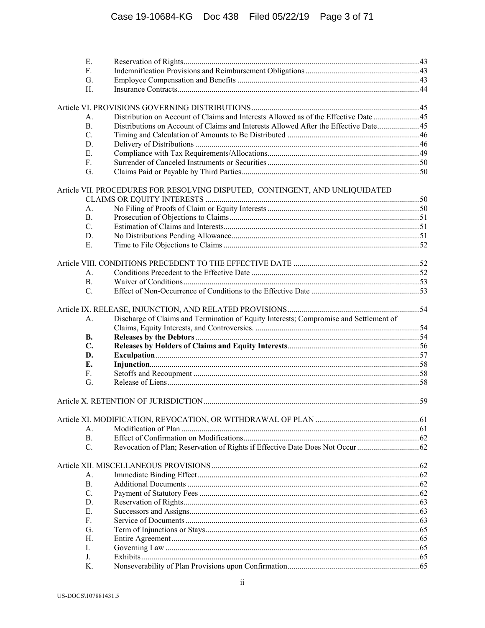| Ε.              |                                                                                       |  |
|-----------------|---------------------------------------------------------------------------------------|--|
| F.              |                                                                                       |  |
| G.              |                                                                                       |  |
| Н.              |                                                                                       |  |
|                 |                                                                                       |  |
| А.              | Distribution on Account of Claims and Interests Allowed as of the Effective Date  45  |  |
| <b>B.</b>       | Distributions on Account of Claims and Interests Allowed After the Effective Date 45  |  |
| C.              |                                                                                       |  |
| D.              |                                                                                       |  |
| E.              |                                                                                       |  |
| F.              |                                                                                       |  |
| G.              |                                                                                       |  |
|                 | Article VII. PROCEDURES FOR RESOLVING DISPUTED, CONTINGENT, AND UNLIQUIDATED          |  |
|                 |                                                                                       |  |
| A.              |                                                                                       |  |
| <b>B.</b>       |                                                                                       |  |
| $C_{\cdot}$     |                                                                                       |  |
| D.              |                                                                                       |  |
| E.              |                                                                                       |  |
|                 |                                                                                       |  |
|                 |                                                                                       |  |
| A.              |                                                                                       |  |
| <b>B.</b>       |                                                                                       |  |
| C.              |                                                                                       |  |
|                 |                                                                                       |  |
| A.              | Discharge of Claims and Termination of Equity Interests; Compromise and Settlement of |  |
|                 |                                                                                       |  |
| <b>B.</b>       |                                                                                       |  |
| $C_{\bullet}$   |                                                                                       |  |
| D.              |                                                                                       |  |
| Е.              |                                                                                       |  |
| $F_{\cdot}$     |                                                                                       |  |
| G.              |                                                                                       |  |
|                 |                                                                                       |  |
|                 |                                                                                       |  |
|                 |                                                                                       |  |
| A.              |                                                                                       |  |
| <b>B.</b>       |                                                                                       |  |
| $\mathcal{C}$ . |                                                                                       |  |
|                 |                                                                                       |  |
| А.              |                                                                                       |  |
| <b>B.</b>       |                                                                                       |  |
| $C_{\cdot}$     |                                                                                       |  |
| D.              |                                                                                       |  |
| E.              |                                                                                       |  |
| F.              |                                                                                       |  |
| G.              |                                                                                       |  |
| H.              |                                                                                       |  |
| I.              |                                                                                       |  |
| J.              |                                                                                       |  |
| K.              |                                                                                       |  |
|                 |                                                                                       |  |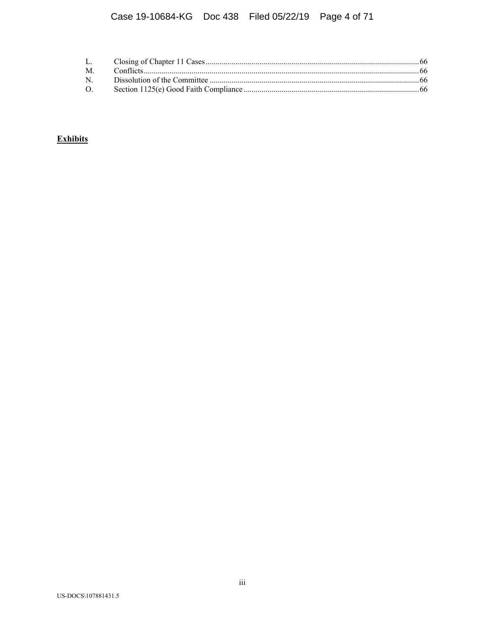# **Exhibits**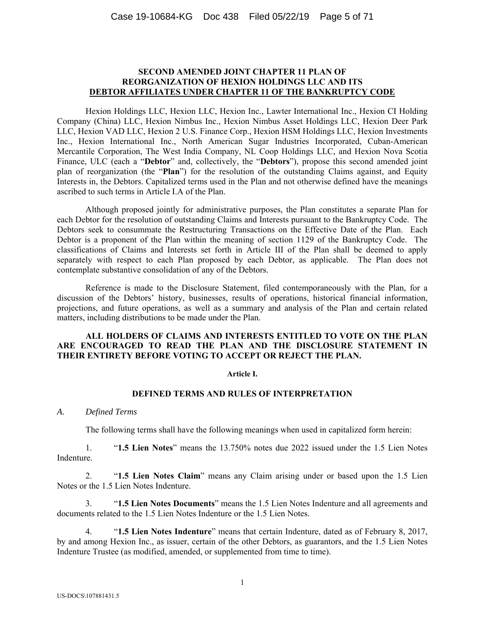### **SECOND AMENDED JOINT CHAPTER 11 PLAN OF REORGANIZATION OF HEXION HOLDINGS LLC AND ITS DEBTOR AFFILIATES UNDER CHAPTER 11 OF THE BANKRUPTCY CODE**

Hexion Holdings LLC, Hexion LLC, Hexion Inc., Lawter International Inc., Hexion CI Holding Company (China) LLC, Hexion Nimbus Inc., Hexion Nimbus Asset Holdings LLC, Hexion Deer Park LLC, Hexion VAD LLC, Hexion 2 U.S. Finance Corp., Hexion HSM Holdings LLC, Hexion Investments Inc., Hexion International Inc., North American Sugar Industries Incorporated, Cuban-American Mercantile Corporation, The West India Company, NL Coop Holdings LLC, and Hexion Nova Scotia Finance, ULC (each a "**Debtor**" and, collectively, the "**Debtors**"), propose this second amended joint plan of reorganization (the "**Plan**") for the resolution of the outstanding Claims against, and Equity Interests in, the Debtors. Capitalized terms used in the Plan and not otherwise defined have the meanings ascribed to such terms in Article I.A of the Plan.

Although proposed jointly for administrative purposes, the Plan constitutes a separate Plan for each Debtor for the resolution of outstanding Claims and Interests pursuant to the Bankruptcy Code. The Debtors seek to consummate the Restructuring Transactions on the Effective Date of the Plan. Each Debtor is a proponent of the Plan within the meaning of section 1129 of the Bankruptcy Code. The classifications of Claims and Interests set forth in Article III of the Plan shall be deemed to apply separately with respect to each Plan proposed by each Debtor, as applicable. The Plan does not contemplate substantive consolidation of any of the Debtors.

Reference is made to the Disclosure Statement, filed contemporaneously with the Plan, for a discussion of the Debtors' history, businesses, results of operations, historical financial information, projections, and future operations, as well as a summary and analysis of the Plan and certain related matters, including distributions to be made under the Plan.

# **ALL HOLDERS OF CLAIMS AND INTERESTS ENTITLED TO VOTE ON THE PLAN ARE ENCOURAGED TO READ THE PLAN AND THE DISCLOSURE STATEMENT IN THEIR ENTIRETY BEFORE VOTING TO ACCEPT OR REJECT THE PLAN.**

#### **Article I.**

#### **DEFINED TERMS AND RULES OF INTERPRETATION**

#### *A. Defined Terms*

The following terms shall have the following meanings when used in capitalized form herein:

1. "**1.5 Lien Notes**" means the 13.750% notes due 2022 issued under the 1.5 Lien Notes Indenture.

2. "**1.5 Lien Notes Claim**" means any Claim arising under or based upon the 1.5 Lien Notes or the 1.5 Lien Notes Indenture.

3. "**1.5 Lien Notes Documents**" means the 1.5 Lien Notes Indenture and all agreements and documents related to the 1.5 Lien Notes Indenture or the 1.5 Lien Notes.

4. "**1.5 Lien Notes Indenture**" means that certain Indenture, dated as of February 8, 2017, by and among Hexion Inc., as issuer, certain of the other Debtors, as guarantors, and the 1.5 Lien Notes Indenture Trustee (as modified, amended, or supplemented from time to time).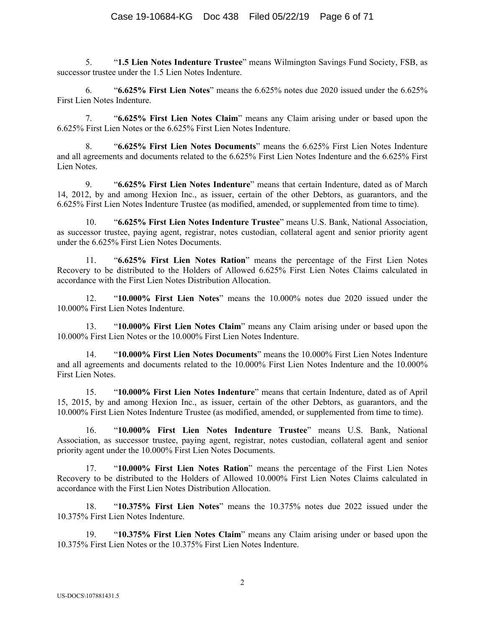5. "**1.5 Lien Notes Indenture Trustee**" means Wilmington Savings Fund Society, FSB, as successor trustee under the 1.5 Lien Notes Indenture.

6. "**6.625% First Lien Notes**" means the 6.625% notes due 2020 issued under the 6.625% First Lien Notes Indenture.

7. "**6.625% First Lien Notes Claim**" means any Claim arising under or based upon the 6.625% First Lien Notes or the 6.625% First Lien Notes Indenture.

8. "**6.625% First Lien Notes Documents**" means the 6.625% First Lien Notes Indenture and all agreements and documents related to the 6.625% First Lien Notes Indenture and the 6.625% First Lien Notes.

9. "**6.625% First Lien Notes Indenture**" means that certain Indenture, dated as of March 14, 2012, by and among Hexion Inc., as issuer, certain of the other Debtors, as guarantors, and the 6.625% First Lien Notes Indenture Trustee (as modified, amended, or supplemented from time to time).

10. "**6.625% First Lien Notes Indenture Trustee**" means U.S. Bank, National Association, as successor trustee, paying agent, registrar, notes custodian, collateral agent and senior priority agent under the 6.625% First Lien Notes Documents.

11. "**6.625% First Lien Notes Ration**" means the percentage of the First Lien Notes Recovery to be distributed to the Holders of Allowed 6.625% First Lien Notes Claims calculated in accordance with the First Lien Notes Distribution Allocation.

12. "**10.000% First Lien Notes**" means the 10.000% notes due 2020 issued under the 10.000% First Lien Notes Indenture.

13. "**10.000% First Lien Notes Claim**" means any Claim arising under or based upon the 10.000% First Lien Notes or the 10.000% First Lien Notes Indenture.

14. "**10.000% First Lien Notes Documents**" means the 10.000% First Lien Notes Indenture and all agreements and documents related to the 10.000% First Lien Notes Indenture and the 10.000% First Lien Notes.

15. "**10.000% First Lien Notes Indenture**" means that certain Indenture, dated as of April 15, 2015, by and among Hexion Inc., as issuer, certain of the other Debtors, as guarantors, and the 10.000% First Lien Notes Indenture Trustee (as modified, amended, or supplemented from time to time).

16. "**10.000% First Lien Notes Indenture Trustee**" means U.S. Bank, National Association, as successor trustee, paying agent, registrar, notes custodian, collateral agent and senior priority agent under the 10.000% First Lien Notes Documents.

17. "**10.000% First Lien Notes Ration**" means the percentage of the First Lien Notes Recovery to be distributed to the Holders of Allowed 10.000% First Lien Notes Claims calculated in accordance with the First Lien Notes Distribution Allocation.

18. "**10.375% First Lien Notes**" means the 10.375% notes due 2022 issued under the 10.375% First Lien Notes Indenture.

19. "**10.375% First Lien Notes Claim**" means any Claim arising under or based upon the 10.375% First Lien Notes or the 10.375% First Lien Notes Indenture.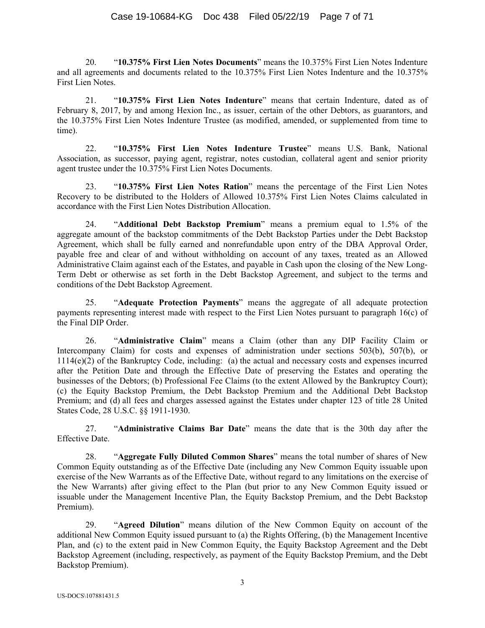20. "**10.375% First Lien Notes Documents**" means the 10.375% First Lien Notes Indenture and all agreements and documents related to the 10.375% First Lien Notes Indenture and the 10.375% First Lien Notes.

21. "**10.375% First Lien Notes Indenture**" means that certain Indenture, dated as of February 8, 2017, by and among Hexion Inc., as issuer, certain of the other Debtors, as guarantors, and the 10.375% First Lien Notes Indenture Trustee (as modified, amended, or supplemented from time to time).

22. "**10.375% First Lien Notes Indenture Trustee**" means U.S. Bank, National Association, as successor, paying agent, registrar, notes custodian, collateral agent and senior priority agent trustee under the 10.375% First Lien Notes Documents.

23. "**10.375% First Lien Notes Ration**" means the percentage of the First Lien Notes Recovery to be distributed to the Holders of Allowed 10.375% First Lien Notes Claims calculated in accordance with the First Lien Notes Distribution Allocation.

24. "**Additional Debt Backstop Premium**" means a premium equal to 1.5% of the aggregate amount of the backstop commitments of the Debt Backstop Parties under the Debt Backstop Agreement, which shall be fully earned and nonrefundable upon entry of the DBA Approval Order, payable free and clear of and without withholding on account of any taxes, treated as an Allowed Administrative Claim against each of the Estates, and payable in Cash upon the closing of the New Long-Term Debt or otherwise as set forth in the Debt Backstop Agreement, and subject to the terms and conditions of the Debt Backstop Agreement.

25. "**Adequate Protection Payments**" means the aggregate of all adequate protection payments representing interest made with respect to the First Lien Notes pursuant to paragraph 16(c) of the Final DIP Order.

26. "**Administrative Claim**" means a Claim (other than any DIP Facility Claim or Intercompany Claim) for costs and expenses of administration under sections 503(b), 507(b), or 1114(e)(2) of the Bankruptcy Code, including: (a) the actual and necessary costs and expenses incurred after the Petition Date and through the Effective Date of preserving the Estates and operating the businesses of the Debtors; (b) Professional Fee Claims (to the extent Allowed by the Bankruptcy Court); (c) the Equity Backstop Premium, the Debt Backstop Premium and the Additional Debt Backstop Premium; and (d) all fees and charges assessed against the Estates under chapter 123 of title 28 United States Code, 28 U.S.C. §§ 1911-1930.

27. "**Administrative Claims Bar Date**" means the date that is the 30th day after the Effective Date.

28. "**Aggregate Fully Diluted Common Shares**" means the total number of shares of New Common Equity outstanding as of the Effective Date (including any New Common Equity issuable upon exercise of the New Warrants as of the Effective Date, without regard to any limitations on the exercise of the New Warrants) after giving effect to the Plan (but prior to any New Common Equity issued or issuable under the Management Incentive Plan, the Equity Backstop Premium, and the Debt Backstop Premium).

29. "**Agreed Dilution**" means dilution of the New Common Equity on account of the additional New Common Equity issued pursuant to (a) the Rights Offering, (b) the Management Incentive Plan, and (c) to the extent paid in New Common Equity, the Equity Backstop Agreement and the Debt Backstop Agreement (including, respectively, as payment of the Equity Backstop Premium, and the Debt Backstop Premium).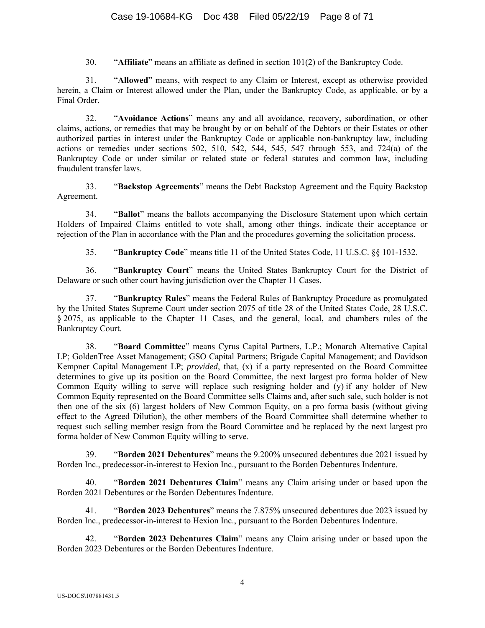30. "**Affiliate**" means an affiliate as defined in section 101(2) of the Bankruptcy Code.

31. "**Allowed**" means, with respect to any Claim or Interest, except as otherwise provided herein, a Claim or Interest allowed under the Plan, under the Bankruptcy Code, as applicable, or by a Final Order.

32. "**Avoidance Actions**" means any and all avoidance, recovery, subordination, or other claims, actions, or remedies that may be brought by or on behalf of the Debtors or their Estates or other authorized parties in interest under the Bankruptcy Code or applicable non-bankruptcy law, including actions or remedies under sections 502, 510, 542, 544, 545, 547 through 553, and 724(a) of the Bankruptcy Code or under similar or related state or federal statutes and common law, including fraudulent transfer laws.

33. "**Backstop Agreements**" means the Debt Backstop Agreement and the Equity Backstop Agreement.

34. "**Ballot**" means the ballots accompanying the Disclosure Statement upon which certain Holders of Impaired Claims entitled to vote shall, among other things, indicate their acceptance or rejection of the Plan in accordance with the Plan and the procedures governing the solicitation process.

35. "**Bankruptcy Code**" means title 11 of the United States Code, 11 U.S.C. §§ 101-1532.

36. "**Bankruptcy Court**" means the United States Bankruptcy Court for the District of Delaware or such other court having jurisdiction over the Chapter 11 Cases.

37. "**Bankruptcy Rules**" means the Federal Rules of Bankruptcy Procedure as promulgated by the United States Supreme Court under section 2075 of title 28 of the United States Code, 28 U.S.C. § 2075, as applicable to the Chapter 11 Cases, and the general, local, and chambers rules of the Bankruptcy Court.

38. "**Board Committee**" means Cyrus Capital Partners, L.P.; Monarch Alternative Capital LP; GoldenTree Asset Management; GSO Capital Partners; Brigade Capital Management; and Davidson Kempner Capital Management LP; *provided*, that, (x) if a party represented on the Board Committee determines to give up its position on the Board Committee, the next largest pro forma holder of New Common Equity willing to serve will replace such resigning holder and (y) if any holder of New Common Equity represented on the Board Committee sells Claims and, after such sale, such holder is not then one of the six (6) largest holders of New Common Equity, on a pro forma basis (without giving effect to the Agreed Dilution), the other members of the Board Committee shall determine whether to request such selling member resign from the Board Committee and be replaced by the next largest pro forma holder of New Common Equity willing to serve.

39. "**Borden 2021 Debentures**" means the 9.200% unsecured debentures due 2021 issued by Borden Inc., predecessor-in-interest to Hexion Inc., pursuant to the Borden Debentures Indenture.

40. "**Borden 2021 Debentures Claim**" means any Claim arising under or based upon the Borden 2021 Debentures or the Borden Debentures Indenture.

41. "**Borden 2023 Debentures**" means the 7.875% unsecured debentures due 2023 issued by Borden Inc., predecessor-in-interest to Hexion Inc., pursuant to the Borden Debentures Indenture.

42. "**Borden 2023 Debentures Claim**" means any Claim arising under or based upon the Borden 2023 Debentures or the Borden Debentures Indenture.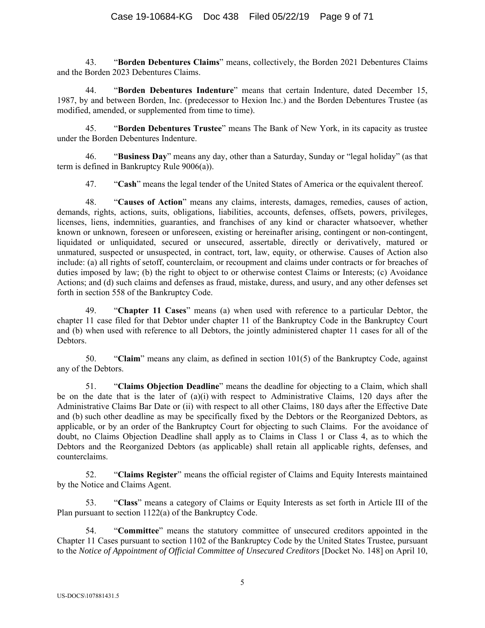43. "**Borden Debentures Claims**" means, collectively, the Borden 2021 Debentures Claims and the Borden 2023 Debentures Claims.

44. "**Borden Debentures Indenture**" means that certain Indenture, dated December 15, 1987, by and between Borden, Inc. (predecessor to Hexion Inc.) and the Borden Debentures Trustee (as modified, amended, or supplemented from time to time).

45. "**Borden Debentures Trustee**" means The Bank of New York, in its capacity as trustee under the Borden Debentures Indenture.

46. "**Business Day**" means any day, other than a Saturday, Sunday or "legal holiday" (as that term is defined in Bankruptcy Rule 9006(a)).

47. "**Cash**" means the legal tender of the United States of America or the equivalent thereof.

48. "**Causes of Action**" means any claims, interests, damages, remedies, causes of action, demands, rights, actions, suits, obligations, liabilities, accounts, defenses, offsets, powers, privileges, licenses, liens, indemnities, guaranties, and franchises of any kind or character whatsoever, whether known or unknown, foreseen or unforeseen, existing or hereinafter arising, contingent or non-contingent, liquidated or unliquidated, secured or unsecured, assertable, directly or derivatively, matured or unmatured, suspected or unsuspected, in contract, tort, law, equity, or otherwise. Causes of Action also include: (a) all rights of setoff, counterclaim, or recoupment and claims under contracts or for breaches of duties imposed by law; (b) the right to object to or otherwise contest Claims or Interests; (c) Avoidance Actions; and (d) such claims and defenses as fraud, mistake, duress, and usury, and any other defenses set forth in section 558 of the Bankruptcy Code.

49. "**Chapter 11 Cases**" means (a) when used with reference to a particular Debtor, the chapter 11 case filed for that Debtor under chapter 11 of the Bankruptcy Code in the Bankruptcy Court and (b) when used with reference to all Debtors, the jointly administered chapter 11 cases for all of the Debtors.

50. "**Claim**" means any claim, as defined in section 101(5) of the Bankruptcy Code, against any of the Debtors.

51. "**Claims Objection Deadline**" means the deadline for objecting to a Claim, which shall be on the date that is the later of (a)(i) with respect to Administrative Claims, 120 days after the Administrative Claims Bar Date or (ii) with respect to all other Claims, 180 days after the Effective Date and (b) such other deadline as may be specifically fixed by the Debtors or the Reorganized Debtors, as applicable, or by an order of the Bankruptcy Court for objecting to such Claims. For the avoidance of doubt, no Claims Objection Deadline shall apply as to Claims in Class 1 or Class 4, as to which the Debtors and the Reorganized Debtors (as applicable) shall retain all applicable rights, defenses, and counterclaims.

52. "**Claims Register**" means the official register of Claims and Equity Interests maintained by the Notice and Claims Agent.

53. "**Class**" means a category of Claims or Equity Interests as set forth in Article III of the Plan pursuant to section 1122(a) of the Bankruptcy Code.

54. "**Committee**" means the statutory committee of unsecured creditors appointed in the Chapter 11 Cases pursuant to section 1102 of the Bankruptcy Code by the United States Trustee, pursuant to the *Notice of Appointment of Official Committee of Unsecured Creditors* [Docket No. 148] on April 10,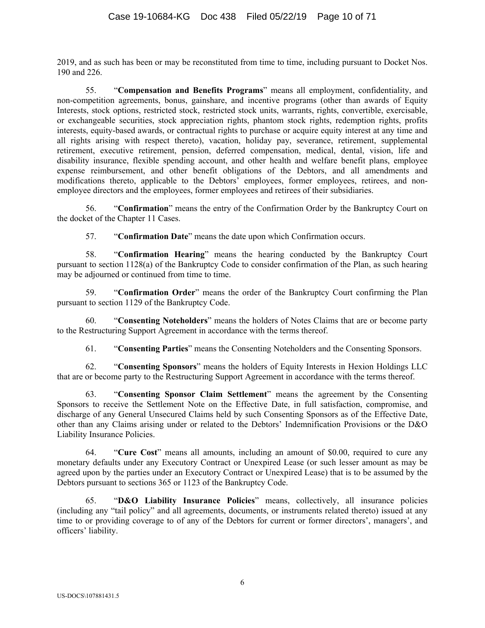2019, and as such has been or may be reconstituted from time to time, including pursuant to Docket Nos. 190 and 226.

55. "**Compensation and Benefits Programs**" means all employment, confidentiality, and non-competition agreements, bonus, gainshare, and incentive programs (other than awards of Equity Interests, stock options, restricted stock, restricted stock units, warrants, rights, convertible, exercisable, or exchangeable securities, stock appreciation rights, phantom stock rights, redemption rights, profits interests, equity-based awards, or contractual rights to purchase or acquire equity interest at any time and all rights arising with respect thereto), vacation, holiday pay, severance, retirement, supplemental retirement, executive retirement, pension, deferred compensation, medical, dental, vision, life and disability insurance, flexible spending account, and other health and welfare benefit plans, employee expense reimbursement, and other benefit obligations of the Debtors, and all amendments and modifications thereto, applicable to the Debtors' employees, former employees, retirees, and nonemployee directors and the employees, former employees and retirees of their subsidiaries.

56. "**Confirmation**" means the entry of the Confirmation Order by the Bankruptcy Court on the docket of the Chapter 11 Cases.

57. "**Confirmation Date**" means the date upon which Confirmation occurs.

58. "**Confirmation Hearing**" means the hearing conducted by the Bankruptcy Court pursuant to section 1128(a) of the Bankruptcy Code to consider confirmation of the Plan, as such hearing may be adjourned or continued from time to time.

59. "**Confirmation Order**" means the order of the Bankruptcy Court confirming the Plan pursuant to section 1129 of the Bankruptcy Code.

60. "**Consenting Noteholders**" means the holders of Notes Claims that are or become party to the Restructuring Support Agreement in accordance with the terms thereof.

61. "**Consenting Parties**" means the Consenting Noteholders and the Consenting Sponsors.

62. "**Consenting Sponsors**" means the holders of Equity Interests in Hexion Holdings LLC that are or become party to the Restructuring Support Agreement in accordance with the terms thereof.

63. "**Consenting Sponsor Claim Settlement**" means the agreement by the Consenting Sponsors to receive the Settlement Note on the Effective Date, in full satisfaction, compromise, and discharge of any General Unsecured Claims held by such Consenting Sponsors as of the Effective Date, other than any Claims arising under or related to the Debtors' Indemnification Provisions or the D&O Liability Insurance Policies.

64. "**Cure Cost**" means all amounts, including an amount of \$0.00, required to cure any monetary defaults under any Executory Contract or Unexpired Lease (or such lesser amount as may be agreed upon by the parties under an Executory Contract or Unexpired Lease) that is to be assumed by the Debtors pursuant to sections 365 or 1123 of the Bankruptcy Code.

65. "**D&O Liability Insurance Policies**" means, collectively, all insurance policies (including any "tail policy" and all agreements, documents, or instruments related thereto) issued at any time to or providing coverage to of any of the Debtors for current or former directors', managers', and officers' liability.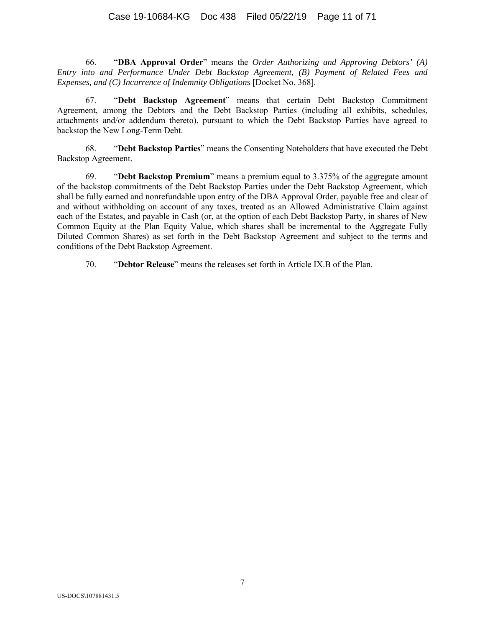# Case 19-10684-KG Doc 438 Filed 05/22/19 Page 11 of 71

66. "**DBA Approval Order**" means the *Order Authorizing and Approving Debtors' (A) Entry into and Performance Under Debt Backstop Agreement, (B) Payment of Related Fees and Expenses, and (C) Incurrence of Indemnity Obligations [Docket No. 368].* 

67. "**Debt Backstop Agreement**" means that certain Debt Backstop Commitment Agreement, among the Debtors and the Debt Backstop Parties (including all exhibits, schedules, attachments and/or addendum thereto), pursuant to which the Debt Backstop Parties have agreed to backstop the New Long-Term Debt.

68. "**Debt Backstop Parties**" means the Consenting Noteholders that have executed the Debt Backstop Agreement.

69. "**Debt Backstop Premium**" means a premium equal to 3.375% of the aggregate amount of the backstop commitments of the Debt Backstop Parties under the Debt Backstop Agreement, which shall be fully earned and nonrefundable upon entry of the DBA Approval Order, payable free and clear of and without withholding on account of any taxes, treated as an Allowed Administrative Claim against each of the Estates, and payable in Cash (or, at the option of each Debt Backstop Party, in shares of New Common Equity at the Plan Equity Value, which shares shall be incremental to the Aggregate Fully Diluted Common Shares) as set forth in the Debt Backstop Agreement and subject to the terms and conditions of the Debt Backstop Agreement.

70. "**Debtor Release**" means the releases set forth in Article IX.B of the Plan.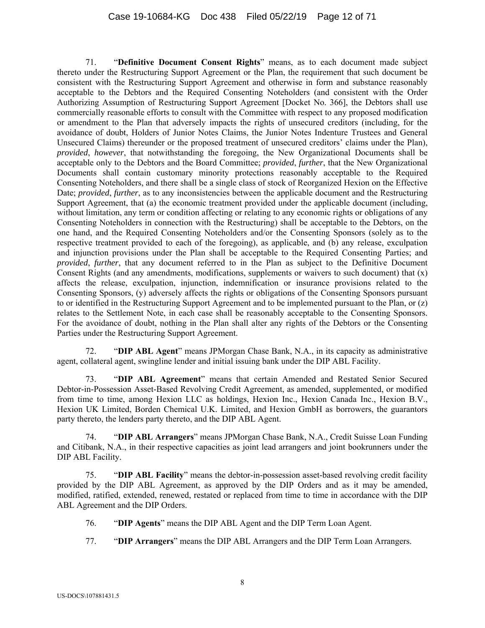# Case 19-10684-KG Doc 438 Filed 05/22/19 Page 12 of 71

71. "**Definitive Document Consent Rights**" means, as to each document made subject thereto under the Restructuring Support Agreement or the Plan, the requirement that such document be consistent with the Restructuring Support Agreement and otherwise in form and substance reasonably acceptable to the Debtors and the Required Consenting Noteholders (and consistent with the Order Authorizing Assumption of Restructuring Support Agreement [Docket No. 366], the Debtors shall use commercially reasonable efforts to consult with the Committee with respect to any proposed modification or amendment to the Plan that adversely impacts the rights of unsecured creditors (including, for the avoidance of doubt, Holders of Junior Notes Claims, the Junior Notes Indenture Trustees and General Unsecured Claims) thereunder or the proposed treatment of unsecured creditors' claims under the Plan), *provided*, *however*, that notwithstanding the foregoing, the New Organizational Documents shall be acceptable only to the Debtors and the Board Committee; *provided*, *further*, that the New Organizational Documents shall contain customary minority protections reasonably acceptable to the Required Consenting Noteholders, and there shall be a single class of stock of Reorganized Hexion on the Effective Date; *provided*, *further*, as to any inconsistencies between the applicable document and the Restructuring Support Agreement, that (a) the economic treatment provided under the applicable document (including, without limitation, any term or condition affecting or relating to any economic rights or obligations of any Consenting Noteholders in connection with the Restructuring) shall be acceptable to the Debtors, on the one hand, and the Required Consenting Noteholders and/or the Consenting Sponsors (solely as to the respective treatment provided to each of the foregoing), as applicable, and (b) any release, exculpation and injunction provisions under the Plan shall be acceptable to the Required Consenting Parties; and *provided*, *further*, that any document referred to in the Plan as subject to the Definitive Document Consent Rights (and any amendments, modifications, supplements or waivers to such document) that  $(x)$ affects the release, exculpation, injunction, indemnification or insurance provisions related to the Consenting Sponsors, (y) adversely affects the rights or obligations of the Consenting Sponsors pursuant to or identified in the Restructuring Support Agreement and to be implemented pursuant to the Plan, or (z) relates to the Settlement Note, in each case shall be reasonably acceptable to the Consenting Sponsors. For the avoidance of doubt, nothing in the Plan shall alter any rights of the Debtors or the Consenting Parties under the Restructuring Support Agreement.

72. "**DIP ABL Agent**" means JPMorgan Chase Bank, N.A., in its capacity as administrative agent, collateral agent, swingline lender and initial issuing bank under the DIP ABL Facility.

73. "**DIP ABL Agreement**" means that certain Amended and Restated Senior Secured Debtor-in-Possession Asset-Based Revolving Credit Agreement, as amended, supplemented, or modified from time to time, among Hexion LLC as holdings, Hexion Inc., Hexion Canada Inc., Hexion B.V., Hexion UK Limited, Borden Chemical U.K. Limited, and Hexion GmbH as borrowers, the guarantors party thereto, the lenders party thereto, and the DIP ABL Agent.

74. "**DIP ABL Arrangers**" means JPMorgan Chase Bank, N.A., Credit Suisse Loan Funding and Citibank, N.A., in their respective capacities as joint lead arrangers and joint bookrunners under the DIP ABL Facility.

75. "**DIP ABL Facility**" means the debtor-in-possession asset-based revolving credit facility provided by the DIP ABL Agreement, as approved by the DIP Orders and as it may be amended, modified, ratified, extended, renewed, restated or replaced from time to time in accordance with the DIP ABL Agreement and the DIP Orders.

- 76. "**DIP Agents**" means the DIP ABL Agent and the DIP Term Loan Agent.
- 77. "**DIP Arrangers**" means the DIP ABL Arrangers and the DIP Term Loan Arrangers.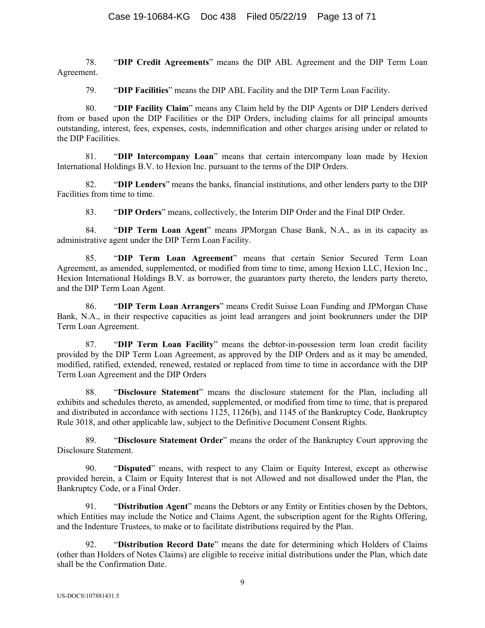78. "**DIP Credit Agreements**" means the DIP ABL Agreement and the DIP Term Loan Agreement.

79. "**DIP Facilities**" means the DIP ABL Facility and the DIP Term Loan Facility.

80. "**DIP Facility Claim**" means any Claim held by the DIP Agents or DIP Lenders derived from or based upon the DIP Facilities or the DIP Orders, including claims for all principal amounts outstanding, interest, fees, expenses, costs, indemnification and other charges arising under or related to the DIP Facilities.

81. "**DIP Intercompany Loan**" means that certain intercompany loan made by Hexion International Holdings B.V. to Hexion Inc. pursuant to the terms of the DIP Orders.

82. "**DIP Lenders**" means the banks, financial institutions, and other lenders party to the DIP Facilities from time to time.

83. "**DIP Orders**" means, collectively, the Interim DIP Order and the Final DIP Order.

84. "**DIP Term Loan Agent**" means JPMorgan Chase Bank, N.A., as in its capacity as administrative agent under the DIP Term Loan Facility.

85. "**DIP Term Loan Agreement**" means that certain Senior Secured Term Loan Agreement, as amended, supplemented, or modified from time to time, among Hexion LLC, Hexion Inc., Hexion International Holdings B.V. as borrower, the guarantors party thereto, the lenders party thereto, and the DIP Term Loan Agent.

86. "**DIP Term Loan Arrangers**" means Credit Suisse Loan Funding and JPMorgan Chase Bank, N.A., in their respective capacities as joint lead arrangers and joint bookrunners under the DIP Term Loan Agreement.

87. "**DIP Term Loan Facility**" means the debtor-in-possession term loan credit facility provided by the DIP Term Loan Agreement, as approved by the DIP Orders and as it may be amended, modified, ratified, extended, renewed, restated or replaced from time to time in accordance with the DIP Term Loan Agreement and the DIP Orders

88. "**Disclosure Statement**" means the disclosure statement for the Plan, including all exhibits and schedules thereto, as amended, supplemented, or modified from time to time, that is prepared and distributed in accordance with sections 1125, 1126(b), and 1145 of the Bankruptcy Code, Bankruptcy Rule 3018, and other applicable law, subject to the Definitive Document Consent Rights.

89. "**Disclosure Statement Order**" means the order of the Bankruptcy Court approving the Disclosure Statement.

90. "**Disputed**" means, with respect to any Claim or Equity Interest, except as otherwise provided herein, a Claim or Equity Interest that is not Allowed and not disallowed under the Plan, the Bankruptcy Code, or a Final Order.

91. "**Distribution Agent**" means the Debtors or any Entity or Entities chosen by the Debtors, which Entities may include the Notice and Claims Agent, the subscription agent for the Rights Offering, and the Indenture Trustees, to make or to facilitate distributions required by the Plan.

92. "**Distribution Record Date**" means the date for determining which Holders of Claims (other than Holders of Notes Claims) are eligible to receive initial distributions under the Plan, which date shall be the Confirmation Date.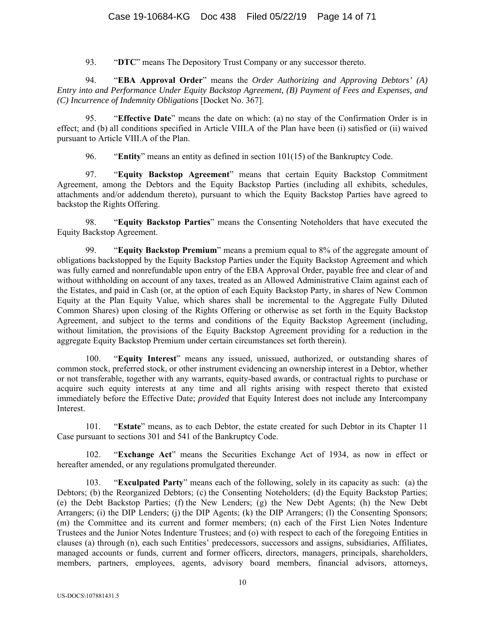93. "**DTC**" means The Depository Trust Company or any successor thereto.

94. "**EBA Approval Order**" means the *Order Authorizing and Approving Debtors' (A) Entry into and Performance Under Equity Backstop Agreement, (B) Payment of Fees and Expenses, and (C) Incurrence of Indemnity Obligations* [Docket No. 367].

95. "**Effective Date**" means the date on which: (a) no stay of the Confirmation Order is in effect; and (b) all conditions specified in Article VIII.A of the Plan have been (i) satisfied or (ii) waived pursuant to Article VIII.A of the Plan.

96. "**Entity**" means an entity as defined in section 101(15) of the Bankruptcy Code.

97. "**Equity Backstop Agreement**" means that certain Equity Backstop Commitment Agreement, among the Debtors and the Equity Backstop Parties (including all exhibits, schedules, attachments and/or addendum thereto), pursuant to which the Equity Backstop Parties have agreed to backstop the Rights Offering.

98. "**Equity Backstop Parties**" means the Consenting Noteholders that have executed the Equity Backstop Agreement.

99. "**Equity Backstop Premium**" means a premium equal to 8% of the aggregate amount of obligations backstopped by the Equity Backstop Parties under the Equity Backstop Agreement and which was fully earned and nonrefundable upon entry of the EBA Approval Order, payable free and clear of and without withholding on account of any taxes, treated as an Allowed Administrative Claim against each of the Estates, and paid in Cash (or, at the option of each Equity Backstop Party, in shares of New Common Equity at the Plan Equity Value, which shares shall be incremental to the Aggregate Fully Diluted Common Shares) upon closing of the Rights Offering or otherwise as set forth in the Equity Backstop Agreement, and subject to the terms and conditions of the Equity Backstop Agreement (including, without limitation, the provisions of the Equity Backstop Agreement providing for a reduction in the aggregate Equity Backstop Premium under certain circumstances set forth therein).

100. "**Equity Interest**" means any issued, unissued, authorized, or outstanding shares of common stock, preferred stock, or other instrument evidencing an ownership interest in a Debtor, whether or not transferable, together with any warrants, equity-based awards, or contractual rights to purchase or acquire such equity interests at any time and all rights arising with respect thereto that existed immediately before the Effective Date; *provided* that Equity Interest does not include any Intercompany Interest.

101. "**Estate**" means, as to each Debtor, the estate created for such Debtor in its Chapter 11 Case pursuant to sections 301 and 541 of the Bankruptcy Code.

102. "**Exchange Act**" means the Securities Exchange Act of 1934, as now in effect or hereafter amended, or any regulations promulgated thereunder.

103. "**Exculpated Party**" means each of the following, solely in its capacity as such: (a) the Debtors; (b) the Reorganized Debtors; (c) the Consenting Noteholders; (d) the Equity Backstop Parties; (e) the Debt Backstop Parties; (f) the New Lenders; (g) the New Debt Agents; (h) the New Debt Arrangers; (i) the DIP Lenders; (j) the DIP Agents; (k) the DIP Arrangers; (l) the Consenting Sponsors; (m) the Committee and its current and former members; (n) each of the First Lien Notes Indenture Trustees and the Junior Notes Indenture Trustees; and (o) with respect to each of the foregoing Entities in clauses (a) through (n), each such Entities' predecessors, successors and assigns, subsidiaries, Affiliates, managed accounts or funds, current and former officers, directors, managers, principals, shareholders, members, partners, employees, agents, advisory board members, financial advisors, attorneys,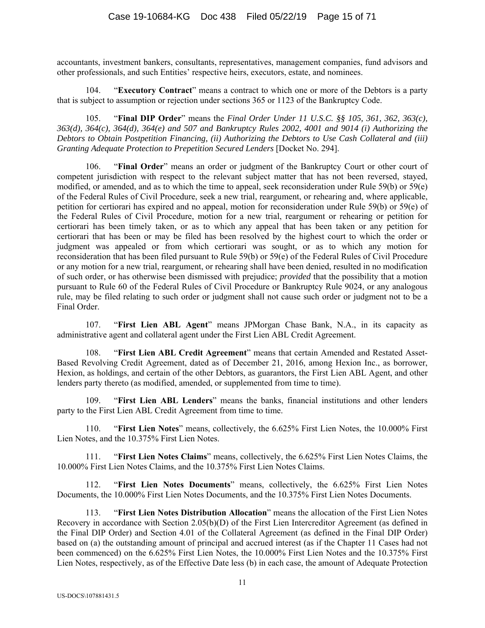accountants, investment bankers, consultants, representatives, management companies, fund advisors and other professionals, and such Entities' respective heirs, executors, estate, and nominees.

104. "**Executory Contract**" means a contract to which one or more of the Debtors is a party that is subject to assumption or rejection under sections 365 or 1123 of the Bankruptcy Code.

105. "**Final DIP Order**" means the *Final Order Under 11 U.S.C. §§ 105, 361, 362, 363(c), 363(d), 364(c), 364(d), 364(e) and 507 and Bankruptcy Rules 2002, 4001 and 9014 (i) Authorizing the Debtors to Obtain Postpetition Financing, (ii) Authorizing the Debtors to Use Cash Collateral and (iii) Granting Adequate Protection to Prepetition Secured Lenders* [Docket No. 294].

"Final Order" means an order or judgment of the Bankruptcy Court or other court of competent jurisdiction with respect to the relevant subject matter that has not been reversed, stayed, modified, or amended, and as to which the time to appeal, seek reconsideration under Rule 59(b) or 59(e) of the Federal Rules of Civil Procedure, seek a new trial, reargument, or rehearing and, where applicable, petition for certiorari has expired and no appeal, motion for reconsideration under Rule 59(b) or 59(e) of the Federal Rules of Civil Procedure, motion for a new trial, reargument or rehearing or petition for certiorari has been timely taken, or as to which any appeal that has been taken or any petition for certiorari that has been or may be filed has been resolved by the highest court to which the order or judgment was appealed or from which certiorari was sought, or as to which any motion for reconsideration that has been filed pursuant to Rule 59(b) or 59(e) of the Federal Rules of Civil Procedure or any motion for a new trial, reargument, or rehearing shall have been denied, resulted in no modification of such order, or has otherwise been dismissed with prejudice; *provided* that the possibility that a motion pursuant to Rule 60 of the Federal Rules of Civil Procedure or Bankruptcy Rule 9024, or any analogous rule, may be filed relating to such order or judgment shall not cause such order or judgment not to be a Final Order.

107. "**First Lien ABL Agent**" means JPMorgan Chase Bank, N.A., in its capacity as administrative agent and collateral agent under the First Lien ABL Credit Agreement.

108. "**First Lien ABL Credit Agreement**" means that certain Amended and Restated Asset-Based Revolving Credit Agreement, dated as of December 21, 2016, among Hexion Inc., as borrower, Hexion, as holdings, and certain of the other Debtors, as guarantors, the First Lien ABL Agent, and other lenders party thereto (as modified, amended, or supplemented from time to time).

109. "**First Lien ABL Lenders**" means the banks, financial institutions and other lenders party to the First Lien ABL Credit Agreement from time to time.

110. "**First Lien Notes**" means, collectively, the 6.625% First Lien Notes, the 10.000% First Lien Notes, and the 10.375% First Lien Notes.

111. "**First Lien Notes Claims**" means, collectively, the 6.625% First Lien Notes Claims, the 10.000% First Lien Notes Claims, and the 10.375% First Lien Notes Claims.

112. "**First Lien Notes Documents**" means, collectively, the 6.625% First Lien Notes Documents, the 10.000% First Lien Notes Documents, and the 10.375% First Lien Notes Documents.

113. "**First Lien Notes Distribution Allocation**" means the allocation of the First Lien Notes Recovery in accordance with Section 2.05(b)(D) of the First Lien Intercreditor Agreement (as defined in the Final DIP Order) and Section 4.01 of the Collateral Agreement (as defined in the Final DIP Order) based on (a) the outstanding amount of principal and accrued interest (as if the Chapter 11 Cases had not been commenced) on the 6.625% First Lien Notes, the 10.000% First Lien Notes and the 10.375% First Lien Notes, respectively, as of the Effective Date less (b) in each case, the amount of Adequate Protection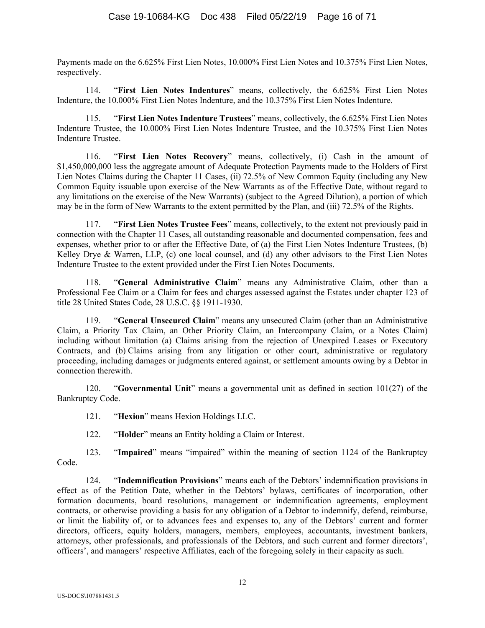Payments made on the 6.625% First Lien Notes, 10.000% First Lien Notes and 10.375% First Lien Notes, respectively.

114. "**First Lien Notes Indentures**" means, collectively, the 6.625% First Lien Notes Indenture, the 10.000% First Lien Notes Indenture, and the 10.375% First Lien Notes Indenture.

115. "**First Lien Notes Indenture Trustees**" means, collectively, the 6.625% First Lien Notes Indenture Trustee, the 10.000% First Lien Notes Indenture Trustee, and the 10.375% First Lien Notes Indenture Trustee.

116. "**First Lien Notes Recovery**" means, collectively, (i) Cash in the amount of \$1,450,000,000 less the aggregate amount of Adequate Protection Payments made to the Holders of First Lien Notes Claims during the Chapter 11 Cases, (ii) 72.5% of New Common Equity (including any New Common Equity issuable upon exercise of the New Warrants as of the Effective Date, without regard to any limitations on the exercise of the New Warrants) (subject to the Agreed Dilution), a portion of which may be in the form of New Warrants to the extent permitted by the Plan, and (iii) 72.5% of the Rights.

117. "**First Lien Notes Trustee Fees**" means, collectively, to the extent not previously paid in connection with the Chapter 11 Cases, all outstanding reasonable and documented compensation, fees and expenses, whether prior to or after the Effective Date, of (a) the First Lien Notes Indenture Trustees, (b) Kelley Drye & Warren, LLP, (c) one local counsel, and (d) any other advisors to the First Lien Notes Indenture Trustee to the extent provided under the First Lien Notes Documents.

118. "**General Administrative Claim**" means any Administrative Claim, other than a Professional Fee Claim or a Claim for fees and charges assessed against the Estates under chapter 123 of title 28 United States Code, 28 U.S.C. §§ 1911-1930.

119. "**General Unsecured Claim**" means any unsecured Claim (other than an Administrative Claim, a Priority Tax Claim, an Other Priority Claim, an Intercompany Claim, or a Notes Claim) including without limitation (a) Claims arising from the rejection of Unexpired Leases or Executory Contracts, and (b) Claims arising from any litigation or other court, administrative or regulatory proceeding, including damages or judgments entered against, or settlement amounts owing by a Debtor in connection therewith.

120. "**Governmental Unit**" means a governmental unit as defined in section 101(27) of the Bankruptcy Code.

121. "**Hexion**" means Hexion Holdings LLC.

122. "**Holder**" means an Entity holding a Claim or Interest.

123. "**Impaired**" means "impaired" within the meaning of section 1124 of the Bankruptcy Code.

124. "**Indemnification Provisions**" means each of the Debtors' indemnification provisions in effect as of the Petition Date, whether in the Debtors' bylaws, certificates of incorporation, other formation documents, board resolutions, management or indemnification agreements, employment contracts, or otherwise providing a basis for any obligation of a Debtor to indemnify, defend, reimburse, or limit the liability of, or to advances fees and expenses to, any of the Debtors' current and former directors, officers, equity holders, managers, members, employees, accountants, investment bankers, attorneys, other professionals, and professionals of the Debtors, and such current and former directors', officers', and managers' respective Affiliates, each of the foregoing solely in their capacity as such.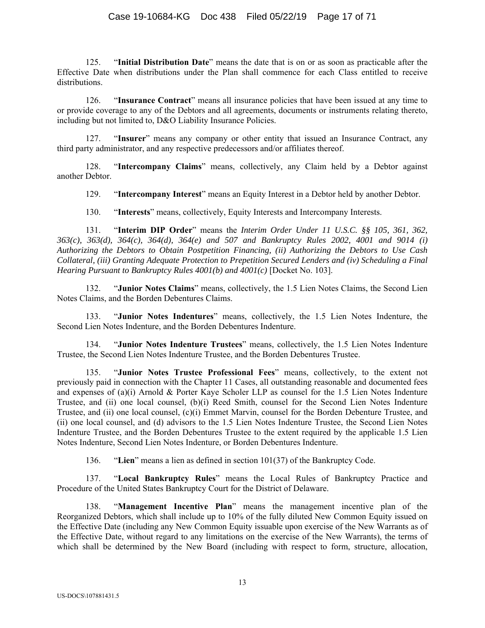# Case 19-10684-KG Doc 438 Filed 05/22/19 Page 17 of 71

125. "**Initial Distribution Date**" means the date that is on or as soon as practicable after the Effective Date when distributions under the Plan shall commence for each Class entitled to receive distributions.

126. "**Insurance Contract**" means all insurance policies that have been issued at any time to or provide coverage to any of the Debtors and all agreements, documents or instruments relating thereto, including but not limited to, D&O Liability Insurance Policies.

127. "**Insurer**" means any company or other entity that issued an Insurance Contract, any third party administrator, and any respective predecessors and/or affiliates thereof.

128. "**Intercompany Claims**" means, collectively, any Claim held by a Debtor against another Debtor.

129. "**Intercompany Interest**" means an Equity Interest in a Debtor held by another Debtor.

130. "**Interests**" means, collectively, Equity Interests and Intercompany Interests.

131. "**Interim DIP Order**" means the *Interim Order Under 11 U.S.C. §§ 105, 361, 362, 363(c), 363(d), 364(c), 364(d), 364(e) and 507 and Bankruptcy Rules 2002, 4001 and 9014 (i) Authorizing the Debtors to Obtain Postpetition Financing, (ii) Authorizing the Debtors to Use Cash Collateral, (iii) Granting Adequate Protection to Prepetition Secured Lenders and (iv) Scheduling a Final Hearing Pursuant to Bankruptcy Rules 4001(b) and 4001(c)* [Docket No. 103].

132. "**Junior Notes Claims**" means, collectively, the 1.5 Lien Notes Claims, the Second Lien Notes Claims, and the Borden Debentures Claims.

133. "**Junior Notes Indentures**" means, collectively, the 1.5 Lien Notes Indenture, the Second Lien Notes Indenture, and the Borden Debentures Indenture.

134. "**Junior Notes Indenture Trustees**" means, collectively, the 1.5 Lien Notes Indenture Trustee, the Second Lien Notes Indenture Trustee, and the Borden Debentures Trustee.

135. "**Junior Notes Trustee Professional Fees**" means, collectively, to the extent not previously paid in connection with the Chapter 11 Cases, all outstanding reasonable and documented fees and expenses of (a)(i) Arnold & Porter Kaye Scholer LLP as counsel for the 1.5 Lien Notes Indenture Trustee, and (ii) one local counsel, (b)(i) Reed Smith, counsel for the Second Lien Notes Indenture Trustee, and (ii) one local counsel, (c)(i) Emmet Marvin, counsel for the Borden Debenture Trustee, and (ii) one local counsel, and (d) advisors to the 1.5 Lien Notes Indenture Trustee, the Second Lien Notes Indenture Trustee, and the Borden Debentures Trustee to the extent required by the applicable 1.5 Lien Notes Indenture, Second Lien Notes Indenture, or Borden Debentures Indenture.

136. "**Lien**" means a lien as defined in section 101(37) of the Bankruptcy Code.

137. "**Local Bankruptcy Rules**" means the Local Rules of Bankruptcy Practice and Procedure of the United States Bankruptcy Court for the District of Delaware.

138. "**Management Incentive Plan**" means the management incentive plan of the Reorganized Debtors, which shall include up to 10% of the fully diluted New Common Equity issued on the Effective Date (including any New Common Equity issuable upon exercise of the New Warrants as of the Effective Date, without regard to any limitations on the exercise of the New Warrants), the terms of which shall be determined by the New Board (including with respect to form, structure, allocation,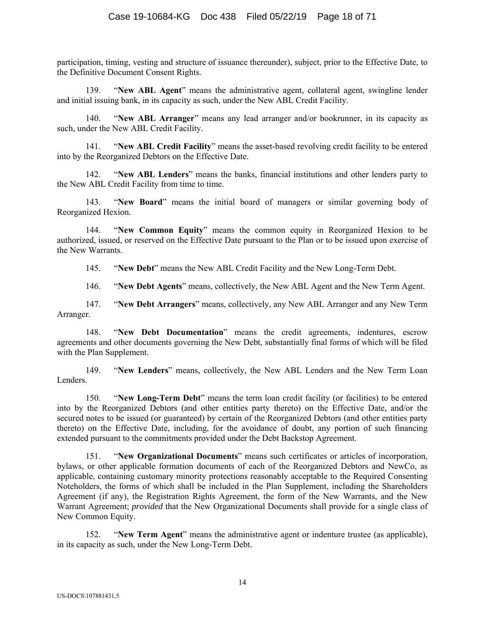participation, timing, vesting and structure of issuance thereunder), subject, prior to the Effective Date, to the Definitive Document Consent Rights.

139. "**New ABL Agent**" means the administrative agent, collateral agent, swingline lender and initial issuing bank, in its capacity as such, under the New ABL Credit Facility.

140. "**New ABL Arranger**" means any lead arranger and/or bookrunner, in its capacity as such, under the New ABL Credit Facility.

141. "**New ABL Credit Facility**" means the asset-based revolving credit facility to be entered into by the Reorganized Debtors on the Effective Date.

142. "**New ABL Lenders**" means the banks, financial institutions and other lenders party to the New ABL Credit Facility from time to time.

143. "**New Board**" means the initial board of managers or similar governing body of Reorganized Hexion.

144. "**New Common Equity**" means the common equity in Reorganized Hexion to be authorized, issued, or reserved on the Effective Date pursuant to the Plan or to be issued upon exercise of the New Warrants.

145. "**New Debt**" means the New ABL Credit Facility and the New Long-Term Debt.

146. "**New Debt Agents**" means, collectively, the New ABL Agent and the New Term Agent.

147. "**New Debt Arrangers**" means, collectively, any New ABL Arranger and any New Term Arranger.

148. "**New Debt Documentation**" means the credit agreements, indentures, escrow agreements and other documents governing the New Debt, substantially final forms of which will be filed with the Plan Supplement.

149. "**New Lenders**" means, collectively, the New ABL Lenders and the New Term Loan Lenders.

150. "**New Long-Term Debt**" means the term loan credit facility (or facilities) to be entered into by the Reorganized Debtors (and other entities party thereto) on the Effective Date, and/or the secured notes to be issued (or guaranteed) by certain of the Reorganized Debtors (and other entities party thereto) on the Effective Date, including, for the avoidance of doubt, any portion of such financing extended pursuant to the commitments provided under the Debt Backstop Agreement.

151. "**New Organizational Documents**" means such certificates or articles of incorporation, bylaws, or other applicable formation documents of each of the Reorganized Debtors and NewCo, as applicable, containing customary minority protections reasonably acceptable to the Required Consenting Noteholders, the forms of which shall be included in the Plan Supplement, including the Shareholders Agreement (if any), the Registration Rights Agreement, the form of the New Warrants, and the New Warrant Agreement; *provided* that the New Organizational Documents shall provide for a single class of New Common Equity.

152. "**New Term Agent**" means the administrative agent or indenture trustee (as applicable), in its capacity as such, under the New Long-Term Debt.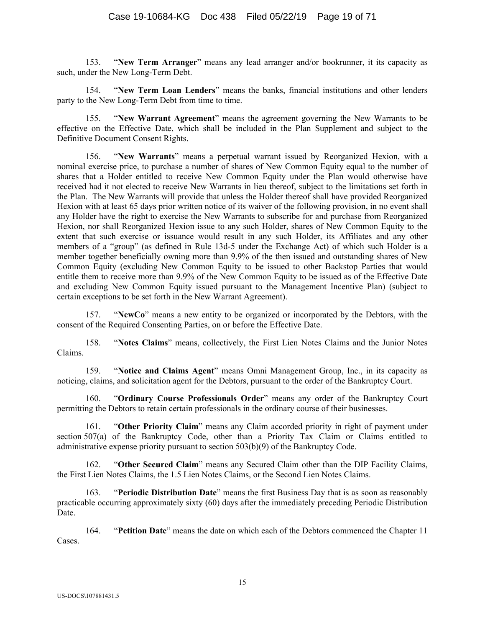153. "**New Term Arranger**" means any lead arranger and/or bookrunner, it its capacity as such, under the New Long-Term Debt.

154. "**New Term Loan Lenders**" means the banks, financial institutions and other lenders party to the New Long-Term Debt from time to time.

155. "**New Warrant Agreement**" means the agreement governing the New Warrants to be effective on the Effective Date, which shall be included in the Plan Supplement and subject to the Definitive Document Consent Rights.

156. "**New Warrants**" means a perpetual warrant issued by Reorganized Hexion, with a nominal exercise price, to purchase a number of shares of New Common Equity equal to the number of shares that a Holder entitled to receive New Common Equity under the Plan would otherwise have received had it not elected to receive New Warrants in lieu thereof, subject to the limitations set forth in the Plan. The New Warrants will provide that unless the Holder thereof shall have provided Reorganized Hexion with at least 65 days prior written notice of its waiver of the following provision, in no event shall any Holder have the right to exercise the New Warrants to subscribe for and purchase from Reorganized Hexion, nor shall Reorganized Hexion issue to any such Holder, shares of New Common Equity to the extent that such exercise or issuance would result in any such Holder, its Affiliates and any other members of a "group" (as defined in Rule 13d-5 under the Exchange Act) of which such Holder is a member together beneficially owning more than 9.9% of the then issued and outstanding shares of New Common Equity (excluding New Common Equity to be issued to other Backstop Parties that would entitle them to receive more than 9.9% of the New Common Equity to be issued as of the Effective Date and excluding New Common Equity issued pursuant to the Management Incentive Plan) (subject to certain exceptions to be set forth in the New Warrant Agreement).

157. "**NewCo**" means a new entity to be organized or incorporated by the Debtors, with the consent of the Required Consenting Parties, on or before the Effective Date.

158. "**Notes Claims**" means, collectively, the First Lien Notes Claims and the Junior Notes Claims.

159. "**Notice and Claims Agent**" means Omni Management Group, Inc., in its capacity as noticing, claims, and solicitation agent for the Debtors, pursuant to the order of the Bankruptcy Court.

160. "**Ordinary Course Professionals Order**" means any order of the Bankruptcy Court permitting the Debtors to retain certain professionals in the ordinary course of their businesses.

161. "**Other Priority Claim**" means any Claim accorded priority in right of payment under section 507(a) of the Bankruptcy Code, other than a Priority Tax Claim or Claims entitled to administrative expense priority pursuant to section 503(b)(9) of the Bankruptcy Code.

162. "**Other Secured Claim**" means any Secured Claim other than the DIP Facility Claims, the First Lien Notes Claims, the 1.5 Lien Notes Claims, or the Second Lien Notes Claims.

163. "**Periodic Distribution Date**" means the first Business Day that is as soon as reasonably practicable occurring approximately sixty (60) days after the immediately preceding Periodic Distribution Date.

164. "**Petition Date**" means the date on which each of the Debtors commenced the Chapter 11 Cases.

15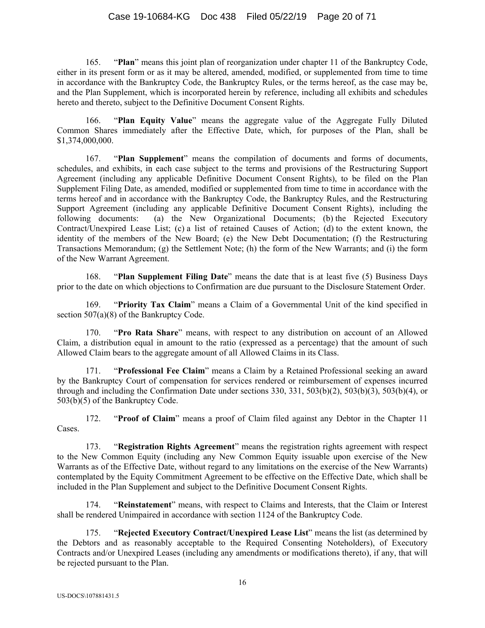# Case 19-10684-KG Doc 438 Filed 05/22/19 Page 20 of 71

165. "**Plan**" means this joint plan of reorganization under chapter 11 of the Bankruptcy Code, either in its present form or as it may be altered, amended, modified, or supplemented from time to time in accordance with the Bankruptcy Code, the Bankruptcy Rules, or the terms hereof, as the case may be, and the Plan Supplement, which is incorporated herein by reference, including all exhibits and schedules hereto and thereto, subject to the Definitive Document Consent Rights.

166. "**Plan Equity Value**" means the aggregate value of the Aggregate Fully Diluted Common Shares immediately after the Effective Date, which, for purposes of the Plan, shall be \$1,374,000,000.

167. "**Plan Supplement**" means the compilation of documents and forms of documents, schedules, and exhibits, in each case subject to the terms and provisions of the Restructuring Support Agreement (including any applicable Definitive Document Consent Rights), to be filed on the Plan Supplement Filing Date, as amended, modified or supplemented from time to time in accordance with the terms hereof and in accordance with the Bankruptcy Code, the Bankruptcy Rules, and the Restructuring Support Agreement (including any applicable Definitive Document Consent Rights), including the following documents: (a) the New Organizational Documents; (b) the Rejected Executory Contract/Unexpired Lease List; (c) a list of retained Causes of Action; (d) to the extent known, the identity of the members of the New Board; (e) the New Debt Documentation; (f) the Restructuring Transactions Memorandum; (g) the Settlement Note; (h) the form of the New Warrants; and (i) the form of the New Warrant Agreement.

168. "**Plan Supplement Filing Date**" means the date that is at least five (5) Business Days prior to the date on which objections to Confirmation are due pursuant to the Disclosure Statement Order.

169. "**Priority Tax Claim**" means a Claim of a Governmental Unit of the kind specified in section 507(a)(8) of the Bankruptcy Code.

170. "**Pro Rata Share**" means, with respect to any distribution on account of an Allowed Claim, a distribution equal in amount to the ratio (expressed as a percentage) that the amount of such Allowed Claim bears to the aggregate amount of all Allowed Claims in its Class.

171. "**Professional Fee Claim**" means a Claim by a Retained Professional seeking an award by the Bankruptcy Court of compensation for services rendered or reimbursement of expenses incurred through and including the Confirmation Date under sections 330, 331, 503(b)(2), 503(b)(3), 503(b)(4), or 503(b)(5) of the Bankruptcy Code.

172. "**Proof of Claim**" means a proof of Claim filed against any Debtor in the Chapter 11 Cases.

173. "**Registration Rights Agreement**" means the registration rights agreement with respect to the New Common Equity (including any New Common Equity issuable upon exercise of the New Warrants as of the Effective Date, without regard to any limitations on the exercise of the New Warrants) contemplated by the Equity Commitment Agreement to be effective on the Effective Date, which shall be included in the Plan Supplement and subject to the Definitive Document Consent Rights.

174. "**Reinstatement**" means, with respect to Claims and Interests, that the Claim or Interest shall be rendered Unimpaired in accordance with section 1124 of the Bankruptcy Code.

175. "**Rejected Executory Contract/Unexpired Lease List**" means the list (as determined by the Debtors and as reasonably acceptable to the Required Consenting Noteholders), of Executory Contracts and/or Unexpired Leases (including any amendments or modifications thereto), if any, that will be rejected pursuant to the Plan.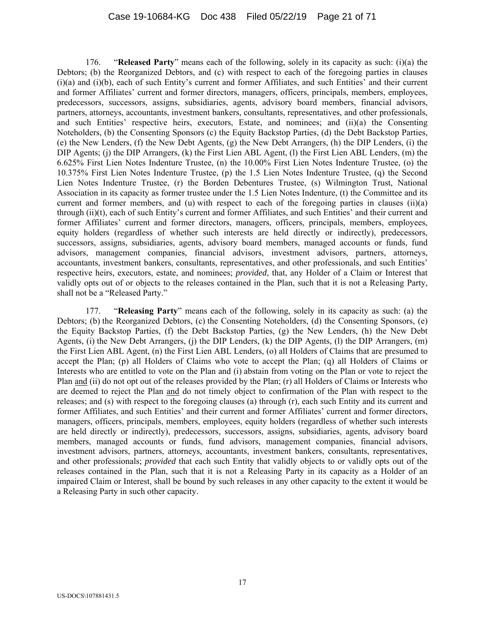176. "**Released Party**" means each of the following, solely in its capacity as such: (i)(a) the Debtors; (b) the Reorganized Debtors, and (c) with respect to each of the foregoing parties in clauses (i)(a) and (i)(b), each of such Entity's current and former Affiliates, and such Entities' and their current and former Affiliates' current and former directors, managers, officers, principals, members, employees, predecessors, successors, assigns, subsidiaries, agents, advisory board members, financial advisors, partners, attorneys, accountants, investment bankers, consultants, representatives, and other professionals, and such Entities' respective heirs, executors, Estate, and nominees; and (ii)(a) the Consenting Noteholders, (b) the Consenting Sponsors (c) the Equity Backstop Parties, (d) the Debt Backstop Parties, (e) the New Lenders, (f) the New Debt Agents, (g) the New Debt Arrangers, (h) the DIP Lenders, (i) the DIP Agents; (j) the DIP Arrangers, (k) the First Lien ABL Agent, (l) the First Lien ABL Lenders, (m) the 6.625% First Lien Notes Indenture Trustee, (n) the 10.00% First Lien Notes Indenture Trustee, (o) the 10.375% First Lien Notes Indenture Trustee, (p) the 1.5 Lien Notes Indenture Trustee, (q) the Second Lien Notes Indenture Trustee, (r) the Borden Debentures Trustee, (s) Wilmington Trust, National Association in its capacity as former trustee under the 1.5 Lien Notes Indenture, (t) the Committee and its current and former members, and (u) with respect to each of the foregoing parties in clauses (ii)(a) through (ii)(t), each of such Entity's current and former Affiliates, and such Entities' and their current and former Affiliates' current and former directors, managers, officers, principals, members, employees, equity holders (regardless of whether such interests are held directly or indirectly), predecessors, successors, assigns, subsidiaries, agents, advisory board members, managed accounts or funds, fund advisors, management companies, financial advisors, investment advisors, partners, attorneys, accountants, investment bankers, consultants, representatives, and other professionals, and such Entities' respective heirs, executors, estate, and nominees; *provided*, that, any Holder of a Claim or Interest that validly opts out of or objects to the releases contained in the Plan, such that it is not a Releasing Party, shall not be a "Released Party."

177. "**Releasing Party**" means each of the following, solely in its capacity as such: (a) the Debtors; (b) the Reorganized Debtors, (c) the Consenting Noteholders, (d) the Consenting Sponsors, (e) the Equity Backstop Parties, (f) the Debt Backstop Parties, (g) the New Lenders, (h) the New Debt Agents, (i) the New Debt Arrangers, (i) the DIP Lenders,  $(k)$  the DIP Agents,  $(l)$  the DIP Arrangers,  $(m)$ the First Lien ABL Agent, (n) the First Lien ABL Lenders, (o) all Holders of Claims that are presumed to accept the Plan; (p) all Holders of Claims who vote to accept the Plan; (q) all Holders of Claims or Interests who are entitled to vote on the Plan and (i) abstain from voting on the Plan or vote to reject the Plan and (ii) do not opt out of the releases provided by the Plan; (r) all Holders of Claims or Interests who are deemed to reject the Plan and do not timely object to confirmation of the Plan with respect to the releases; and (s) with respect to the foregoing clauses (a) through (r), each such Entity and its current and former Affiliates, and such Entities' and their current and former Affiliates' current and former directors, managers, officers, principals, members, employees, equity holders (regardless of whether such interests are held directly or indirectly), predecessors, successors, assigns, subsidiaries, agents, advisory board members, managed accounts or funds, fund advisors, management companies, financial advisors, investment advisors, partners, attorneys, accountants, investment bankers, consultants, representatives, and other professionals; *provided* that each such Entity that validly objects to or validly opts out of the releases contained in the Plan, such that it is not a Releasing Party in its capacity as a Holder of an impaired Claim or Interest, shall be bound by such releases in any other capacity to the extent it would be a Releasing Party in such other capacity.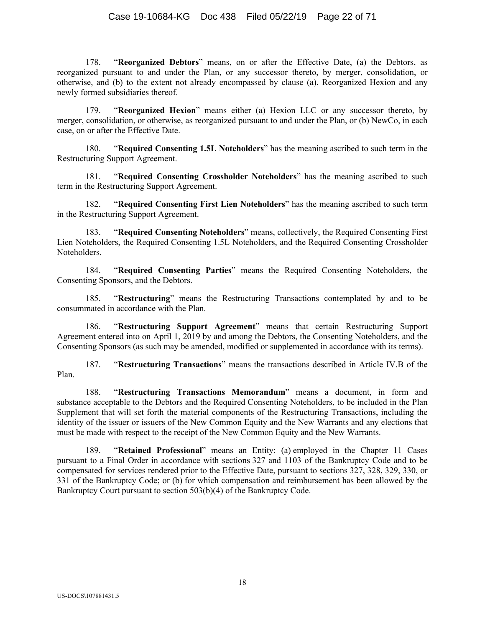178. "**Reorganized Debtors**" means, on or after the Effective Date, (a) the Debtors, as reorganized pursuant to and under the Plan, or any successor thereto, by merger, consolidation, or otherwise, and (b) to the extent not already encompassed by clause (a), Reorganized Hexion and any newly formed subsidiaries thereof.

179. "**Reorganized Hexion**" means either (a) Hexion LLC or any successor thereto, by merger, consolidation, or otherwise, as reorganized pursuant to and under the Plan, or (b) NewCo, in each case, on or after the Effective Date.

180. "**Required Consenting 1.5L Noteholders**" has the meaning ascribed to such term in the Restructuring Support Agreement.

181. "**Required Consenting Crossholder Noteholders**" has the meaning ascribed to such term in the Restructuring Support Agreement.

182. "**Required Consenting First Lien Noteholders**" has the meaning ascribed to such term in the Restructuring Support Agreement.

183. "**Required Consenting Noteholders**" means, collectively, the Required Consenting First Lien Noteholders, the Required Consenting 1.5L Noteholders, and the Required Consenting Crossholder Noteholders.

184. "**Required Consenting Parties**" means the Required Consenting Noteholders, the Consenting Sponsors, and the Debtors.

185. "**Restructuring**" means the Restructuring Transactions contemplated by and to be consummated in accordance with the Plan.

186. "**Restructuring Support Agreement**" means that certain Restructuring Support Agreement entered into on April 1, 2019 by and among the Debtors, the Consenting Noteholders, and the Consenting Sponsors (as such may be amended, modified or supplemented in accordance with its terms).

187. "**Restructuring Transactions**" means the transactions described in Article IV.B of the Plan.

188. "**Restructuring Transactions Memorandum**" means a document, in form and substance acceptable to the Debtors and the Required Consenting Noteholders, to be included in the Plan Supplement that will set forth the material components of the Restructuring Transactions, including the identity of the issuer or issuers of the New Common Equity and the New Warrants and any elections that must be made with respect to the receipt of the New Common Equity and the New Warrants.

189. "**Retained Professional**" means an Entity: (a) employed in the Chapter 11 Cases pursuant to a Final Order in accordance with sections 327 and 1103 of the Bankruptcy Code and to be compensated for services rendered prior to the Effective Date, pursuant to sections 327, 328, 329, 330, or 331 of the Bankruptcy Code; or (b) for which compensation and reimbursement has been allowed by the Bankruptcy Court pursuant to section 503(b)(4) of the Bankruptcy Code.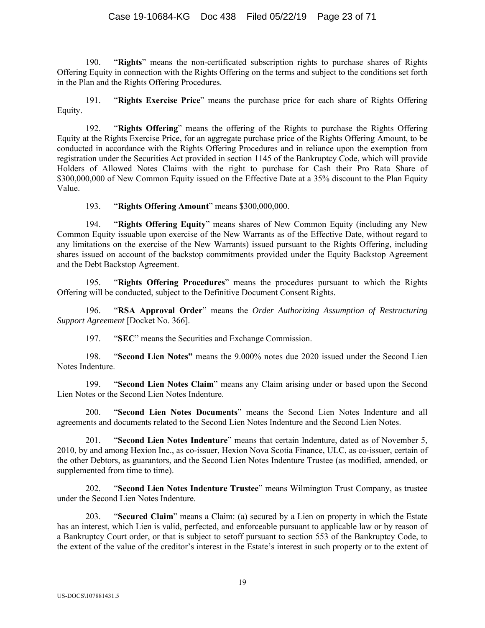190. "**Rights**" means the non-certificated subscription rights to purchase shares of Rights Offering Equity in connection with the Rights Offering on the terms and subject to the conditions set forth in the Plan and the Rights Offering Procedures.

191. "**Rights Exercise Price**" means the purchase price for each share of Rights Offering Equity.

192. "**Rights Offering**" means the offering of the Rights to purchase the Rights Offering Equity at the Rights Exercise Price, for an aggregate purchase price of the Rights Offering Amount, to be conducted in accordance with the Rights Offering Procedures and in reliance upon the exemption from registration under the Securities Act provided in section 1145 of the Bankruptcy Code, which will provide Holders of Allowed Notes Claims with the right to purchase for Cash their Pro Rata Share of \$300,000,000 of New Common Equity issued on the Effective Date at a 35% discount to the Plan Equity Value.

193. "**Rights Offering Amount**" means \$300,000,000.

194. "**Rights Offering Equity**" means shares of New Common Equity (including any New Common Equity issuable upon exercise of the New Warrants as of the Effective Date, without regard to any limitations on the exercise of the New Warrants) issued pursuant to the Rights Offering, including shares issued on account of the backstop commitments provided under the Equity Backstop Agreement and the Debt Backstop Agreement.

195. "**Rights Offering Procedures**" means the procedures pursuant to which the Rights Offering will be conducted, subject to the Definitive Document Consent Rights.

196. "**RSA Approval Order**" means the *Order Authorizing Assumption of Restructuring Support Agreement* [Docket No. 366].

197. "**SEC**" means the Securities and Exchange Commission.

198. "**Second Lien Notes"** means the 9.000% notes due 2020 issued under the Second Lien Notes Indenture.

199. "**Second Lien Notes Claim**" means any Claim arising under or based upon the Second Lien Notes or the Second Lien Notes Indenture.

200. "**Second Lien Notes Documents**" means the Second Lien Notes Indenture and all agreements and documents related to the Second Lien Notes Indenture and the Second Lien Notes.

201. "**Second Lien Notes Indenture**" means that certain Indenture, dated as of November 5, 2010, by and among Hexion Inc., as co-issuer, Hexion Nova Scotia Finance, ULC, as co-issuer, certain of the other Debtors, as guarantors, and the Second Lien Notes Indenture Trustee (as modified, amended, or supplemented from time to time).

202. "**Second Lien Notes Indenture Trustee**" means Wilmington Trust Company, as trustee under the Second Lien Notes Indenture.

203. "**Secured Claim**" means a Claim: (a) secured by a Lien on property in which the Estate has an interest, which Lien is valid, perfected, and enforceable pursuant to applicable law or by reason of a Bankruptcy Court order, or that is subject to setoff pursuant to section 553 of the Bankruptcy Code, to the extent of the value of the creditor's interest in the Estate's interest in such property or to the extent of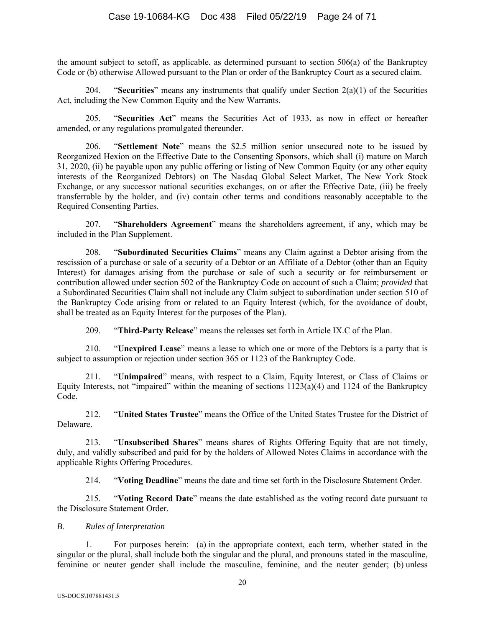the amount subject to setoff, as applicable, as determined pursuant to section 506(a) of the Bankruptcy Code or (b) otherwise Allowed pursuant to the Plan or order of the Bankruptcy Court as a secured claim.

204. "**Securities**" means any instruments that qualify under Section 2(a)(1) of the Securities Act, including the New Common Equity and the New Warrants.

205. "**Securities Act**" means the Securities Act of 1933, as now in effect or hereafter amended, or any regulations promulgated thereunder.

206. "**Settlement Note**" means the \$2.5 million senior unsecured note to be issued by Reorganized Hexion on the Effective Date to the Consenting Sponsors, which shall (i) mature on March 31, 2020, (ii) be payable upon any public offering or listing of New Common Equity (or any other equity interests of the Reorganized Debtors) on The Nasdaq Global Select Market, The New York Stock Exchange, or any successor national securities exchanges, on or after the Effective Date, (iii) be freely transferrable by the holder, and (iv) contain other terms and conditions reasonably acceptable to the Required Consenting Parties.

207. "**Shareholders Agreement**" means the shareholders agreement, if any, which may be included in the Plan Supplement.

208. "**Subordinated Securities Claims**" means any Claim against a Debtor arising from the rescission of a purchase or sale of a security of a Debtor or an Affiliate of a Debtor (other than an Equity Interest) for damages arising from the purchase or sale of such a security or for reimbursement or contribution allowed under section 502 of the Bankruptcy Code on account of such a Claim; *provided* that a Subordinated Securities Claim shall not include any Claim subject to subordination under section 510 of the Bankruptcy Code arising from or related to an Equity Interest (which, for the avoidance of doubt, shall be treated as an Equity Interest for the purposes of the Plan).

209. "**Third-Party Release**" means the releases set forth in Article IX.C of the Plan.

210. "**Unexpired Lease**" means a lease to which one or more of the Debtors is a party that is subject to assumption or rejection under section 365 or 1123 of the Bankruptcy Code.

211. "**Unimpaired**" means, with respect to a Claim, Equity Interest, or Class of Claims or Equity Interests, not "impaired" within the meaning of sections  $1123(a)(4)$  and  $1124$  of the Bankruptcy Code.

212. "**United States Trustee**" means the Office of the United States Trustee for the District of Delaware.

213. "**Unsubscribed Shares**" means shares of Rights Offering Equity that are not timely, duly, and validly subscribed and paid for by the holders of Allowed Notes Claims in accordance with the applicable Rights Offering Procedures.

214. "**Voting Deadline**" means the date and time set forth in the Disclosure Statement Order.

215. "**Voting Record Date**" means the date established as the voting record date pursuant to the Disclosure Statement Order.

#### *B. Rules of Interpretation*

1. For purposes herein: (a) in the appropriate context, each term, whether stated in the singular or the plural, shall include both the singular and the plural, and pronouns stated in the masculine, feminine or neuter gender shall include the masculine, feminine, and the neuter gender; (b) unless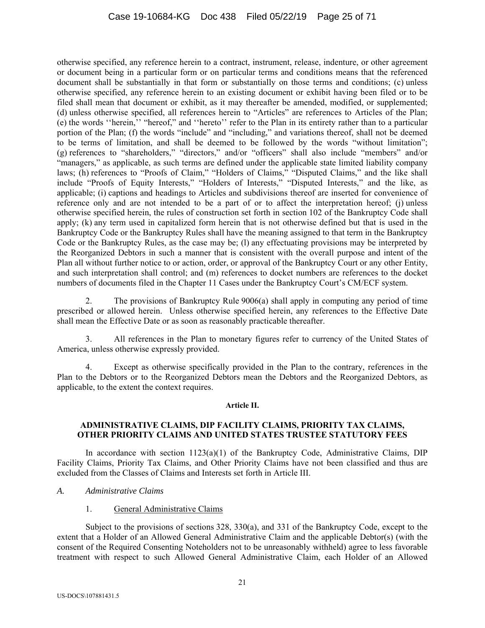otherwise specified, any reference herein to a contract, instrument, release, indenture, or other agreement or document being in a particular form or on particular terms and conditions means that the referenced document shall be substantially in that form or substantially on those terms and conditions; (c) unless otherwise specified, any reference herein to an existing document or exhibit having been filed or to be filed shall mean that document or exhibit, as it may thereafter be amended, modified, or supplemented; (d) unless otherwise specified, all references herein to "Articles" are references to Articles of the Plan; (e) the words ''herein,'' "hereof," and ''hereto'' refer to the Plan in its entirety rather than to a particular portion of the Plan; (f) the words "include" and "including," and variations thereof, shall not be deemed to be terms of limitation, and shall be deemed to be followed by the words "without limitation"; (g) references to "shareholders," "directors," and/or "officers" shall also include "members" and/or "managers," as applicable, as such terms are defined under the applicable state limited liability company laws; (h) references to "Proofs of Claim," "Holders of Claims," "Disputed Claims," and the like shall include "Proofs of Equity Interests," "Holders of Interests," "Disputed Interests," and the like, as applicable; (i) captions and headings to Articles and subdivisions thereof are inserted for convenience of reference only and are not intended to be a part of or to affect the interpretation hereof; (j) unless otherwise specified herein, the rules of construction set forth in section 102 of the Bankruptcy Code shall apply; (k) any term used in capitalized form herein that is not otherwise defined but that is used in the Bankruptcy Code or the Bankruptcy Rules shall have the meaning assigned to that term in the Bankruptcy Code or the Bankruptcy Rules, as the case may be; (l) any effectuating provisions may be interpreted by the Reorganized Debtors in such a manner that is consistent with the overall purpose and intent of the Plan all without further notice to or action, order, or approval of the Bankruptcy Court or any other Entity, and such interpretation shall control; and (m) references to docket numbers are references to the docket numbers of documents filed in the Chapter 11 Cases under the Bankruptcy Court's CM/ECF system.

2. The provisions of Bankruptcy Rule 9006(a) shall apply in computing any period of time prescribed or allowed herein. Unless otherwise specified herein, any references to the Effective Date shall mean the Effective Date or as soon as reasonably practicable thereafter.

3. All references in the Plan to monetary figures refer to currency of the United States of America, unless otherwise expressly provided.

4. Except as otherwise specifically provided in the Plan to the contrary, references in the Plan to the Debtors or to the Reorganized Debtors mean the Debtors and the Reorganized Debtors, as applicable, to the extent the context requires.

#### **Article II.**

### **ADMINISTRATIVE CLAIMS, DIP FACILITY CLAIMS, PRIORITY TAX CLAIMS, OTHER PRIORITY CLAIMS AND UNITED STATES TRUSTEE STATUTORY FEES**

In accordance with section  $1123(a)(1)$  of the Bankruptcy Code, Administrative Claims, DIP Facility Claims, Priority Tax Claims, and Other Priority Claims have not been classified and thus are excluded from the Classes of Claims and Interests set forth in Article III.

#### *A. Administrative Claims*

# 1. General Administrative Claims

Subject to the provisions of sections 328, 330(a), and 331 of the Bankruptcy Code, except to the extent that a Holder of an Allowed General Administrative Claim and the applicable Debtor(s) (with the consent of the Required Consenting Noteholders not to be unreasonably withheld) agree to less favorable treatment with respect to such Allowed General Administrative Claim, each Holder of an Allowed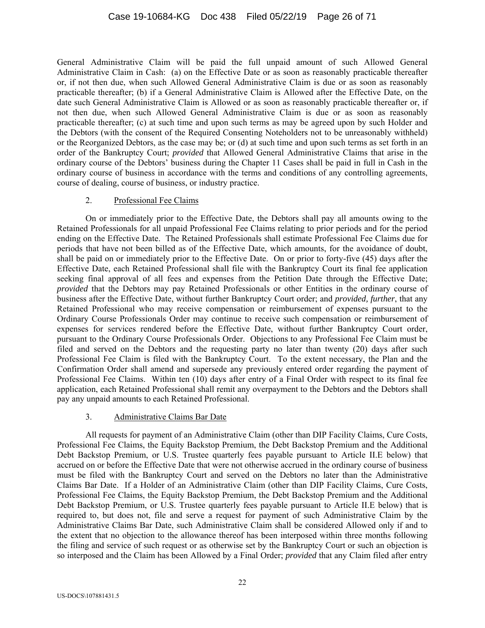General Administrative Claim will be paid the full unpaid amount of such Allowed General Administrative Claim in Cash: (a) on the Effective Date or as soon as reasonably practicable thereafter or, if not then due, when such Allowed General Administrative Claim is due or as soon as reasonably practicable thereafter; (b) if a General Administrative Claim is Allowed after the Effective Date, on the date such General Administrative Claim is Allowed or as soon as reasonably practicable thereafter or, if not then due, when such Allowed General Administrative Claim is due or as soon as reasonably practicable thereafter; (c) at such time and upon such terms as may be agreed upon by such Holder and the Debtors (with the consent of the Required Consenting Noteholders not to be unreasonably withheld) or the Reorganized Debtors, as the case may be; or (d) at such time and upon such terms as set forth in an order of the Bankruptcy Court; *provided* that Allowed General Administrative Claims that arise in the ordinary course of the Debtors' business during the Chapter 11 Cases shall be paid in full in Cash in the ordinary course of business in accordance with the terms and conditions of any controlling agreements, course of dealing, course of business, or industry practice.

# 2. Professional Fee Claims

On or immediately prior to the Effective Date, the Debtors shall pay all amounts owing to the Retained Professionals for all unpaid Professional Fee Claims relating to prior periods and for the period ending on the Effective Date. The Retained Professionals shall estimate Professional Fee Claims due for periods that have not been billed as of the Effective Date, which amounts, for the avoidance of doubt, shall be paid on or immediately prior to the Effective Date. On or prior to forty-five (45) days after the Effective Date, each Retained Professional shall file with the Bankruptcy Court its final fee application seeking final approval of all fees and expenses from the Petition Date through the Effective Date; *provided* that the Debtors may pay Retained Professionals or other Entities in the ordinary course of business after the Effective Date, without further Bankruptcy Court order; and *provided, further*, that any Retained Professional who may receive compensation or reimbursement of expenses pursuant to the Ordinary Course Professionals Order may continue to receive such compensation or reimbursement of expenses for services rendered before the Effective Date, without further Bankruptcy Court order, pursuant to the Ordinary Course Professionals Order. Objections to any Professional Fee Claim must be filed and served on the Debtors and the requesting party no later than twenty (20) days after such Professional Fee Claim is filed with the Bankruptcy Court. To the extent necessary, the Plan and the Confirmation Order shall amend and supersede any previously entered order regarding the payment of Professional Fee Claims. Within ten (10) days after entry of a Final Order with respect to its final fee application, each Retained Professional shall remit any overpayment to the Debtors and the Debtors shall pay any unpaid amounts to each Retained Professional.

# 3. Administrative Claims Bar Date

All requests for payment of an Administrative Claim (other than DIP Facility Claims, Cure Costs, Professional Fee Claims, the Equity Backstop Premium, the Debt Backstop Premium and the Additional Debt Backstop Premium, or U.S. Trustee quarterly fees payable pursuant to Article II.E below) that accrued on or before the Effective Date that were not otherwise accrued in the ordinary course of business must be filed with the Bankruptcy Court and served on the Debtors no later than the Administrative Claims Bar Date. If a Holder of an Administrative Claim (other than DIP Facility Claims, Cure Costs, Professional Fee Claims, the Equity Backstop Premium, the Debt Backstop Premium and the Additional Debt Backstop Premium, or U.S. Trustee quarterly fees payable pursuant to Article II.E below) that is required to, but does not, file and serve a request for payment of such Administrative Claim by the Administrative Claims Bar Date, such Administrative Claim shall be considered Allowed only if and to the extent that no objection to the allowance thereof has been interposed within three months following the filing and service of such request or as otherwise set by the Bankruptcy Court or such an objection is so interposed and the Claim has been Allowed by a Final Order; *provided* that any Claim filed after entry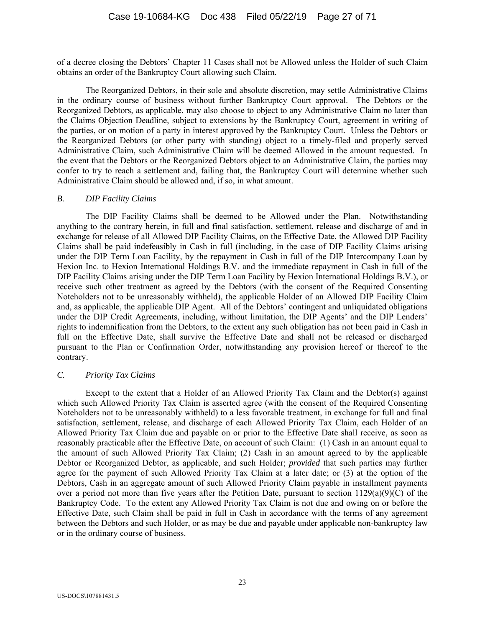of a decree closing the Debtors' Chapter 11 Cases shall not be Allowed unless the Holder of such Claim obtains an order of the Bankruptcy Court allowing such Claim.

The Reorganized Debtors, in their sole and absolute discretion, may settle Administrative Claims in the ordinary course of business without further Bankruptcy Court approval. The Debtors or the Reorganized Debtors, as applicable, may also choose to object to any Administrative Claim no later than the Claims Objection Deadline, subject to extensions by the Bankruptcy Court, agreement in writing of the parties, or on motion of a party in interest approved by the Bankruptcy Court. Unless the Debtors or the Reorganized Debtors (or other party with standing) object to a timely-filed and properly served Administrative Claim, such Administrative Claim will be deemed Allowed in the amount requested. In the event that the Debtors or the Reorganized Debtors object to an Administrative Claim, the parties may confer to try to reach a settlement and, failing that, the Bankruptcy Court will determine whether such Administrative Claim should be allowed and, if so, in what amount.

### *B. DIP Facility Claims*

The DIP Facility Claims shall be deemed to be Allowed under the Plan. Notwithstanding anything to the contrary herein, in full and final satisfaction, settlement, release and discharge of and in exchange for release of all Allowed DIP Facility Claims, on the Effective Date, the Allowed DIP Facility Claims shall be paid indefeasibly in Cash in full (including, in the case of DIP Facility Claims arising under the DIP Term Loan Facility, by the repayment in Cash in full of the DIP Intercompany Loan by Hexion Inc. to Hexion International Holdings B.V. and the immediate repayment in Cash in full of the DIP Facility Claims arising under the DIP Term Loan Facility by Hexion International Holdings B.V.), or receive such other treatment as agreed by the Debtors (with the consent of the Required Consenting Noteholders not to be unreasonably withheld), the applicable Holder of an Allowed DIP Facility Claim and, as applicable, the applicable DIP Agent. All of the Debtors' contingent and unliquidated obligations under the DIP Credit Agreements, including, without limitation, the DIP Agents' and the DIP Lenders' rights to indemnification from the Debtors, to the extent any such obligation has not been paid in Cash in full on the Effective Date, shall survive the Effective Date and shall not be released or discharged pursuant to the Plan or Confirmation Order, notwithstanding any provision hereof or thereof to the contrary.

#### *C. Priority Tax Claims*

Except to the extent that a Holder of an Allowed Priority Tax Claim and the Debtor(s) against which such Allowed Priority Tax Claim is asserted agree (with the consent of the Required Consenting Noteholders not to be unreasonably withheld) to a less favorable treatment, in exchange for full and final satisfaction, settlement, release, and discharge of each Allowed Priority Tax Claim, each Holder of an Allowed Priority Tax Claim due and payable on or prior to the Effective Date shall receive, as soon as reasonably practicable after the Effective Date, on account of such Claim: (1) Cash in an amount equal to the amount of such Allowed Priority Tax Claim; (2) Cash in an amount agreed to by the applicable Debtor or Reorganized Debtor, as applicable, and such Holder; *provided* that such parties may further agree for the payment of such Allowed Priority Tax Claim at a later date; or (3) at the option of the Debtors, Cash in an aggregate amount of such Allowed Priority Claim payable in installment payments over a period not more than five years after the Petition Date, pursuant to section 1129(a)(9)(C) of the Bankruptcy Code. To the extent any Allowed Priority Tax Claim is not due and owing on or before the Effective Date, such Claim shall be paid in full in Cash in accordance with the terms of any agreement between the Debtors and such Holder, or as may be due and payable under applicable non-bankruptcy law or in the ordinary course of business.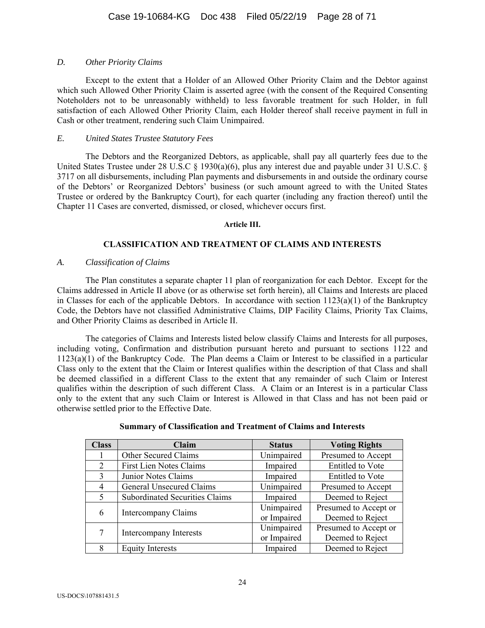### *D. Other Priority Claims*

Except to the extent that a Holder of an Allowed Other Priority Claim and the Debtor against which such Allowed Other Priority Claim is asserted agree (with the consent of the Required Consenting Noteholders not to be unreasonably withheld) to less favorable treatment for such Holder, in full satisfaction of each Allowed Other Priority Claim, each Holder thereof shall receive payment in full in Cash or other treatment, rendering such Claim Unimpaired.

### *E. United States Trustee Statutory Fees*

The Debtors and the Reorganized Debtors, as applicable, shall pay all quarterly fees due to the United States Trustee under 28 U.S.C § 1930(a)(6), plus any interest due and payable under 31 U.S.C. § 3717 on all disbursements, including Plan payments and disbursements in and outside the ordinary course of the Debtors' or Reorganized Debtors' business (or such amount agreed to with the United States Trustee or ordered by the Bankruptcy Court), for each quarter (including any fraction thereof) until the Chapter 11 Cases are converted, dismissed, or closed, whichever occurs first.

#### **Article III.**

# **CLASSIFICATION AND TREATMENT OF CLAIMS AND INTERESTS**

### *A. Classification of Claims*

The Plan constitutes a separate chapter 11 plan of reorganization for each Debtor. Except for the Claims addressed in Article II above (or as otherwise set forth herein), all Claims and Interests are placed in Classes for each of the applicable Debtors. In accordance with section 1123(a)(1) of the Bankruptcy Code, the Debtors have not classified Administrative Claims, DIP Facility Claims, Priority Tax Claims, and Other Priority Claims as described in Article II.

The categories of Claims and Interests listed below classify Claims and Interests for all purposes, including voting, Confirmation and distribution pursuant hereto and pursuant to sections 1122 and 1123(a)(1) of the Bankruptcy Code. The Plan deems a Claim or Interest to be classified in a particular Class only to the extent that the Claim or Interest qualifies within the description of that Class and shall be deemed classified in a different Class to the extent that any remainder of such Claim or Interest qualifies within the description of such different Class. A Claim or an Interest is in a particular Class only to the extent that any such Claim or Interest is Allowed in that Class and has not been paid or otherwise settled prior to the Effective Date.

| <b>Class</b>   | Claim                                 | <b>Status</b> | <b>Voting Rights</b>    |
|----------------|---------------------------------------|---------------|-------------------------|
|                | Other Secured Claims                  | Unimpaired    | Presumed to Accept      |
| 2              | <b>First Lien Notes Claims</b>        | Impaired      | <b>Entitled</b> to Vote |
| $\mathcal{R}$  | Junior Notes Claims                   | Impaired      | <b>Entitled</b> to Vote |
| $\overline{4}$ | General Unsecured Claims              | Unimpaired    | Presumed to Accept      |
| 5              | <b>Subordinated Securities Claims</b> | Impaired      | Deemed to Reject        |
| 6              | Intercompany Claims                   | Unimpaired    | Presumed to Accept or   |
|                |                                       | or Impaired   | Deemed to Reject        |
| 7              | Intercompany Interests                | Unimpaired    | Presumed to Accept or   |
|                |                                       | or Impaired   | Deemed to Reject        |
| 8              | <b>Equity Interests</b>               | Impaired      | Deemed to Reject        |

### **Summary of Classification and Treatment of Claims and Interests**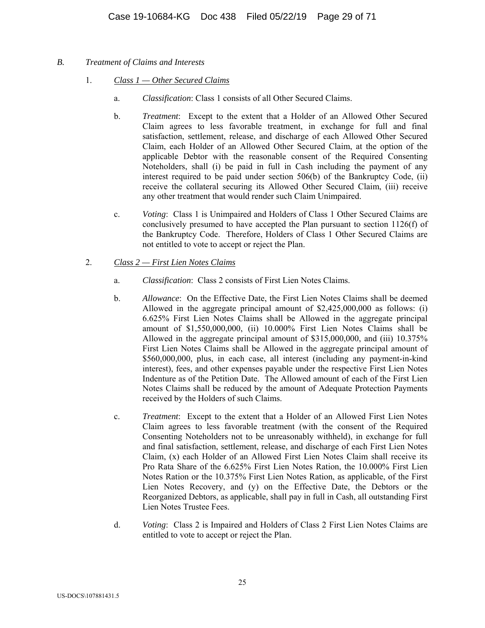- *B. Treatment of Claims and Interests* 
	- 1. *Class 1 Other Secured Claims*
		- a. *Classification*: Class 1 consists of all Other Secured Claims.
		- b. *Treatment*: Except to the extent that a Holder of an Allowed Other Secured Claim agrees to less favorable treatment, in exchange for full and final satisfaction, settlement, release, and discharge of each Allowed Other Secured Claim, each Holder of an Allowed Other Secured Claim, at the option of the applicable Debtor with the reasonable consent of the Required Consenting Noteholders, shall (i) be paid in full in Cash including the payment of any interest required to be paid under section 506(b) of the Bankruptcy Code, (ii) receive the collateral securing its Allowed Other Secured Claim, (iii) receive any other treatment that would render such Claim Unimpaired.
		- c. *Voting*: Class 1 is Unimpaired and Holders of Class 1 Other Secured Claims are conclusively presumed to have accepted the Plan pursuant to section 1126(f) of the Bankruptcy Code. Therefore, Holders of Class 1 Other Secured Claims are not entitled to vote to accept or reject the Plan.
	- 2. *Class 2 First Lien Notes Claims*
		- a. *Classification*: Class 2 consists of First Lien Notes Claims.
		- b. *Allowance*: On the Effective Date, the First Lien Notes Claims shall be deemed Allowed in the aggregate principal amount of \$2,425,000,000 as follows: (i) 6.625% First Lien Notes Claims shall be Allowed in the aggregate principal amount of \$1,550,000,000, (ii) 10.000% First Lien Notes Claims shall be Allowed in the aggregate principal amount of \$315,000,000, and (iii) 10.375% First Lien Notes Claims shall be Allowed in the aggregate principal amount of \$560,000,000, plus, in each case, all interest (including any payment-in-kind interest), fees, and other expenses payable under the respective First Lien Notes Indenture as of the Petition Date. The Allowed amount of each of the First Lien Notes Claims shall be reduced by the amount of Adequate Protection Payments received by the Holders of such Claims.
		- c. *Treatment*: Except to the extent that a Holder of an Allowed First Lien Notes Claim agrees to less favorable treatment (with the consent of the Required Consenting Noteholders not to be unreasonably withheld), in exchange for full and final satisfaction, settlement, release, and discharge of each First Lien Notes Claim, (x) each Holder of an Allowed First Lien Notes Claim shall receive its Pro Rata Share of the 6.625% First Lien Notes Ration, the 10.000% First Lien Notes Ration or the 10.375% First Lien Notes Ration, as applicable, of the First Lien Notes Recovery, and (y) on the Effective Date, the Debtors or the Reorganized Debtors, as applicable, shall pay in full in Cash, all outstanding First Lien Notes Trustee Fees.
		- d. *Voting*: Class 2 is Impaired and Holders of Class 2 First Lien Notes Claims are entitled to vote to accept or reject the Plan.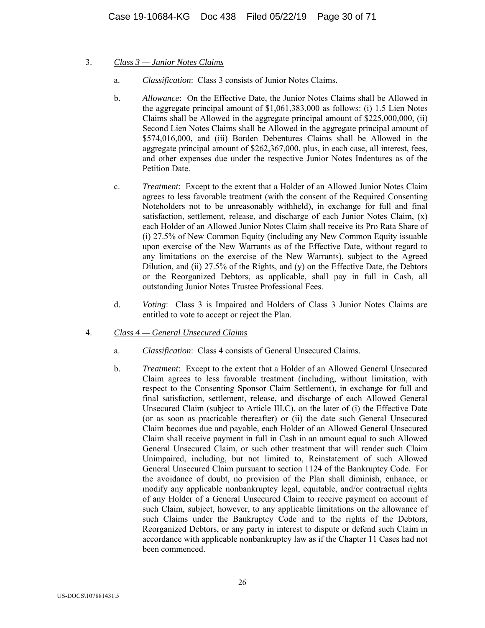- 3. *Class 3 Junior Notes Claims*
	- a. *Classification*: Class 3 consists of Junior Notes Claims.
	- b. *Allowance*: On the Effective Date, the Junior Notes Claims shall be Allowed in the aggregate principal amount of \$1,061,383,000 as follows: (i) 1.5 Lien Notes Claims shall be Allowed in the aggregate principal amount of \$225,000,000, (ii) Second Lien Notes Claims shall be Allowed in the aggregate principal amount of \$574,016,000, and (iii) Borden Debentures Claims shall be Allowed in the aggregate principal amount of \$262,367,000, plus, in each case, all interest, fees, and other expenses due under the respective Junior Notes Indentures as of the Petition Date.
	- c. *Treatment*: Except to the extent that a Holder of an Allowed Junior Notes Claim agrees to less favorable treatment (with the consent of the Required Consenting Noteholders not to be unreasonably withheld), in exchange for full and final satisfaction, settlement, release, and discharge of each Junior Notes Claim,  $(x)$ each Holder of an Allowed Junior Notes Claim shall receive its Pro Rata Share of (i) 27.5% of New Common Equity (including any New Common Equity issuable upon exercise of the New Warrants as of the Effective Date, without regard to any limitations on the exercise of the New Warrants), subject to the Agreed Dilution, and (ii) 27.5% of the Rights, and (y) on the Effective Date, the Debtors or the Reorganized Debtors, as applicable, shall pay in full in Cash, all outstanding Junior Notes Trustee Professional Fees.
	- d. *Voting*: Class 3 is Impaired and Holders of Class 3 Junior Notes Claims are entitled to vote to accept or reject the Plan.
- 4. *Class 4 General Unsecured Claims*
	- a. *Classification*: Class 4 consists of General Unsecured Claims.
	- b. *Treatment*: Except to the extent that a Holder of an Allowed General Unsecured Claim agrees to less favorable treatment (including, without limitation, with respect to the Consenting Sponsor Claim Settlement), in exchange for full and final satisfaction, settlement, release, and discharge of each Allowed General Unsecured Claim (subject to Article III.C), on the later of (i) the Effective Date (or as soon as practicable thereafter) or (ii) the date such General Unsecured Claim becomes due and payable, each Holder of an Allowed General Unsecured Claim shall receive payment in full in Cash in an amount equal to such Allowed General Unsecured Claim, or such other treatment that will render such Claim Unimpaired, including, but not limited to, Reinstatement of such Allowed General Unsecured Claim pursuant to section 1124 of the Bankruptcy Code. For the avoidance of doubt, no provision of the Plan shall diminish, enhance, or modify any applicable nonbankruptcy legal, equitable, and/or contractual rights of any Holder of a General Unsecured Claim to receive payment on account of such Claim, subject, however, to any applicable limitations on the allowance of such Claims under the Bankruptcy Code and to the rights of the Debtors, Reorganized Debtors, or any party in interest to dispute or defend such Claim in accordance with applicable nonbankruptcy law as if the Chapter 11 Cases had not been commenced.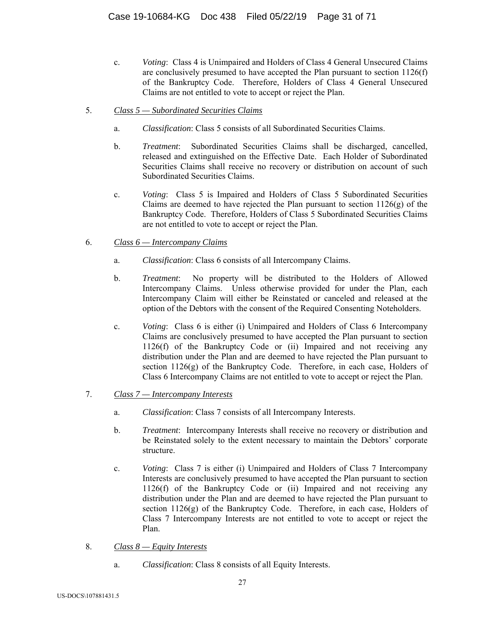- c. *Voting*: Class 4 is Unimpaired and Holders of Class 4 General Unsecured Claims are conclusively presumed to have accepted the Plan pursuant to section 1126(f) of the Bankruptcy Code. Therefore, Holders of Class 4 General Unsecured Claims are not entitled to vote to accept or reject the Plan.
- 5. *Class 5 Subordinated Securities Claims*
	- a. *Classification*: Class 5 consists of all Subordinated Securities Claims.
	- b. *Treatment*: Subordinated Securities Claims shall be discharged, cancelled, released and extinguished on the Effective Date. Each Holder of Subordinated Securities Claims shall receive no recovery or distribution on account of such Subordinated Securities Claims.
	- c. *Voting*: Class 5 is Impaired and Holders of Class 5 Subordinated Securities Claims are deemed to have rejected the Plan pursuant to section  $1126(g)$  of the Bankruptcy Code. Therefore, Holders of Class 5 Subordinated Securities Claims are not entitled to vote to accept or reject the Plan.
- 6. *Class 6 Intercompany Claims*
	- a. *Classification*: Class 6 consists of all Intercompany Claims.
	- b. *Treatment*: No property will be distributed to the Holders of Allowed Intercompany Claims. Unless otherwise provided for under the Plan, each Intercompany Claim will either be Reinstated or canceled and released at the option of the Debtors with the consent of the Required Consenting Noteholders.
	- c. *Voting*: Class 6 is either (i) Unimpaired and Holders of Class 6 Intercompany Claims are conclusively presumed to have accepted the Plan pursuant to section 1126(f) of the Bankruptcy Code or (ii) Impaired and not receiving any distribution under the Plan and are deemed to have rejected the Plan pursuant to section 1126(g) of the Bankruptcy Code. Therefore, in each case, Holders of Class 6 Intercompany Claims are not entitled to vote to accept or reject the Plan.
- 7. *Class 7 Intercompany Interests*
	- a. *Classification*: Class 7 consists of all Intercompany Interests.
	- b. *Treatment*: Intercompany Interests shall receive no recovery or distribution and be Reinstated solely to the extent necessary to maintain the Debtors' corporate structure.
	- c. *Voting*: Class 7 is either (i) Unimpaired and Holders of Class 7 Intercompany Interests are conclusively presumed to have accepted the Plan pursuant to section 1126(f) of the Bankruptcy Code or (ii) Impaired and not receiving any distribution under the Plan and are deemed to have rejected the Plan pursuant to section  $1126(g)$  of the Bankruptcy Code. Therefore, in each case, Holders of Class 7 Intercompany Interests are not entitled to vote to accept or reject the Plan.
- 8. *Class 8 Equity Interests*
	- a. *Classification*: Class 8 consists of all Equity Interests.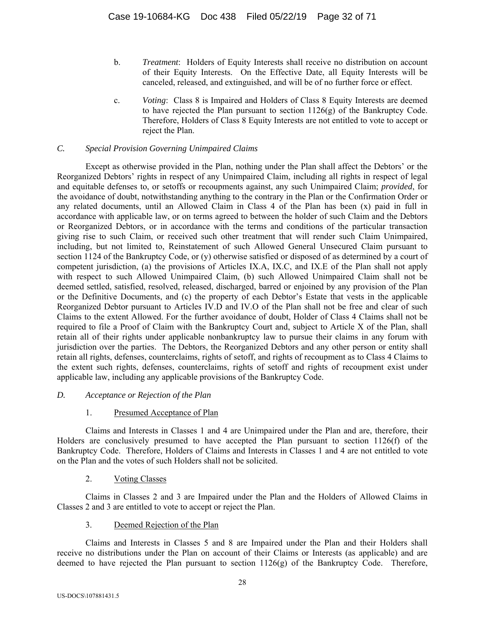- b. *Treatment*: Holders of Equity Interests shall receive no distribution on account of their Equity Interests. On the Effective Date, all Equity Interests will be canceled, released, and extinguished, and will be of no further force or effect.
- c. *Voting*: Class 8 is Impaired and Holders of Class 8 Equity Interests are deemed to have rejected the Plan pursuant to section 1126(g) of the Bankruptcy Code. Therefore, Holders of Class 8 Equity Interests are not entitled to vote to accept or reject the Plan.

# *C. Special Provision Governing Unimpaired Claims*

Except as otherwise provided in the Plan, nothing under the Plan shall affect the Debtors' or the Reorganized Debtors' rights in respect of any Unimpaired Claim, including all rights in respect of legal and equitable defenses to, or setoffs or recoupments against, any such Unimpaired Claim; *provided*, for the avoidance of doubt, notwithstanding anything to the contrary in the Plan or the Confirmation Order or any related documents, until an Allowed Claim in Class 4 of the Plan has been (x) paid in full in accordance with applicable law, or on terms agreed to between the holder of such Claim and the Debtors or Reorganized Debtors, or in accordance with the terms and conditions of the particular transaction giving rise to such Claim, or received such other treatment that will render such Claim Unimpaired, including, but not limited to, Reinstatement of such Allowed General Unsecured Claim pursuant to section 1124 of the Bankruptcy Code, or (y) otherwise satisfied or disposed of as determined by a court of competent jurisdiction, (a) the provisions of Articles IX.A, IX.C, and IX.E of the Plan shall not apply with respect to such Allowed Unimpaired Claim, (b) such Allowed Unimpaired Claim shall not be deemed settled, satisfied, resolved, released, discharged, barred or enjoined by any provision of the Plan or the Definitive Documents, and (c) the property of each Debtor's Estate that vests in the applicable Reorganized Debtor pursuant to Articles IV.D and IV.O of the Plan shall not be free and clear of such Claims to the extent Allowed. For the further avoidance of doubt, Holder of Class 4 Claims shall not be required to file a Proof of Claim with the Bankruptcy Court and, subject to Article X of the Plan, shall retain all of their rights under applicable nonbankruptcy law to pursue their claims in any forum with jurisdiction over the parties. The Debtors, the Reorganized Debtors and any other person or entity shall retain all rights, defenses, counterclaims, rights of setoff, and rights of recoupment as to Class 4 Claims to the extent such rights, defenses, counterclaims, rights of setoff and rights of recoupment exist under applicable law, including any applicable provisions of the Bankruptcy Code.

# *D. Acceptance or Rejection of the Plan*

# 1. Presumed Acceptance of Plan

Claims and Interests in Classes 1 and 4 are Unimpaired under the Plan and are, therefore, their Holders are conclusively presumed to have accepted the Plan pursuant to section 1126(f) of the Bankruptcy Code. Therefore, Holders of Claims and Interests in Classes 1 and 4 are not entitled to vote on the Plan and the votes of such Holders shall not be solicited.

# 2. Voting Classes

Claims in Classes 2 and 3 are Impaired under the Plan and the Holders of Allowed Claims in Classes 2 and 3 are entitled to vote to accept or reject the Plan.

# 3. Deemed Rejection of the Plan

Claims and Interests in Classes 5 and 8 are Impaired under the Plan and their Holders shall receive no distributions under the Plan on account of their Claims or Interests (as applicable) and are deemed to have rejected the Plan pursuant to section 1126(g) of the Bankruptcy Code. Therefore,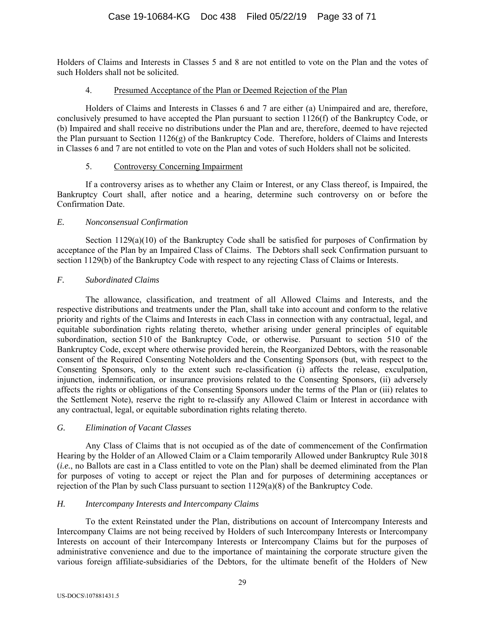Holders of Claims and Interests in Classes 5 and 8 are not entitled to vote on the Plan and the votes of such Holders shall not be solicited.

### 4. Presumed Acceptance of the Plan or Deemed Rejection of the Plan

Holders of Claims and Interests in Classes 6 and 7 are either (a) Unimpaired and are, therefore, conclusively presumed to have accepted the Plan pursuant to section 1126(f) of the Bankruptcy Code, or (b) Impaired and shall receive no distributions under the Plan and are, therefore, deemed to have rejected the Plan pursuant to Section 1126(g) of the Bankruptcy Code. Therefore, holders of Claims and Interests in Classes 6 and 7 are not entitled to vote on the Plan and votes of such Holders shall not be solicited.

# 5. Controversy Concerning Impairment

If a controversy arises as to whether any Claim or Interest, or any Class thereof, is Impaired, the Bankruptcy Court shall, after notice and a hearing, determine such controversy on or before the Confirmation Date.

# *E. Nonconsensual Confirmation*

Section  $1129(a)(10)$  of the Bankruptcy Code shall be satisfied for purposes of Confirmation by acceptance of the Plan by an Impaired Class of Claims. The Debtors shall seek Confirmation pursuant to section 1129(b) of the Bankruptcy Code with respect to any rejecting Class of Claims or Interests.

# *F. Subordinated Claims*

The allowance, classification, and treatment of all Allowed Claims and Interests, and the respective distributions and treatments under the Plan, shall take into account and conform to the relative priority and rights of the Claims and Interests in each Class in connection with any contractual, legal, and equitable subordination rights relating thereto, whether arising under general principles of equitable subordination, section 510 of the Bankruptcy Code, or otherwise. Pursuant to section 510 of the Bankruptcy Code, except where otherwise provided herein, the Reorganized Debtors, with the reasonable consent of the Required Consenting Noteholders and the Consenting Sponsors (but, with respect to the Consenting Sponsors, only to the extent such re-classification (i) affects the release, exculpation, injunction, indemnification, or insurance provisions related to the Consenting Sponsors, (ii) adversely affects the rights or obligations of the Consenting Sponsors under the terms of the Plan or (iii) relates to the Settlement Note), reserve the right to re-classify any Allowed Claim or Interest in accordance with any contractual, legal, or equitable subordination rights relating thereto.

# *G. Elimination of Vacant Classes*

Any Class of Claims that is not occupied as of the date of commencement of the Confirmation Hearing by the Holder of an Allowed Claim or a Claim temporarily Allowed under Bankruptcy Rule 3018 (*i.e.*, no Ballots are cast in a Class entitled to vote on the Plan) shall be deemed eliminated from the Plan for purposes of voting to accept or reject the Plan and for purposes of determining acceptances or rejection of the Plan by such Class pursuant to section 1129(a)(8) of the Bankruptcy Code.

# *H. Intercompany Interests and Intercompany Claims*

 To the extent Reinstated under the Plan, distributions on account of Intercompany Interests and Intercompany Claims are not being received by Holders of such Intercompany Interests or Intercompany Interests on account of their Intercompany Interests or Intercompany Claims but for the purposes of administrative convenience and due to the importance of maintaining the corporate structure given the various foreign affiliate-subsidiaries of the Debtors, for the ultimate benefit of the Holders of New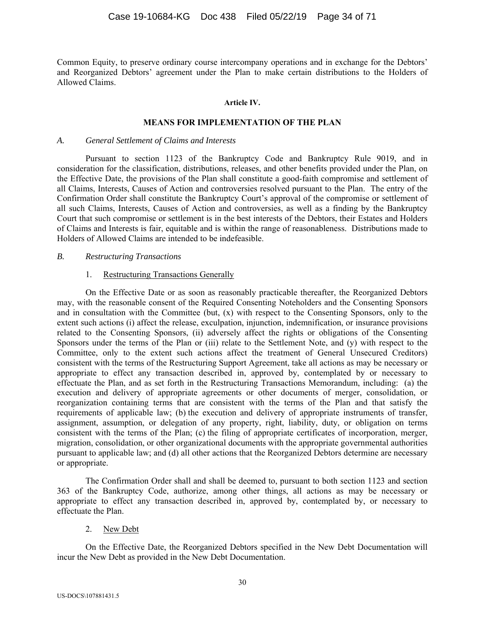Common Equity, to preserve ordinary course intercompany operations and in exchange for the Debtors' and Reorganized Debtors' agreement under the Plan to make certain distributions to the Holders of Allowed Claims.

#### **Article IV.**

#### **MEANS FOR IMPLEMENTATION OF THE PLAN**

#### *A. General Settlement of Claims and Interests*

Pursuant to section 1123 of the Bankruptcy Code and Bankruptcy Rule 9019, and in consideration for the classification, distributions, releases, and other benefits provided under the Plan, on the Effective Date, the provisions of the Plan shall constitute a good-faith compromise and settlement of all Claims, Interests, Causes of Action and controversies resolved pursuant to the Plan. The entry of the Confirmation Order shall constitute the Bankruptcy Court's approval of the compromise or settlement of all such Claims, Interests, Causes of Action and controversies, as well as a finding by the Bankruptcy Court that such compromise or settlement is in the best interests of the Debtors, their Estates and Holders of Claims and Interests is fair, equitable and is within the range of reasonableness. Distributions made to Holders of Allowed Claims are intended to be indefeasible.

#### *B. Restructuring Transactions*

#### 1. Restructuring Transactions Generally

On the Effective Date or as soon as reasonably practicable thereafter, the Reorganized Debtors may, with the reasonable consent of the Required Consenting Noteholders and the Consenting Sponsors and in consultation with the Committee (but, (x) with respect to the Consenting Sponsors, only to the extent such actions (i) affect the release, exculpation, injunction, indemnification, or insurance provisions related to the Consenting Sponsors, (ii) adversely affect the rights or obligations of the Consenting Sponsors under the terms of the Plan or (iii) relate to the Settlement Note, and (y) with respect to the Committee, only to the extent such actions affect the treatment of General Unsecured Creditors) consistent with the terms of the Restructuring Support Agreement, take all actions as may be necessary or appropriate to effect any transaction described in, approved by, contemplated by or necessary to effectuate the Plan, and as set forth in the Restructuring Transactions Memorandum, including: (a) the execution and delivery of appropriate agreements or other documents of merger, consolidation, or reorganization containing terms that are consistent with the terms of the Plan and that satisfy the requirements of applicable law; (b) the execution and delivery of appropriate instruments of transfer, assignment, assumption, or delegation of any property, right, liability, duty, or obligation on terms consistent with the terms of the Plan; (c) the filing of appropriate certificates of incorporation, merger, migration, consolidation, or other organizational documents with the appropriate governmental authorities pursuant to applicable law; and (d) all other actions that the Reorganized Debtors determine are necessary or appropriate.

The Confirmation Order shall and shall be deemed to, pursuant to both section 1123 and section 363 of the Bankruptcy Code, authorize, among other things, all actions as may be necessary or appropriate to effect any transaction described in, approved by, contemplated by, or necessary to effectuate the Plan.

#### 2. New Debt

On the Effective Date, the Reorganized Debtors specified in the New Debt Documentation will incur the New Debt as provided in the New Debt Documentation.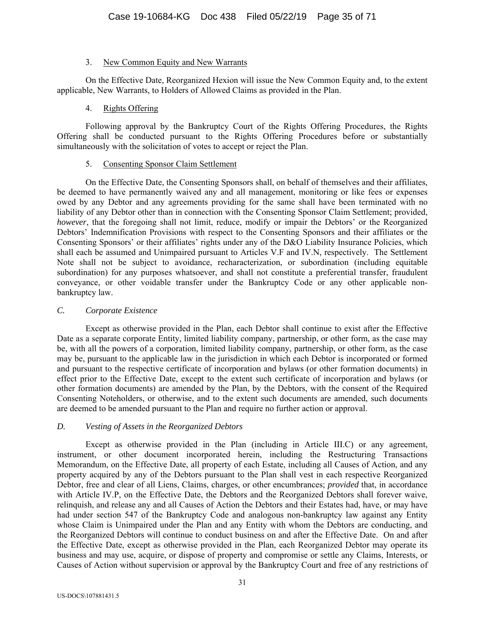### 3. New Common Equity and New Warrants

On the Effective Date, Reorganized Hexion will issue the New Common Equity and, to the extent applicable, New Warrants, to Holders of Allowed Claims as provided in the Plan.

### 4. Rights Offering

Following approval by the Bankruptcy Court of the Rights Offering Procedures, the Rights Offering shall be conducted pursuant to the Rights Offering Procedures before or substantially simultaneously with the solicitation of votes to accept or reject the Plan.

### 5. Consenting Sponsor Claim Settlement

On the Effective Date, the Consenting Sponsors shall, on behalf of themselves and their affiliates, be deemed to have permanently waived any and all management, monitoring or like fees or expenses owed by any Debtor and any agreements providing for the same shall have been terminated with no liability of any Debtor other than in connection with the Consenting Sponsor Claim Settlement; provided, *however*, that the foregoing shall not limit, reduce, modify or impair the Debtors' or the Reorganized Debtors' Indemnification Provisions with respect to the Consenting Sponsors and their affiliates or the Consenting Sponsors' or their affiliates' rights under any of the D&O Liability Insurance Policies, which shall each be assumed and Unimpaired pursuant to Articles V.F and IV.N, respectively. The Settlement Note shall not be subject to avoidance, recharacterization, or subordination (including equitable subordination) for any purposes whatsoever, and shall not constitute a preferential transfer, fraudulent conveyance, or other voidable transfer under the Bankruptcy Code or any other applicable nonbankruptcy law.

### *C. Corporate Existence*

Except as otherwise provided in the Plan, each Debtor shall continue to exist after the Effective Date as a separate corporate Entity, limited liability company, partnership, or other form, as the case may be, with all the powers of a corporation, limited liability company, partnership, or other form, as the case may be, pursuant to the applicable law in the jurisdiction in which each Debtor is incorporated or formed and pursuant to the respective certificate of incorporation and bylaws (or other formation documents) in effect prior to the Effective Date, except to the extent such certificate of incorporation and bylaws (or other formation documents) are amended by the Plan, by the Debtors, with the consent of the Required Consenting Noteholders, or otherwise, and to the extent such documents are amended, such documents are deemed to be amended pursuant to the Plan and require no further action or approval.

# *D. Vesting of Assets in the Reorganized Debtors*

Except as otherwise provided in the Plan (including in Article III.C) or any agreement, instrument, or other document incorporated herein, including the Restructuring Transactions Memorandum, on the Effective Date, all property of each Estate, including all Causes of Action, and any property acquired by any of the Debtors pursuant to the Plan shall vest in each respective Reorganized Debtor, free and clear of all Liens, Claims, charges, or other encumbrances; *provided* that, in accordance with Article IV.P, on the Effective Date, the Debtors and the Reorganized Debtors shall forever waive, relinquish, and release any and all Causes of Action the Debtors and their Estates had, have, or may have had under section 547 of the Bankruptcy Code and analogous non-bankruptcy law against any Entity whose Claim is Unimpaired under the Plan and any Entity with whom the Debtors are conducting, and the Reorganized Debtors will continue to conduct business on and after the Effective Date. On and after the Effective Date, except as otherwise provided in the Plan, each Reorganized Debtor may operate its business and may use, acquire, or dispose of property and compromise or settle any Claims, Interests, or Causes of Action without supervision or approval by the Bankruptcy Court and free of any restrictions of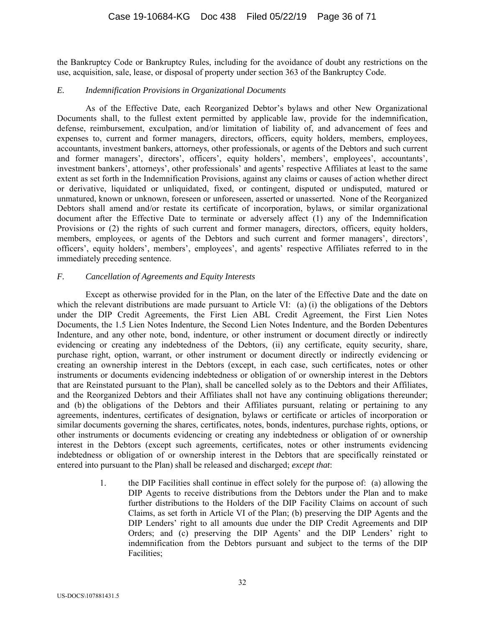the Bankruptcy Code or Bankruptcy Rules, including for the avoidance of doubt any restrictions on the use, acquisition, sale, lease, or disposal of property under section 363 of the Bankruptcy Code.

#### *E. Indemnification Provisions in Organizational Documents*

As of the Effective Date, each Reorganized Debtor's bylaws and other New Organizational Documents shall, to the fullest extent permitted by applicable law, provide for the indemnification, defense, reimbursement, exculpation, and/or limitation of liability of, and advancement of fees and expenses to, current and former managers, directors, officers, equity holders, members, employees, accountants, investment bankers, attorneys, other professionals, or agents of the Debtors and such current and former managers', directors', officers', equity holders', members', employees', accountants', investment bankers', attorneys', other professionals' and agents' respective Affiliates at least to the same extent as set forth in the Indemnification Provisions, against any claims or causes of action whether direct or derivative, liquidated or unliquidated, fixed, or contingent, disputed or undisputed, matured or unmatured, known or unknown, foreseen or unforeseen, asserted or unasserted. None of the Reorganized Debtors shall amend and/or restate its certificate of incorporation, bylaws, or similar organizational document after the Effective Date to terminate or adversely affect (1) any of the Indemnification Provisions or (2) the rights of such current and former managers, directors, officers, equity holders, members, employees, or agents of the Debtors and such current and former managers', directors', officers', equity holders', members', employees', and agents' respective Affiliates referred to in the immediately preceding sentence.

#### *F. Cancellation of Agreements and Equity Interests*

Except as otherwise provided for in the Plan, on the later of the Effective Date and the date on which the relevant distributions are made pursuant to Article VI: (a) (i) the obligations of the Debtors under the DIP Credit Agreements, the First Lien ABL Credit Agreement, the First Lien Notes Documents, the 1.5 Lien Notes Indenture, the Second Lien Notes Indenture, and the Borden Debentures Indenture, and any other note, bond, indenture, or other instrument or document directly or indirectly evidencing or creating any indebtedness of the Debtors, (ii) any certificate, equity security, share, purchase right, option, warrant, or other instrument or document directly or indirectly evidencing or creating an ownership interest in the Debtors (except, in each case, such certificates, notes or other instruments or documents evidencing indebtedness or obligation of or ownership interest in the Debtors that are Reinstated pursuant to the Plan), shall be cancelled solely as to the Debtors and their Affiliates, and the Reorganized Debtors and their Affiliates shall not have any continuing obligations thereunder; and (b) the obligations of the Debtors and their Affiliates pursuant, relating or pertaining to any agreements, indentures, certificates of designation, bylaws or certificate or articles of incorporation or similar documents governing the shares, certificates, notes, bonds, indentures, purchase rights, options, or other instruments or documents evidencing or creating any indebtedness or obligation of or ownership interest in the Debtors (except such agreements, certificates, notes or other instruments evidencing indebtedness or obligation of or ownership interest in the Debtors that are specifically reinstated or entered into pursuant to the Plan) shall be released and discharged; *except that*:

> 1. the DIP Facilities shall continue in effect solely for the purpose of: (a) allowing the DIP Agents to receive distributions from the Debtors under the Plan and to make further distributions to the Holders of the DIP Facility Claims on account of such Claims, as set forth in Article VI of the Plan; (b) preserving the DIP Agents and the DIP Lenders' right to all amounts due under the DIP Credit Agreements and DIP Orders; and (c) preserving the DIP Agents' and the DIP Lenders' right to indemnification from the Debtors pursuant and subject to the terms of the DIP Facilities;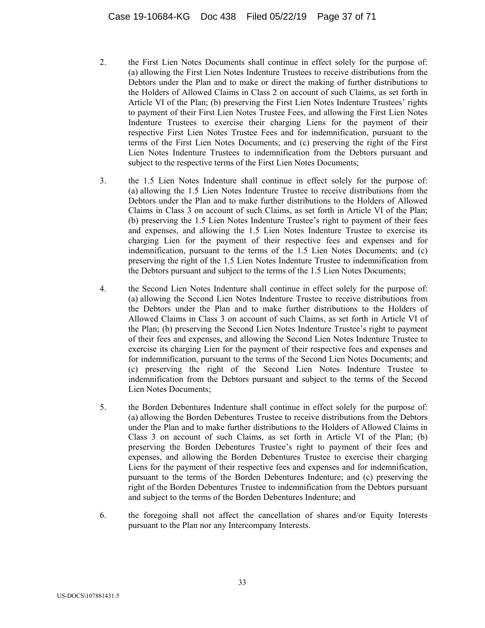- 2. the First Lien Notes Documents shall continue in effect solely for the purpose of: (a) allowing the First Lien Notes Indenture Trustees to receive distributions from the Debtors under the Plan and to make or direct the making of further distributions to the Holders of Allowed Claims in Class 2 on account of such Claims, as set forth in Article VI of the Plan; (b) preserving the First Lien Notes Indenture Trustees' rights to payment of their First Lien Notes Trustee Fees, and allowing the First Lien Notes Indenture Trustees to exercise their charging Liens for the payment of their respective First Lien Notes Trustee Fees and for indemnification, pursuant to the terms of the First Lien Notes Documents; and (c) preserving the right of the First Lien Notes Indenture Trustees to indemnification from the Debtors pursuant and subject to the respective terms of the First Lien Notes Documents;
- 3. the 1.5 Lien Notes Indenture shall continue in effect solely for the purpose of: (a) allowing the 1.5 Lien Notes Indenture Trustee to receive distributions from the Debtors under the Plan and to make further distributions to the Holders of Allowed Claims in Class 3 on account of such Claims, as set forth in Article VI of the Plan; (b) preserving the 1.5 Lien Notes Indenture Trustee's right to payment of their fees and expenses, and allowing the 1.5 Lien Notes Indenture Trustee to exercise its charging Lien for the payment of their respective fees and expenses and for indemnification, pursuant to the terms of the 1.5 Lien Notes Documents; and (c) preserving the right of the 1.5 Lien Notes Indenture Trustee to indemnification from the Debtors pursuant and subject to the terms of the 1.5 Lien Notes Documents;
- 4. the Second Lien Notes Indenture shall continue in effect solely for the purpose of: (a) allowing the Second Lien Notes Indenture Trustee to receive distributions from the Debtors under the Plan and to make further distributions to the Holders of Allowed Claims in Class 3 on account of such Claims, as set forth in Article VI of the Plan; (b) preserving the Second Lien Notes Indenture Trustee's right to payment of their fees and expenses, and allowing the Second Lien Notes Indenture Trustee to exercise its charging Lien for the payment of their respective fees and expenses and for indemnification, pursuant to the terms of the Second Lien Notes Documents; and (c) preserving the right of the Second Lien Notes Indenture Trustee to indemnification from the Debtors pursuant and subject to the terms of the Second Lien Notes Documents;
- 5. the Borden Debentures Indenture shall continue in effect solely for the purpose of: (a) allowing the Borden Debentures Trustee to receive distributions from the Debtors under the Plan and to make further distributions to the Holders of Allowed Claims in Class 3 on account of such Claims, as set forth in Article VI of the Plan; (b) preserving the Borden Debentures Trustee's right to payment of their fees and expenses, and allowing the Borden Debentures Trustee to exercise their charging Liens for the payment of their respective fees and expenses and for indemnification, pursuant to the terms of the Borden Debentures Indenture; and (c) preserving the right of the Borden Debentures Trustee to indemnification from the Debtors pursuant and subject to the terms of the Borden Debentures Indenture; and
- 6. the foregoing shall not affect the cancellation of shares and/or Equity Interests pursuant to the Plan nor any Intercompany Interests.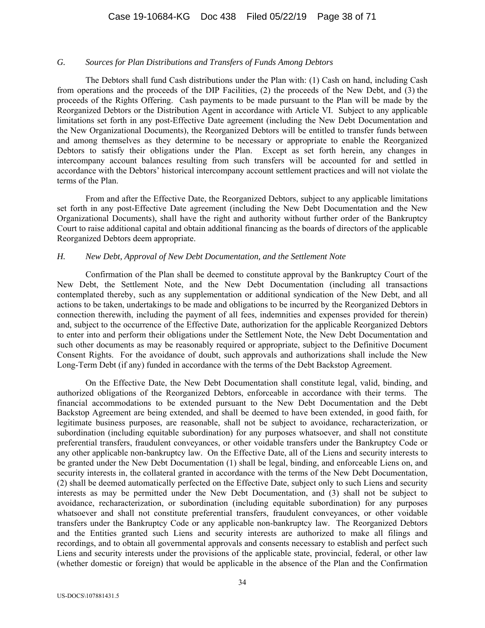#### *G. Sources for Plan Distributions and Transfers of Funds Among Debtors*

The Debtors shall fund Cash distributions under the Plan with: (1) Cash on hand, including Cash from operations and the proceeds of the DIP Facilities, (2) the proceeds of the New Debt, and (3) the proceeds of the Rights Offering. Cash payments to be made pursuant to the Plan will be made by the Reorganized Debtors or the Distribution Agent in accordance with Article VI. Subject to any applicable limitations set forth in any post-Effective Date agreement (including the New Debt Documentation and the New Organizational Documents), the Reorganized Debtors will be entitled to transfer funds between and among themselves as they determine to be necessary or appropriate to enable the Reorganized Debtors to satisfy their obligations under the Plan. Except as set forth herein, any changes in intercompany account balances resulting from such transfers will be accounted for and settled in accordance with the Debtors' historical intercompany account settlement practices and will not violate the terms of the Plan.

From and after the Effective Date, the Reorganized Debtors, subject to any applicable limitations set forth in any post-Effective Date agreement (including the New Debt Documentation and the New Organizational Documents), shall have the right and authority without further order of the Bankruptcy Court to raise additional capital and obtain additional financing as the boards of directors of the applicable Reorganized Debtors deem appropriate.

#### *H. New Debt, Approval of New Debt Documentation, and the Settlement Note*

Confirmation of the Plan shall be deemed to constitute approval by the Bankruptcy Court of the New Debt, the Settlement Note, and the New Debt Documentation (including all transactions contemplated thereby, such as any supplementation or additional syndication of the New Debt, and all actions to be taken, undertakings to be made and obligations to be incurred by the Reorganized Debtors in connection therewith, including the payment of all fees, indemnities and expenses provided for therein) and, subject to the occurrence of the Effective Date, authorization for the applicable Reorganized Debtors to enter into and perform their obligations under the Settlement Note, the New Debt Documentation and such other documents as may be reasonably required or appropriate, subject to the Definitive Document Consent Rights. For the avoidance of doubt, such approvals and authorizations shall include the New Long-Term Debt (if any) funded in accordance with the terms of the Debt Backstop Agreement.

On the Effective Date, the New Debt Documentation shall constitute legal, valid, binding, and authorized obligations of the Reorganized Debtors, enforceable in accordance with their terms. The financial accommodations to be extended pursuant to the New Debt Documentation and the Debt Backstop Agreement are being extended, and shall be deemed to have been extended, in good faith, for legitimate business purposes, are reasonable, shall not be subject to avoidance, recharacterization, or subordination (including equitable subordination) for any purposes whatsoever, and shall not constitute preferential transfers, fraudulent conveyances, or other voidable transfers under the Bankruptcy Code or any other applicable non-bankruptcy law. On the Effective Date, all of the Liens and security interests to be granted under the New Debt Documentation (1) shall be legal, binding, and enforceable Liens on, and security interests in, the collateral granted in accordance with the terms of the New Debt Documentation, (2) shall be deemed automatically perfected on the Effective Date, subject only to such Liens and security interests as may be permitted under the New Debt Documentation, and (3) shall not be subject to avoidance, recharacterization, or subordination (including equitable subordination) for any purposes whatsoever and shall not constitute preferential transfers, fraudulent conveyances, or other voidable transfers under the Bankruptcy Code or any applicable non-bankruptcy law. The Reorganized Debtors and the Entities granted such Liens and security interests are authorized to make all filings and recordings, and to obtain all governmental approvals and consents necessary to establish and perfect such Liens and security interests under the provisions of the applicable state, provincial, federal, or other law (whether domestic or foreign) that would be applicable in the absence of the Plan and the Confirmation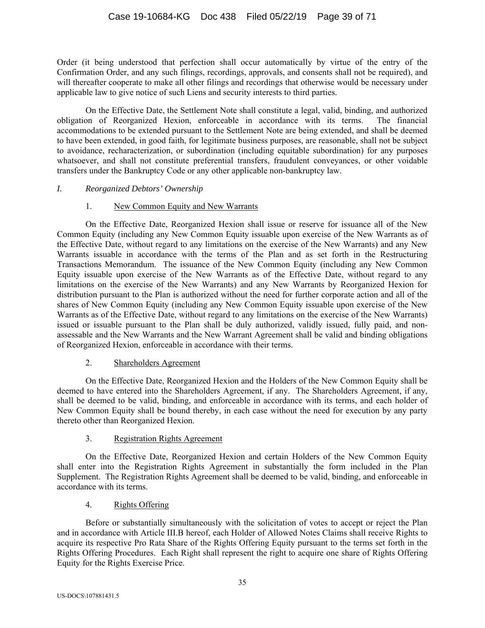Order (it being understood that perfection shall occur automatically by virtue of the entry of the Confirmation Order, and any such filings, recordings, approvals, and consents shall not be required), and will thereafter cooperate to make all other filings and recordings that otherwise would be necessary under applicable law to give notice of such Liens and security interests to third parties.

On the Effective Date, the Settlement Note shall constitute a legal, valid, binding, and authorized obligation of Reorganized Hexion, enforceable in accordance with its terms. The financial accommodations to be extended pursuant to the Settlement Note are being extended, and shall be deemed to have been extended, in good faith, for legitimate business purposes, are reasonable, shall not be subject to avoidance, recharacterization, or subordination (including equitable subordination) for any purposes whatsoever, and shall not constitute preferential transfers, fraudulent conveyances, or other voidable transfers under the Bankruptcy Code or any other applicable non-bankruptcy law.

# *I. Reorganized Debtors' Ownership*

# 1. New Common Equity and New Warrants

On the Effective Date, Reorganized Hexion shall issue or reserve for issuance all of the New Common Equity (including any New Common Equity issuable upon exercise of the New Warrants as of the Effective Date, without regard to any limitations on the exercise of the New Warrants) and any New Warrants issuable in accordance with the terms of the Plan and as set forth in the Restructuring Transactions Memorandum. The issuance of the New Common Equity (including any New Common Equity issuable upon exercise of the New Warrants as of the Effective Date, without regard to any limitations on the exercise of the New Warrants) and any New Warrants by Reorganized Hexion for distribution pursuant to the Plan is authorized without the need for further corporate action and all of the shares of New Common Equity (including any New Common Equity issuable upon exercise of the New Warrants as of the Effective Date, without regard to any limitations on the exercise of the New Warrants) issued or issuable pursuant to the Plan shall be duly authorized, validly issued, fully paid, and nonassessable and the New Warrants and the New Warrant Agreement shall be valid and binding obligations of Reorganized Hexion, enforceable in accordance with their terms.

# 2. Shareholders Agreement

On the Effective Date, Reorganized Hexion and the Holders of the New Common Equity shall be deemed to have entered into the Shareholders Agreement, if any. The Shareholders Agreement, if any, shall be deemed to be valid, binding, and enforceable in accordance with its terms, and each holder of New Common Equity shall be bound thereby, in each case without the need for execution by any party thereto other than Reorganized Hexion.

# 3. Registration Rights Agreement

On the Effective Date, Reorganized Hexion and certain Holders of the New Common Equity shall enter into the Registration Rights Agreement in substantially the form included in the Plan Supplement. The Registration Rights Agreement shall be deemed to be valid, binding, and enforceable in accordance with its terms.

# 4. Rights Offering

Before or substantially simultaneously with the solicitation of votes to accept or reject the Plan and in accordance with Article III.B hereof, each Holder of Allowed Notes Claims shall receive Rights to acquire its respective Pro Rata Share of the Rights Offering Equity pursuant to the terms set forth in the Rights Offering Procedures. Each Right shall represent the right to acquire one share of Rights Offering Equity for the Rights Exercise Price.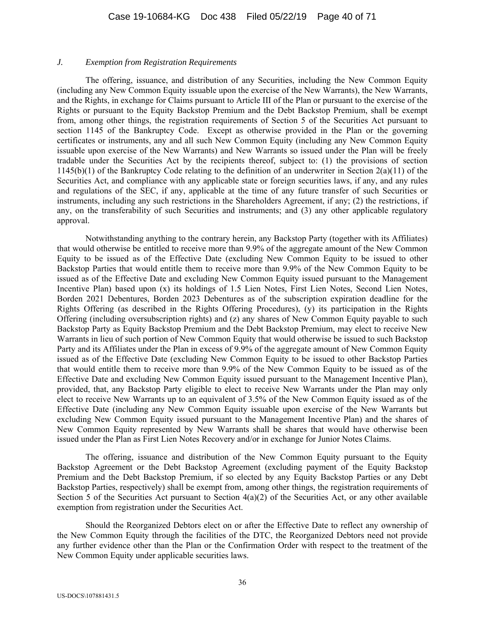#### *J. Exemption from Registration Requirements*

 The offering, issuance, and distribution of any Securities, including the New Common Equity (including any New Common Equity issuable upon the exercise of the New Warrants), the New Warrants, and the Rights, in exchange for Claims pursuant to Article III of the Plan or pursuant to the exercise of the Rights or pursuant to the Equity Backstop Premium and the Debt Backstop Premium, shall be exempt from, among other things, the registration requirements of Section 5 of the Securities Act pursuant to section 1145 of the Bankruptcy Code. Except as otherwise provided in the Plan or the governing certificates or instruments, any and all such New Common Equity (including any New Common Equity issuable upon exercise of the New Warrants) and New Warrants so issued under the Plan will be freely tradable under the Securities Act by the recipients thereof, subject to: (1) the provisions of section 1145(b)(1) of the Bankruptcy Code relating to the definition of an underwriter in Section 2(a)(11) of the Securities Act, and compliance with any applicable state or foreign securities laws, if any, and any rules and regulations of the SEC, if any, applicable at the time of any future transfer of such Securities or instruments, including any such restrictions in the Shareholders Agreement, if any; (2) the restrictions, if any, on the transferability of such Securities and instruments; and (3) any other applicable regulatory approval.

 Notwithstanding anything to the contrary herein, any Backstop Party (together with its Affiliates) that would otherwise be entitled to receive more than 9.9% of the aggregate amount of the New Common Equity to be issued as of the Effective Date (excluding New Common Equity to be issued to other Backstop Parties that would entitle them to receive more than 9.9% of the New Common Equity to be issued as of the Effective Date and excluding New Common Equity issued pursuant to the Management Incentive Plan) based upon (x) its holdings of 1.5 Lien Notes, First Lien Notes, Second Lien Notes, Borden 2021 Debentures, Borden 2023 Debentures as of the subscription expiration deadline for the Rights Offering (as described in the Rights Offering Procedures), (y) its participation in the Rights Offering (including oversubscription rights) and (z) any shares of New Common Equity payable to such Backstop Party as Equity Backstop Premium and the Debt Backstop Premium, may elect to receive New Warrants in lieu of such portion of New Common Equity that would otherwise be issued to such Backstop Party and its Affiliates under the Plan in excess of 9.9% of the aggregate amount of New Common Equity issued as of the Effective Date (excluding New Common Equity to be issued to other Backstop Parties that would entitle them to receive more than 9.9% of the New Common Equity to be issued as of the Effective Date and excluding New Common Equity issued pursuant to the Management Incentive Plan), provided, that, any Backstop Party eligible to elect to receive New Warrants under the Plan may only elect to receive New Warrants up to an equivalent of 3.5% of the New Common Equity issued as of the Effective Date (including any New Common Equity issuable upon exercise of the New Warrants but excluding New Common Equity issued pursuant to the Management Incentive Plan) and the shares of New Common Equity represented by New Warrants shall be shares that would have otherwise been issued under the Plan as First Lien Notes Recovery and/or in exchange for Junior Notes Claims.

 The offering, issuance and distribution of the New Common Equity pursuant to the Equity Backstop Agreement or the Debt Backstop Agreement (excluding payment of the Equity Backstop Premium and the Debt Backstop Premium, if so elected by any Equity Backstop Parties or any Debt Backstop Parties, respectively) shall be exempt from, among other things, the registration requirements of Section 5 of the Securities Act pursuant to Section  $4(a)(2)$  of the Securities Act, or any other available exemption from registration under the Securities Act.

 Should the Reorganized Debtors elect on or after the Effective Date to reflect any ownership of the New Common Equity through the facilities of the DTC, the Reorganized Debtors need not provide any further evidence other than the Plan or the Confirmation Order with respect to the treatment of the New Common Equity under applicable securities laws.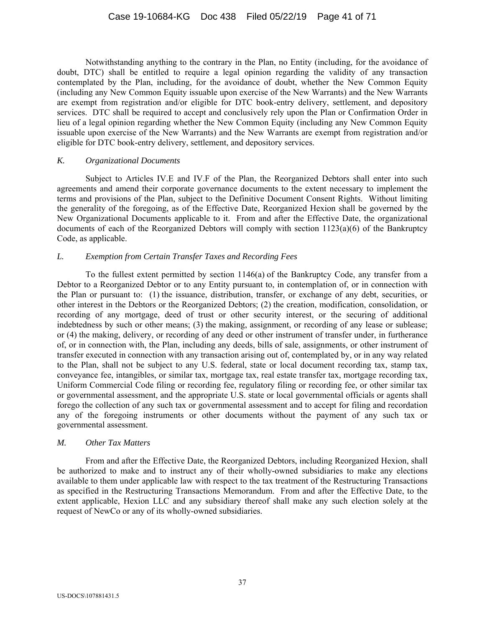Notwithstanding anything to the contrary in the Plan, no Entity (including, for the avoidance of doubt, DTC) shall be entitled to require a legal opinion regarding the validity of any transaction contemplated by the Plan, including, for the avoidance of doubt, whether the New Common Equity (including any New Common Equity issuable upon exercise of the New Warrants) and the New Warrants are exempt from registration and/or eligible for DTC book-entry delivery, settlement, and depository services. DTC shall be required to accept and conclusively rely upon the Plan or Confirmation Order in lieu of a legal opinion regarding whether the New Common Equity (including any New Common Equity issuable upon exercise of the New Warrants) and the New Warrants are exempt from registration and/or eligible for DTC book-entry delivery, settlement, and depository services.

### *K. Organizational Documents*

Subject to Articles IV.E and IV.F of the Plan, the Reorganized Debtors shall enter into such agreements and amend their corporate governance documents to the extent necessary to implement the terms and provisions of the Plan, subject to the Definitive Document Consent Rights. Without limiting the generality of the foregoing, as of the Effective Date, Reorganized Hexion shall be governed by the New Organizational Documents applicable to it. From and after the Effective Date, the organizational documents of each of the Reorganized Debtors will comply with section  $1123(a)(6)$  of the Bankruptcy Code, as applicable.

# *L. Exemption from Certain Transfer Taxes and Recording Fees*

To the fullest extent permitted by section 1146(a) of the Bankruptcy Code, any transfer from a Debtor to a Reorganized Debtor or to any Entity pursuant to, in contemplation of, or in connection with the Plan or pursuant to: (1) the issuance, distribution, transfer, or exchange of any debt, securities, or other interest in the Debtors or the Reorganized Debtors; (2) the creation, modification, consolidation, or recording of any mortgage, deed of trust or other security interest, or the securing of additional indebtedness by such or other means; (3) the making, assignment, or recording of any lease or sublease; or (4) the making, delivery, or recording of any deed or other instrument of transfer under, in furtherance of, or in connection with, the Plan, including any deeds, bills of sale, assignments, or other instrument of transfer executed in connection with any transaction arising out of, contemplated by, or in any way related to the Plan, shall not be subject to any U.S. federal, state or local document recording tax, stamp tax, conveyance fee, intangibles, or similar tax, mortgage tax, real estate transfer tax, mortgage recording tax, Uniform Commercial Code filing or recording fee, regulatory filing or recording fee, or other similar tax or governmental assessment, and the appropriate U.S. state or local governmental officials or agents shall forego the collection of any such tax or governmental assessment and to accept for filing and recordation any of the foregoing instruments or other documents without the payment of any such tax or governmental assessment.

#### *M. Other Tax Matters*

 From and after the Effective Date, the Reorganized Debtors, including Reorganized Hexion, shall be authorized to make and to instruct any of their wholly-owned subsidiaries to make any elections available to them under applicable law with respect to the tax treatment of the Restructuring Transactions as specified in the Restructuring Transactions Memorandum. From and after the Effective Date, to the extent applicable, Hexion LLC and any subsidiary thereof shall make any such election solely at the request of NewCo or any of its wholly-owned subsidiaries.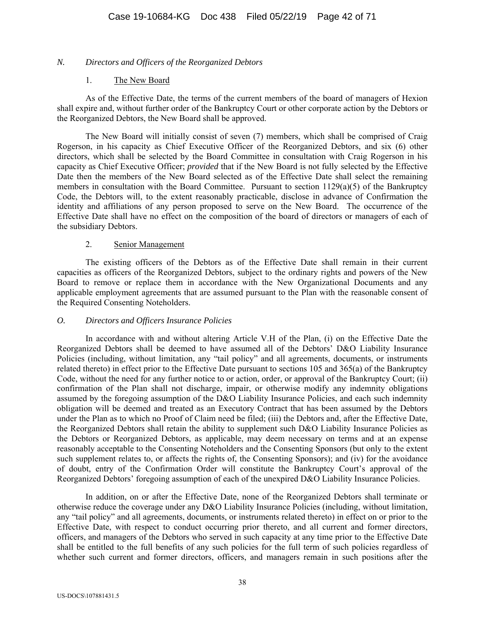# *N. Directors and Officers of the Reorganized Debtors*

### 1. The New Board

As of the Effective Date, the terms of the current members of the board of managers of Hexion shall expire and, without further order of the Bankruptcy Court or other corporate action by the Debtors or the Reorganized Debtors, the New Board shall be approved.

The New Board will initially consist of seven (7) members, which shall be comprised of Craig Rogerson, in his capacity as Chief Executive Officer of the Reorganized Debtors, and six (6) other directors, which shall be selected by the Board Committee in consultation with Craig Rogerson in his capacity as Chief Executive Officer; *provided* that if the New Board is not fully selected by the Effective Date then the members of the New Board selected as of the Effective Date shall select the remaining members in consultation with the Board Committee. Pursuant to section  $1129(a)(5)$  of the Bankruptcy Code, the Debtors will, to the extent reasonably practicable, disclose in advance of Confirmation the identity and affiliations of any person proposed to serve on the New Board. The occurrence of the Effective Date shall have no effect on the composition of the board of directors or managers of each of the subsidiary Debtors.

### 2. Senior Management

 The existing officers of the Debtors as of the Effective Date shall remain in their current capacities as officers of the Reorganized Debtors, subject to the ordinary rights and powers of the New Board to remove or replace them in accordance with the New Organizational Documents and any applicable employment agreements that are assumed pursuant to the Plan with the reasonable consent of the Required Consenting Noteholders.

# *O. Directors and Officers Insurance Policies*

In accordance with and without altering Article V.H of the Plan, (i) on the Effective Date the Reorganized Debtors shall be deemed to have assumed all of the Debtors' D&O Liability Insurance Policies (including, without limitation, any "tail policy" and all agreements, documents, or instruments related thereto) in effect prior to the Effective Date pursuant to sections 105 and 365(a) of the Bankruptcy Code, without the need for any further notice to or action, order, or approval of the Bankruptcy Court; (ii) confirmation of the Plan shall not discharge, impair, or otherwise modify any indemnity obligations assumed by the foregoing assumption of the D&O Liability Insurance Policies, and each such indemnity obligation will be deemed and treated as an Executory Contract that has been assumed by the Debtors under the Plan as to which no Proof of Claim need be filed; (iii) the Debtors and, after the Effective Date, the Reorganized Debtors shall retain the ability to supplement such D&O Liability Insurance Policies as the Debtors or Reorganized Debtors, as applicable, may deem necessary on terms and at an expense reasonably acceptable to the Consenting Noteholders and the Consenting Sponsors (but only to the extent such supplement relates to, or affects the rights of, the Consenting Sponsors); and (iv) for the avoidance of doubt, entry of the Confirmation Order will constitute the Bankruptcy Court's approval of the Reorganized Debtors' foregoing assumption of each of the unexpired D&O Liability Insurance Policies.

In addition, on or after the Effective Date, none of the Reorganized Debtors shall terminate or otherwise reduce the coverage under any D&O Liability Insurance Policies (including, without limitation, any "tail policy" and all agreements, documents, or instruments related thereto) in effect on or prior to the Effective Date, with respect to conduct occurring prior thereto, and all current and former directors, officers, and managers of the Debtors who served in such capacity at any time prior to the Effective Date shall be entitled to the full benefits of any such policies for the full term of such policies regardless of whether such current and former directors, officers, and managers remain in such positions after the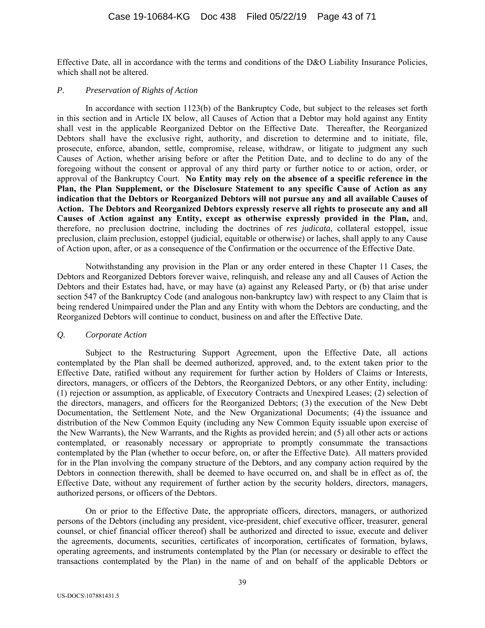Effective Date, all in accordance with the terms and conditions of the D&O Liability Insurance Policies, which shall not be altered.

#### *P. Preservation of Rights of Action*

In accordance with section 1123(b) of the Bankruptcy Code, but subject to the releases set forth in this section and in Article IX below, all Causes of Action that a Debtor may hold against any Entity shall vest in the applicable Reorganized Debtor on the Effective Date. Thereafter, the Reorganized Debtors shall have the exclusive right, authority, and discretion to determine and to initiate, file, prosecute, enforce, abandon, settle, compromise, release, withdraw, or litigate to judgment any such Causes of Action, whether arising before or after the Petition Date, and to decline to do any of the foregoing without the consent or approval of any third party or further notice to or action, order, or approval of the Bankruptcy Court. **No Entity may rely on the absence of a specific reference in the Plan, the Plan Supplement, or the Disclosure Statement to any specific Cause of Action as any indication that the Debtors or Reorganized Debtors will not pursue any and all available Causes of Action. The Debtors and Reorganized Debtors expressly reserve all rights to prosecute any and all Causes of Action against any Entity, except as otherwise expressly provided in the Plan,** and, therefore, no preclusion doctrine, including the doctrines of *res judicata*, collateral estoppel, issue preclusion, claim preclusion, estoppel (judicial, equitable or otherwise) or laches, shall apply to any Cause of Action upon, after, or as a consequence of the Confirmation or the occurrence of the Effective Date.

Notwithstanding any provision in the Plan or any order entered in these Chapter 11 Cases, the Debtors and Reorganized Debtors forever waive, relinquish, and release any and all Causes of Action the Debtors and their Estates had, have, or may have (a) against any Released Party, or (b) that arise under section 547 of the Bankruptcy Code (and analogous non-bankruptcy law) with respect to any Claim that is being rendered Unimpaired under the Plan and any Entity with whom the Debtors are conducting, and the Reorganized Debtors will continue to conduct, business on and after the Effective Date.

#### *Q. Corporate Action*

Subject to the Restructuring Support Agreement, upon the Effective Date, all actions contemplated by the Plan shall be deemed authorized, approved, and, to the extent taken prior to the Effective Date, ratified without any requirement for further action by Holders of Claims or Interests, directors, managers, or officers of the Debtors, the Reorganized Debtors, or any other Entity, including: (1) rejection or assumption, as applicable, of Executory Contracts and Unexpired Leases; (2) selection of the directors, managers, and officers for the Reorganized Debtors; (3) the execution of the New Debt Documentation, the Settlement Note, and the New Organizational Documents; (4) the issuance and distribution of the New Common Equity (including any New Common Equity issuable upon exercise of the New Warrants), the New Warrants, and the Rights as provided herein; and (5) all other acts or actions contemplated, or reasonably necessary or appropriate to promptly consummate the transactions contemplated by the Plan (whether to occur before, on, or after the Effective Date). All matters provided for in the Plan involving the company structure of the Debtors, and any company action required by the Debtors in connection therewith, shall be deemed to have occurred on, and shall be in effect as of, the Effective Date, without any requirement of further action by the security holders, directors, managers, authorized persons, or officers of the Debtors.

On or prior to the Effective Date, the appropriate officers, directors, managers, or authorized persons of the Debtors (including any president, vice-president, chief executive officer, treasurer, general counsel, or chief financial officer thereof) shall be authorized and directed to issue, execute and deliver the agreements, documents, securities, certificates of incorporation, certificates of formation, bylaws, operating agreements, and instruments contemplated by the Plan (or necessary or desirable to effect the transactions contemplated by the Plan) in the name of and on behalf of the applicable Debtors or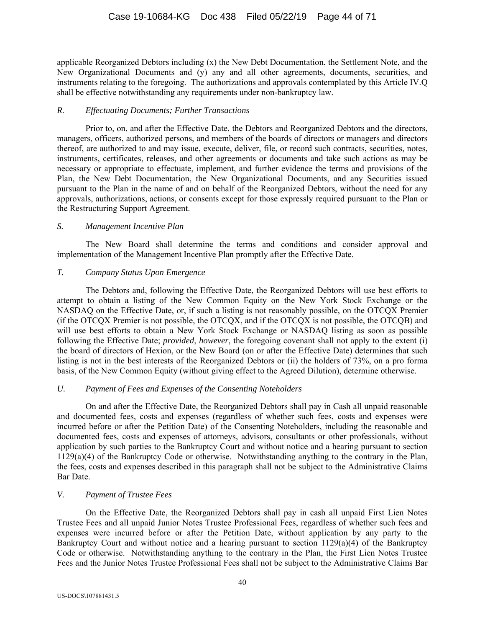applicable Reorganized Debtors including (x) the New Debt Documentation, the Settlement Note, and the New Organizational Documents and (y) any and all other agreements, documents, securities, and instruments relating to the foregoing. The authorizations and approvals contemplated by this Article IV.Q shall be effective notwithstanding any requirements under non-bankruptcy law.

#### *R. Effectuating Documents; Further Transactions*

Prior to, on, and after the Effective Date, the Debtors and Reorganized Debtors and the directors, managers, officers, authorized persons, and members of the boards of directors or managers and directors thereof, are authorized to and may issue, execute, deliver, file, or record such contracts, securities, notes, instruments, certificates, releases, and other agreements or documents and take such actions as may be necessary or appropriate to effectuate, implement, and further evidence the terms and provisions of the Plan, the New Debt Documentation, the New Organizational Documents, and any Securities issued pursuant to the Plan in the name of and on behalf of the Reorganized Debtors, without the need for any approvals, authorizations, actions, or consents except for those expressly required pursuant to the Plan or the Restructuring Support Agreement.

### *S. Management Incentive Plan*

The New Board shall determine the terms and conditions and consider approval and implementation of the Management Incentive Plan promptly after the Effective Date.

# *T. Company Status Upon Emergence*

The Debtors and, following the Effective Date, the Reorganized Debtors will use best efforts to attempt to obtain a listing of the New Common Equity on the New York Stock Exchange or the NASDAQ on the Effective Date, or, if such a listing is not reasonably possible, on the OTCQX Premier (if the OTCQX Premier is not possible, the OTCQX, and if the OTCQX is not possible, the OTCQB) and will use best efforts to obtain a New York Stock Exchange or NASDAQ listing as soon as possible following the Effective Date; *provided*, *however*, the foregoing covenant shall not apply to the extent (i) the board of directors of Hexion, or the New Board (on or after the Effective Date) determines that such listing is not in the best interests of the Reorganized Debtors or (ii) the holders of 73%, on a pro forma basis, of the New Common Equity (without giving effect to the Agreed Dilution), determine otherwise.

# *U. Payment of Fees and Expenses of the Consenting Noteholders*

On and after the Effective Date, the Reorganized Debtors shall pay in Cash all unpaid reasonable and documented fees, costs and expenses (regardless of whether such fees, costs and expenses were incurred before or after the Petition Date) of the Consenting Noteholders, including the reasonable and documented fees, costs and expenses of attorneys, advisors, consultants or other professionals, without application by such parties to the Bankruptcy Court and without notice and a hearing pursuant to section 1129(a)(4) of the Bankruptcy Code or otherwise. Notwithstanding anything to the contrary in the Plan, the fees, costs and expenses described in this paragraph shall not be subject to the Administrative Claims Bar Date.

# *V. Payment of Trustee Fees*

On the Effective Date, the Reorganized Debtors shall pay in cash all unpaid First Lien Notes Trustee Fees and all unpaid Junior Notes Trustee Professional Fees, regardless of whether such fees and expenses were incurred before or after the Petition Date, without application by any party to the Bankruptcy Court and without notice and a hearing pursuant to section  $1129(a)(4)$  of the Bankruptcy Code or otherwise. Notwithstanding anything to the contrary in the Plan, the First Lien Notes Trustee Fees and the Junior Notes Trustee Professional Fees shall not be subject to the Administrative Claims Bar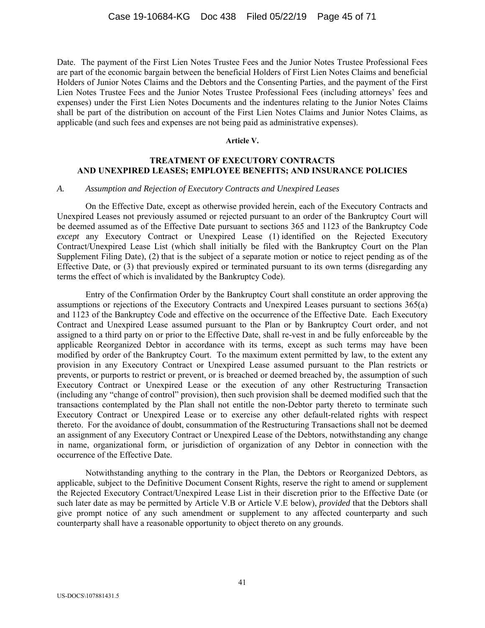Date. The payment of the First Lien Notes Trustee Fees and the Junior Notes Trustee Professional Fees are part of the economic bargain between the beneficial Holders of First Lien Notes Claims and beneficial Holders of Junior Notes Claims and the Debtors and the Consenting Parties, and the payment of the First Lien Notes Trustee Fees and the Junior Notes Trustee Professional Fees (including attorneys' fees and expenses) under the First Lien Notes Documents and the indentures relating to the Junior Notes Claims shall be part of the distribution on account of the First Lien Notes Claims and Junior Notes Claims, as applicable (and such fees and expenses are not being paid as administrative expenses).

#### **Article V.**

# **TREATMENT OF EXECUTORY CONTRACTS AND UNEXPIRED LEASES; EMPLOYEE BENEFITS; AND INSURANCE POLICIES**

#### *A. Assumption and Rejection of Executory Contracts and Unexpired Leases*

On the Effective Date, except as otherwise provided herein, each of the Executory Contracts and Unexpired Leases not previously assumed or rejected pursuant to an order of the Bankruptcy Court will be deemed assumed as of the Effective Date pursuant to sections 365 and 1123 of the Bankruptcy Code *except* any Executory Contract or Unexpired Lease (1) identified on the Rejected Executory Contract/Unexpired Lease List (which shall initially be filed with the Bankruptcy Court on the Plan Supplement Filing Date), (2) that is the subject of a separate motion or notice to reject pending as of the Effective Date, or (3) that previously expired or terminated pursuant to its own terms (disregarding any terms the effect of which is invalidated by the Bankruptcy Code).

Entry of the Confirmation Order by the Bankruptcy Court shall constitute an order approving the assumptions or rejections of the Executory Contracts and Unexpired Leases pursuant to sections 365(a) and 1123 of the Bankruptcy Code and effective on the occurrence of the Effective Date. Each Executory Contract and Unexpired Lease assumed pursuant to the Plan or by Bankruptcy Court order, and not assigned to a third party on or prior to the Effective Date, shall re-vest in and be fully enforceable by the applicable Reorganized Debtor in accordance with its terms, except as such terms may have been modified by order of the Bankruptcy Court. To the maximum extent permitted by law, to the extent any provision in any Executory Contract or Unexpired Lease assumed pursuant to the Plan restricts or prevents, or purports to restrict or prevent, or is breached or deemed breached by, the assumption of such Executory Contract or Unexpired Lease or the execution of any other Restructuring Transaction (including any "change of control" provision), then such provision shall be deemed modified such that the transactions contemplated by the Plan shall not entitle the non-Debtor party thereto to terminate such Executory Contract or Unexpired Lease or to exercise any other default-related rights with respect thereto. For the avoidance of doubt, consummation of the Restructuring Transactions shall not be deemed an assignment of any Executory Contract or Unexpired Lease of the Debtors, notwithstanding any change in name, organizational form, or jurisdiction of organization of any Debtor in connection with the occurrence of the Effective Date.

Notwithstanding anything to the contrary in the Plan, the Debtors or Reorganized Debtors, as applicable, subject to the Definitive Document Consent Rights, reserve the right to amend or supplement the Rejected Executory Contract/Unexpired Lease List in their discretion prior to the Effective Date (or such later date as may be permitted by Article V.B or Article V.E below), *provided* that the Debtors shall give prompt notice of any such amendment or supplement to any affected counterparty and such counterparty shall have a reasonable opportunity to object thereto on any grounds.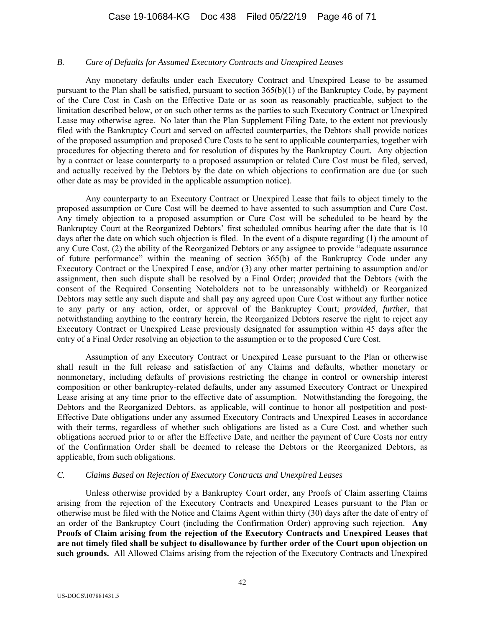#### *B. Cure of Defaults for Assumed Executory Contracts and Unexpired Leases*

Any monetary defaults under each Executory Contract and Unexpired Lease to be assumed pursuant to the Plan shall be satisfied, pursuant to section 365(b)(1) of the Bankruptcy Code, by payment of the Cure Cost in Cash on the Effective Date or as soon as reasonably practicable, subject to the limitation described below, or on such other terms as the parties to such Executory Contract or Unexpired Lease may otherwise agree. No later than the Plan Supplement Filing Date, to the extent not previously filed with the Bankruptcy Court and served on affected counterparties, the Debtors shall provide notices of the proposed assumption and proposed Cure Costs to be sent to applicable counterparties, together with procedures for objecting thereto and for resolution of disputes by the Bankruptcy Court. Any objection by a contract or lease counterparty to a proposed assumption or related Cure Cost must be filed, served, and actually received by the Debtors by the date on which objections to confirmation are due (or such other date as may be provided in the applicable assumption notice).

Any counterparty to an Executory Contract or Unexpired Lease that fails to object timely to the proposed assumption or Cure Cost will be deemed to have assented to such assumption and Cure Cost. Any timely objection to a proposed assumption or Cure Cost will be scheduled to be heard by the Bankruptcy Court at the Reorganized Debtors' first scheduled omnibus hearing after the date that is 10 days after the date on which such objection is filed. In the event of a dispute regarding (1) the amount of any Cure Cost, (2) the ability of the Reorganized Debtors or any assignee to provide "adequate assurance of future performance" within the meaning of section 365(b) of the Bankruptcy Code under any Executory Contract or the Unexpired Lease, and/or (3) any other matter pertaining to assumption and/or assignment, then such dispute shall be resolved by a Final Order; *provided* that the Debtors (with the consent of the Required Consenting Noteholders not to be unreasonably withheld) or Reorganized Debtors may settle any such dispute and shall pay any agreed upon Cure Cost without any further notice to any party or any action, order, or approval of the Bankruptcy Court; *provided*, *further*, that notwithstanding anything to the contrary herein, the Reorganized Debtors reserve the right to reject any Executory Contract or Unexpired Lease previously designated for assumption within 45 days after the entry of a Final Order resolving an objection to the assumption or to the proposed Cure Cost.

Assumption of any Executory Contract or Unexpired Lease pursuant to the Plan or otherwise shall result in the full release and satisfaction of any Claims and defaults, whether monetary or nonmonetary, including defaults of provisions restricting the change in control or ownership interest composition or other bankruptcy-related defaults, under any assumed Executory Contract or Unexpired Lease arising at any time prior to the effective date of assumption. Notwithstanding the foregoing, the Debtors and the Reorganized Debtors, as applicable, will continue to honor all postpetition and post-Effective Date obligations under any assumed Executory Contracts and Unexpired Leases in accordance with their terms, regardless of whether such obligations are listed as a Cure Cost, and whether such obligations accrued prior to or after the Effective Date, and neither the payment of Cure Costs nor entry of the Confirmation Order shall be deemed to release the Debtors or the Reorganized Debtors, as applicable, from such obligations.

### *C. Claims Based on Rejection of Executory Contracts and Unexpired Leases*

Unless otherwise provided by a Bankruptcy Court order, any Proofs of Claim asserting Claims arising from the rejection of the Executory Contracts and Unexpired Leases pursuant to the Plan or otherwise must be filed with the Notice and Claims Agent within thirty (30) days after the date of entry of an order of the Bankruptcy Court (including the Confirmation Order) approving such rejection. **Any Proofs of Claim arising from the rejection of the Executory Contracts and Unexpired Leases that are not timely filed shall be subject to disallowance by further order of the Court upon objection on such grounds.** All Allowed Claims arising from the rejection of the Executory Contracts and Unexpired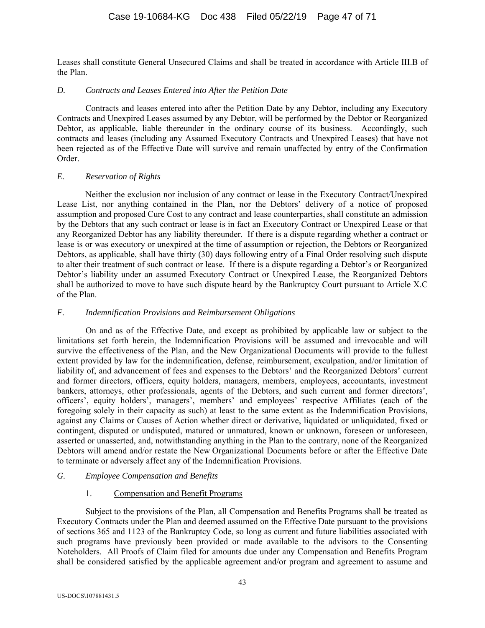Leases shall constitute General Unsecured Claims and shall be treated in accordance with Article III.B of the Plan.

### *D. Contracts and Leases Entered into After the Petition Date*

Contracts and leases entered into after the Petition Date by any Debtor, including any Executory Contracts and Unexpired Leases assumed by any Debtor, will be performed by the Debtor or Reorganized Debtor, as applicable, liable thereunder in the ordinary course of its business. Accordingly, such contracts and leases (including any Assumed Executory Contracts and Unexpired Leases) that have not been rejected as of the Effective Date will survive and remain unaffected by entry of the Confirmation Order.

# *E. Reservation of Rights*

Neither the exclusion nor inclusion of any contract or lease in the Executory Contract/Unexpired Lease List, nor anything contained in the Plan, nor the Debtors' delivery of a notice of proposed assumption and proposed Cure Cost to any contract and lease counterparties, shall constitute an admission by the Debtors that any such contract or lease is in fact an Executory Contract or Unexpired Lease or that any Reorganized Debtor has any liability thereunder. If there is a dispute regarding whether a contract or lease is or was executory or unexpired at the time of assumption or rejection, the Debtors or Reorganized Debtors, as applicable, shall have thirty (30) days following entry of a Final Order resolving such dispute to alter their treatment of such contract or lease. If there is a dispute regarding a Debtor's or Reorganized Debtor's liability under an assumed Executory Contract or Unexpired Lease, the Reorganized Debtors shall be authorized to move to have such dispute heard by the Bankruptcy Court pursuant to Article X.C of the Plan.

### *F. Indemnification Provisions and Reimbursement Obligations*

On and as of the Effective Date, and except as prohibited by applicable law or subject to the limitations set forth herein, the Indemnification Provisions will be assumed and irrevocable and will survive the effectiveness of the Plan, and the New Organizational Documents will provide to the fullest extent provided by law for the indemnification, defense, reimbursement, exculpation, and/or limitation of liability of, and advancement of fees and expenses to the Debtors' and the Reorganized Debtors' current and former directors, officers, equity holders, managers, members, employees, accountants, investment bankers, attorneys, other professionals, agents of the Debtors, and such current and former directors', officers', equity holders', managers', members' and employees' respective Affiliates (each of the foregoing solely in their capacity as such) at least to the same extent as the Indemnification Provisions, against any Claims or Causes of Action whether direct or derivative, liquidated or unliquidated, fixed or contingent, disputed or undisputed, matured or unmatured, known or unknown, foreseen or unforeseen, asserted or unasserted, and, notwithstanding anything in the Plan to the contrary, none of the Reorganized Debtors will amend and/or restate the New Organizational Documents before or after the Effective Date to terminate or adversely affect any of the Indemnification Provisions.

# *G. Employee Compensation and Benefits*

# 1. Compensation and Benefit Programs

Subject to the provisions of the Plan, all Compensation and Benefits Programs shall be treated as Executory Contracts under the Plan and deemed assumed on the Effective Date pursuant to the provisions of sections 365 and 1123 of the Bankruptcy Code, so long as current and future liabilities associated with such programs have previously been provided or made available to the advisors to the Consenting Noteholders. All Proofs of Claim filed for amounts due under any Compensation and Benefits Program shall be considered satisfied by the applicable agreement and/or program and agreement to assume and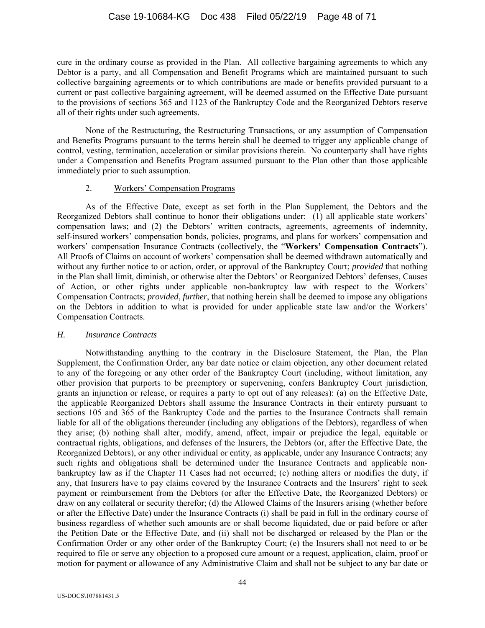cure in the ordinary course as provided in the Plan. All collective bargaining agreements to which any Debtor is a party, and all Compensation and Benefit Programs which are maintained pursuant to such collective bargaining agreements or to which contributions are made or benefits provided pursuant to a current or past collective bargaining agreement, will be deemed assumed on the Effective Date pursuant to the provisions of sections 365 and 1123 of the Bankruptcy Code and the Reorganized Debtors reserve all of their rights under such agreements.

None of the Restructuring, the Restructuring Transactions, or any assumption of Compensation and Benefits Programs pursuant to the terms herein shall be deemed to trigger any applicable change of control, vesting, termination, acceleration or similar provisions therein. No counterparty shall have rights under a Compensation and Benefits Program assumed pursuant to the Plan other than those applicable immediately prior to such assumption.

### 2. Workers' Compensation Programs

As of the Effective Date, except as set forth in the Plan Supplement, the Debtors and the Reorganized Debtors shall continue to honor their obligations under: (1) all applicable state workers' compensation laws; and (2) the Debtors' written contracts, agreements, agreements of indemnity, self-insured workers' compensation bonds, policies, programs, and plans for workers' compensation and workers' compensation Insurance Contracts (collectively, the "**Workers' Compensation Contracts**"). All Proofs of Claims on account of workers' compensation shall be deemed withdrawn automatically and without any further notice to or action, order, or approval of the Bankruptcy Court; *provided* that nothing in the Plan shall limit, diminish, or otherwise alter the Debtors' or Reorganized Debtors' defenses, Causes of Action, or other rights under applicable non-bankruptcy law with respect to the Workers' Compensation Contracts; *provided*, *further*, that nothing herein shall be deemed to impose any obligations on the Debtors in addition to what is provided for under applicable state law and/or the Workers' Compensation Contracts.

#### *H. Insurance Contracts*

Notwithstanding anything to the contrary in the Disclosure Statement, the Plan, the Plan Supplement, the Confirmation Order, any bar date notice or claim objection, any other document related to any of the foregoing or any other order of the Bankruptcy Court (including, without limitation, any other provision that purports to be preemptory or supervening, confers Bankruptcy Court jurisdiction, grants an injunction or release, or requires a party to opt out of any releases): (a) on the Effective Date, the applicable Reorganized Debtors shall assume the Insurance Contracts in their entirety pursuant to sections 105 and 365 of the Bankruptcy Code and the parties to the Insurance Contracts shall remain liable for all of the obligations thereunder (including any obligations of the Debtors), regardless of when they arise; (b) nothing shall alter, modify, amend, affect, impair or prejudice the legal, equitable or contractual rights, obligations, and defenses of the Insurers, the Debtors (or, after the Effective Date, the Reorganized Debtors), or any other individual or entity, as applicable, under any Insurance Contracts; any such rights and obligations shall be determined under the Insurance Contracts and applicable nonbankruptcy law as if the Chapter 11 Cases had not occurred; (c) nothing alters or modifies the duty, if any, that Insurers have to pay claims covered by the Insurance Contracts and the Insurers' right to seek payment or reimbursement from the Debtors (or after the Effective Date, the Reorganized Debtors) or draw on any collateral or security therefor; (d) the Allowed Claims of the Insurers arising (whether before or after the Effective Date) under the Insurance Contracts (i) shall be paid in full in the ordinary course of business regardless of whether such amounts are or shall become liquidated, due or paid before or after the Petition Date or the Effective Date, and (ii) shall not be discharged or released by the Plan or the Confirmation Order or any other order of the Bankruptcy Court; (e) the Insurers shall not need to or be required to file or serve any objection to a proposed cure amount or a request, application, claim, proof or motion for payment or allowance of any Administrative Claim and shall not be subject to any bar date or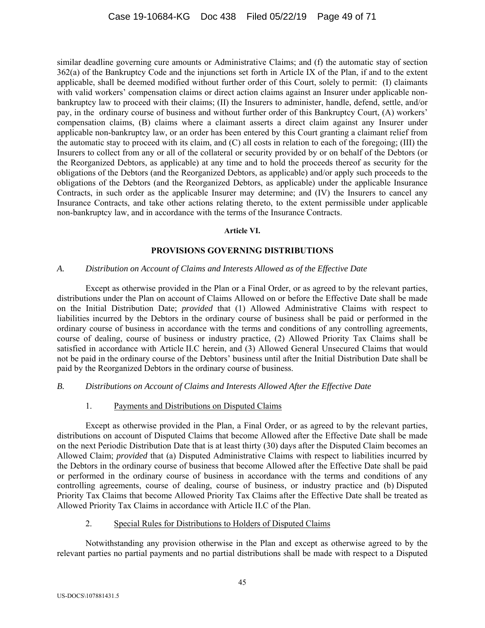similar deadline governing cure amounts or Administrative Claims; and (f) the automatic stay of section 362(a) of the Bankruptcy Code and the injunctions set forth in Article IX of the Plan, if and to the extent applicable, shall be deemed modified without further order of this Court, solely to permit: (I) claimants with valid workers' compensation claims or direct action claims against an Insurer under applicable nonbankruptcy law to proceed with their claims; (II) the Insurers to administer, handle, defend, settle, and/or pay, in the ordinary course of business and without further order of this Bankruptcy Court, (A) workers' compensation claims, (B) claims where a claimant asserts a direct claim against any Insurer under applicable non-bankruptcy law, or an order has been entered by this Court granting a claimant relief from the automatic stay to proceed with its claim, and (C) all costs in relation to each of the foregoing; (III) the Insurers to collect from any or all of the collateral or security provided by or on behalf of the Debtors (or the Reorganized Debtors, as applicable) at any time and to hold the proceeds thereof as security for the obligations of the Debtors (and the Reorganized Debtors, as applicable) and/or apply such proceeds to the obligations of the Debtors (and the Reorganized Debtors, as applicable) under the applicable Insurance Contracts, in such order as the applicable Insurer may determine; and (IV) the Insurers to cancel any Insurance Contracts, and take other actions relating thereto, to the extent permissible under applicable non-bankruptcy law, and in accordance with the terms of the Insurance Contracts.

#### **Article VI.**

# **PROVISIONS GOVERNING DISTRIBUTIONS**

# *A. Distribution on Account of Claims and Interests Allowed as of the Effective Date*

Except as otherwise provided in the Plan or a Final Order, or as agreed to by the relevant parties, distributions under the Plan on account of Claims Allowed on or before the Effective Date shall be made on the Initial Distribution Date; *provided* that (1) Allowed Administrative Claims with respect to liabilities incurred by the Debtors in the ordinary course of business shall be paid or performed in the ordinary course of business in accordance with the terms and conditions of any controlling agreements, course of dealing, course of business or industry practice, (2) Allowed Priority Tax Claims shall be satisfied in accordance with Article II.C herein, and (3) Allowed General Unsecured Claims that would not be paid in the ordinary course of the Debtors' business until after the Initial Distribution Date shall be paid by the Reorganized Debtors in the ordinary course of business.

# *B. Distributions on Account of Claims and Interests Allowed After the Effective Date*

# 1. Payments and Distributions on Disputed Claims

Except as otherwise provided in the Plan, a Final Order, or as agreed to by the relevant parties, distributions on account of Disputed Claims that become Allowed after the Effective Date shall be made on the next Periodic Distribution Date that is at least thirty (30) days after the Disputed Claim becomes an Allowed Claim; *provided* that (a) Disputed Administrative Claims with respect to liabilities incurred by the Debtors in the ordinary course of business that become Allowed after the Effective Date shall be paid or performed in the ordinary course of business in accordance with the terms and conditions of any controlling agreements, course of dealing, course of business, or industry practice and (b) Disputed Priority Tax Claims that become Allowed Priority Tax Claims after the Effective Date shall be treated as Allowed Priority Tax Claims in accordance with Article II.C of the Plan.

# 2. Special Rules for Distributions to Holders of Disputed Claims

Notwithstanding any provision otherwise in the Plan and except as otherwise agreed to by the relevant parties no partial payments and no partial distributions shall be made with respect to a Disputed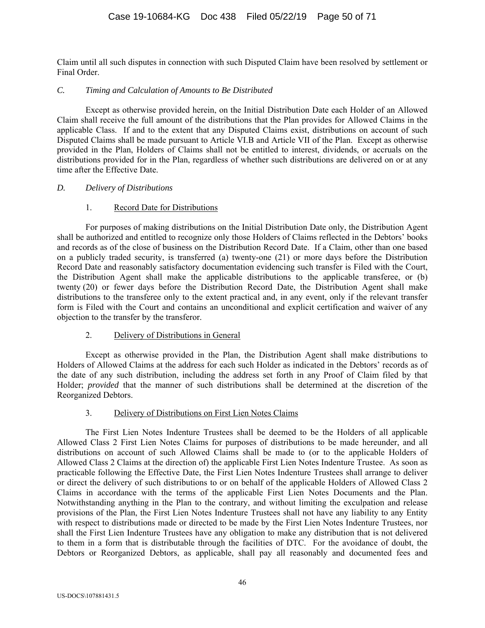Claim until all such disputes in connection with such Disputed Claim have been resolved by settlement or Final Order.

### *C. Timing and Calculation of Amounts to Be Distributed*

Except as otherwise provided herein, on the Initial Distribution Date each Holder of an Allowed Claim shall receive the full amount of the distributions that the Plan provides for Allowed Claims in the applicable Class. If and to the extent that any Disputed Claims exist, distributions on account of such Disputed Claims shall be made pursuant to Article VI.B and Article VII of the Plan. Except as otherwise provided in the Plan, Holders of Claims shall not be entitled to interest, dividends, or accruals on the distributions provided for in the Plan, regardless of whether such distributions are delivered on or at any time after the Effective Date.

### *D. Delivery of Distributions*

# 1. Record Date for Distributions

For purposes of making distributions on the Initial Distribution Date only, the Distribution Agent shall be authorized and entitled to recognize only those Holders of Claims reflected in the Debtors' books and records as of the close of business on the Distribution Record Date. If a Claim, other than one based on a publicly traded security, is transferred (a) twenty-one (21) or more days before the Distribution Record Date and reasonably satisfactory documentation evidencing such transfer is Filed with the Court, the Distribution Agent shall make the applicable distributions to the applicable transferee, or (b) twenty (20) or fewer days before the Distribution Record Date, the Distribution Agent shall make distributions to the transferee only to the extent practical and, in any event, only if the relevant transfer form is Filed with the Court and contains an unconditional and explicit certification and waiver of any objection to the transfer by the transferor.

# 2. Delivery of Distributions in General

Except as otherwise provided in the Plan, the Distribution Agent shall make distributions to Holders of Allowed Claims at the address for each such Holder as indicated in the Debtors' records as of the date of any such distribution, including the address set forth in any Proof of Claim filed by that Holder; *provided* that the manner of such distributions shall be determined at the discretion of the Reorganized Debtors.

# 3. Delivery of Distributions on First Lien Notes Claims

The First Lien Notes Indenture Trustees shall be deemed to be the Holders of all applicable Allowed Class 2 First Lien Notes Claims for purposes of distributions to be made hereunder, and all distributions on account of such Allowed Claims shall be made to (or to the applicable Holders of Allowed Class 2 Claims at the direction of) the applicable First Lien Notes Indenture Trustee. As soon as practicable following the Effective Date, the First Lien Notes Indenture Trustees shall arrange to deliver or direct the delivery of such distributions to or on behalf of the applicable Holders of Allowed Class 2 Claims in accordance with the terms of the applicable First Lien Notes Documents and the Plan. Notwithstanding anything in the Plan to the contrary, and without limiting the exculpation and release provisions of the Plan, the First Lien Notes Indenture Trustees shall not have any liability to any Entity with respect to distributions made or directed to be made by the First Lien Notes Indenture Trustees, nor shall the First Lien Indenture Trustees have any obligation to make any distribution that is not delivered to them in a form that is distributable through the facilities of DTC. For the avoidance of doubt, the Debtors or Reorganized Debtors, as applicable, shall pay all reasonably and documented fees and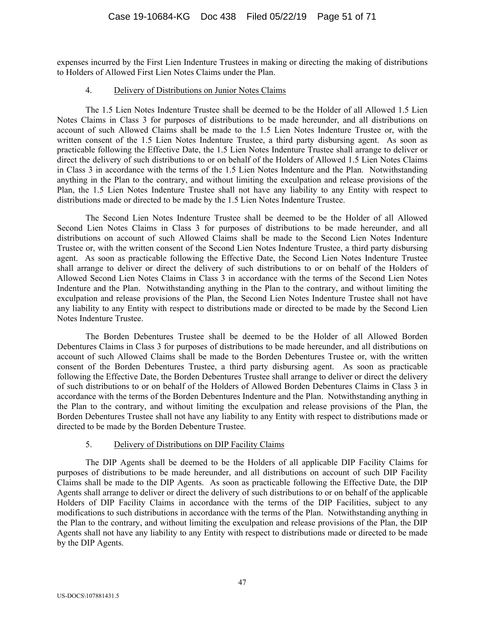expenses incurred by the First Lien Indenture Trustees in making or directing the making of distributions to Holders of Allowed First Lien Notes Claims under the Plan.

#### 4. Delivery of Distributions on Junior Notes Claims

The 1.5 Lien Notes Indenture Trustee shall be deemed to be the Holder of all Allowed 1.5 Lien Notes Claims in Class 3 for purposes of distributions to be made hereunder, and all distributions on account of such Allowed Claims shall be made to the 1.5 Lien Notes Indenture Trustee or, with the written consent of the 1.5 Lien Notes Indenture Trustee, a third party disbursing agent. As soon as practicable following the Effective Date, the 1.5 Lien Notes Indenture Trustee shall arrange to deliver or direct the delivery of such distributions to or on behalf of the Holders of Allowed 1.5 Lien Notes Claims in Class 3 in accordance with the terms of the 1.5 Lien Notes Indenture and the Plan. Notwithstanding anything in the Plan to the contrary, and without limiting the exculpation and release provisions of the Plan, the 1.5 Lien Notes Indenture Trustee shall not have any liability to any Entity with respect to distributions made or directed to be made by the 1.5 Lien Notes Indenture Trustee.

The Second Lien Notes Indenture Trustee shall be deemed to be the Holder of all Allowed Second Lien Notes Claims in Class 3 for purposes of distributions to be made hereunder, and all distributions on account of such Allowed Claims shall be made to the Second Lien Notes Indenture Trustee or, with the written consent of the Second Lien Notes Indenture Trustee, a third party disbursing agent. As soon as practicable following the Effective Date, the Second Lien Notes Indenture Trustee shall arrange to deliver or direct the delivery of such distributions to or on behalf of the Holders of Allowed Second Lien Notes Claims in Class 3 in accordance with the terms of the Second Lien Notes Indenture and the Plan. Notwithstanding anything in the Plan to the contrary, and without limiting the exculpation and release provisions of the Plan, the Second Lien Notes Indenture Trustee shall not have any liability to any Entity with respect to distributions made or directed to be made by the Second Lien Notes Indenture Trustee.

The Borden Debentures Trustee shall be deemed to be the Holder of all Allowed Borden Debentures Claims in Class 3 for purposes of distributions to be made hereunder, and all distributions on account of such Allowed Claims shall be made to the Borden Debentures Trustee or, with the written consent of the Borden Debentures Trustee, a third party disbursing agent. As soon as practicable following the Effective Date, the Borden Debentures Trustee shall arrange to deliver or direct the delivery of such distributions to or on behalf of the Holders of Allowed Borden Debentures Claims in Class 3 in accordance with the terms of the Borden Debentures Indenture and the Plan. Notwithstanding anything in the Plan to the contrary, and without limiting the exculpation and release provisions of the Plan, the Borden Debentures Trustee shall not have any liability to any Entity with respect to distributions made or directed to be made by the Borden Debenture Trustee.

# 5. Delivery of Distributions on DIP Facility Claims

The DIP Agents shall be deemed to be the Holders of all applicable DIP Facility Claims for purposes of distributions to be made hereunder, and all distributions on account of such DIP Facility Claims shall be made to the DIP Agents. As soon as practicable following the Effective Date, the DIP Agents shall arrange to deliver or direct the delivery of such distributions to or on behalf of the applicable Holders of DIP Facility Claims in accordance with the terms of the DIP Facilities, subject to any modifications to such distributions in accordance with the terms of the Plan. Notwithstanding anything in the Plan to the contrary, and without limiting the exculpation and release provisions of the Plan, the DIP Agents shall not have any liability to any Entity with respect to distributions made or directed to be made by the DIP Agents.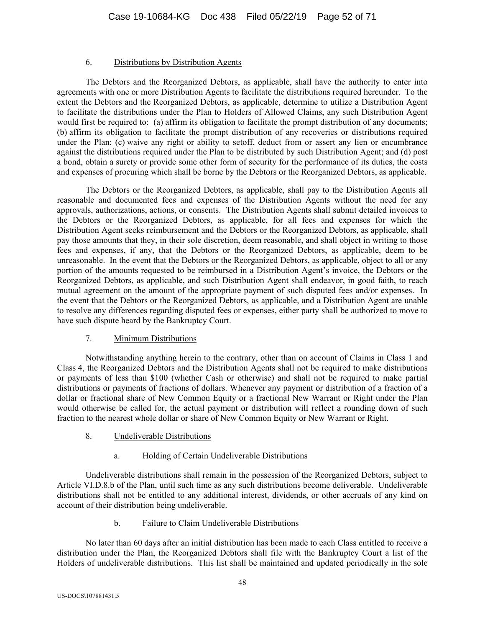### 6. Distributions by Distribution Agents

The Debtors and the Reorganized Debtors, as applicable, shall have the authority to enter into agreements with one or more Distribution Agents to facilitate the distributions required hereunder. To the extent the Debtors and the Reorganized Debtors, as applicable, determine to utilize a Distribution Agent to facilitate the distributions under the Plan to Holders of Allowed Claims, any such Distribution Agent would first be required to: (a) affirm its obligation to facilitate the prompt distribution of any documents; (b) affirm its obligation to facilitate the prompt distribution of any recoveries or distributions required under the Plan; (c) waive any right or ability to setoff, deduct from or assert any lien or encumbrance against the distributions required under the Plan to be distributed by such Distribution Agent; and (d) post a bond, obtain a surety or provide some other form of security for the performance of its duties, the costs and expenses of procuring which shall be borne by the Debtors or the Reorganized Debtors, as applicable.

The Debtors or the Reorganized Debtors, as applicable, shall pay to the Distribution Agents all reasonable and documented fees and expenses of the Distribution Agents without the need for any approvals, authorizations, actions, or consents. The Distribution Agents shall submit detailed invoices to the Debtors or the Reorganized Debtors, as applicable, for all fees and expenses for which the Distribution Agent seeks reimbursement and the Debtors or the Reorganized Debtors, as applicable, shall pay those amounts that they, in their sole discretion, deem reasonable, and shall object in writing to those fees and expenses, if any, that the Debtors or the Reorganized Debtors, as applicable, deem to be unreasonable. In the event that the Debtors or the Reorganized Debtors, as applicable, object to all or any portion of the amounts requested to be reimbursed in a Distribution Agent's invoice, the Debtors or the Reorganized Debtors, as applicable, and such Distribution Agent shall endeavor, in good faith, to reach mutual agreement on the amount of the appropriate payment of such disputed fees and/or expenses. In the event that the Debtors or the Reorganized Debtors, as applicable, and a Distribution Agent are unable to resolve any differences regarding disputed fees or expenses, either party shall be authorized to move to have such dispute heard by the Bankruptcy Court.

# 7. Minimum Distributions

Notwithstanding anything herein to the contrary, other than on account of Claims in Class 1 and Class 4, the Reorganized Debtors and the Distribution Agents shall not be required to make distributions or payments of less than \$100 (whether Cash or otherwise) and shall not be required to make partial distributions or payments of fractions of dollars. Whenever any payment or distribution of a fraction of a dollar or fractional share of New Common Equity or a fractional New Warrant or Right under the Plan would otherwise be called for, the actual payment or distribution will reflect a rounding down of such fraction to the nearest whole dollar or share of New Common Equity or New Warrant or Right.

- 8. Undeliverable Distributions
	- a. Holding of Certain Undeliverable Distributions

Undeliverable distributions shall remain in the possession of the Reorganized Debtors, subject to Article VI.D.8.b of the Plan, until such time as any such distributions become deliverable. Undeliverable distributions shall not be entitled to any additional interest, dividends, or other accruals of any kind on account of their distribution being undeliverable.

b. Failure to Claim Undeliverable Distributions

No later than 60 days after an initial distribution has been made to each Class entitled to receive a distribution under the Plan, the Reorganized Debtors shall file with the Bankruptcy Court a list of the Holders of undeliverable distributions. This list shall be maintained and updated periodically in the sole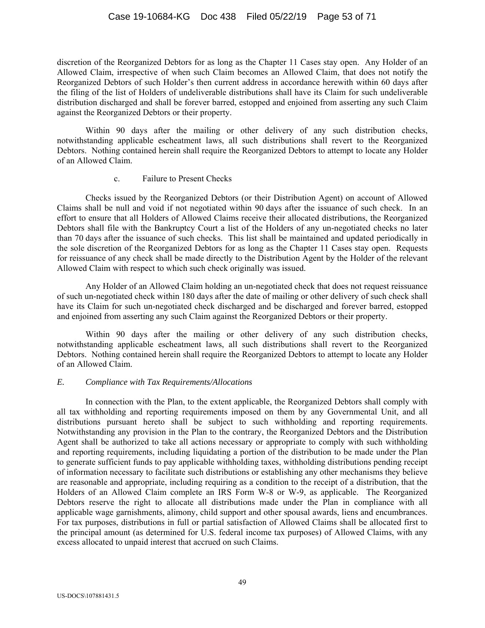discretion of the Reorganized Debtors for as long as the Chapter 11 Cases stay open. Any Holder of an Allowed Claim, irrespective of when such Claim becomes an Allowed Claim, that does not notify the Reorganized Debtors of such Holder's then current address in accordance herewith within 60 days after the filing of the list of Holders of undeliverable distributions shall have its Claim for such undeliverable distribution discharged and shall be forever barred, estopped and enjoined from asserting any such Claim against the Reorganized Debtors or their property.

Within 90 days after the mailing or other delivery of any such distribution checks, notwithstanding applicable escheatment laws, all such distributions shall revert to the Reorganized Debtors. Nothing contained herein shall require the Reorganized Debtors to attempt to locate any Holder of an Allowed Claim.

# c. Failure to Present Checks

Checks issued by the Reorganized Debtors (or their Distribution Agent) on account of Allowed Claims shall be null and void if not negotiated within 90 days after the issuance of such check. In an effort to ensure that all Holders of Allowed Claims receive their allocated distributions, the Reorganized Debtors shall file with the Bankruptcy Court a list of the Holders of any un-negotiated checks no later than 70 days after the issuance of such checks. This list shall be maintained and updated periodically in the sole discretion of the Reorganized Debtors for as long as the Chapter 11 Cases stay open. Requests for reissuance of any check shall be made directly to the Distribution Agent by the Holder of the relevant Allowed Claim with respect to which such check originally was issued.

Any Holder of an Allowed Claim holding an un-negotiated check that does not request reissuance of such un-negotiated check within 180 days after the date of mailing or other delivery of such check shall have its Claim for such un-negotiated check discharged and be discharged and forever barred, estopped and enjoined from asserting any such Claim against the Reorganized Debtors or their property.

Within 90 days after the mailing or other delivery of any such distribution checks, notwithstanding applicable escheatment laws, all such distributions shall revert to the Reorganized Debtors. Nothing contained herein shall require the Reorganized Debtors to attempt to locate any Holder of an Allowed Claim.

# *E. Compliance with Tax Requirements/Allocations*

In connection with the Plan, to the extent applicable, the Reorganized Debtors shall comply with all tax withholding and reporting requirements imposed on them by any Governmental Unit, and all distributions pursuant hereto shall be subject to such withholding and reporting requirements. Notwithstanding any provision in the Plan to the contrary, the Reorganized Debtors and the Distribution Agent shall be authorized to take all actions necessary or appropriate to comply with such withholding and reporting requirements, including liquidating a portion of the distribution to be made under the Plan to generate sufficient funds to pay applicable withholding taxes, withholding distributions pending receipt of information necessary to facilitate such distributions or establishing any other mechanisms they believe are reasonable and appropriate, including requiring as a condition to the receipt of a distribution, that the Holders of an Allowed Claim complete an IRS Form W-8 or W-9, as applicable. The Reorganized Debtors reserve the right to allocate all distributions made under the Plan in compliance with all applicable wage garnishments, alimony, child support and other spousal awards, liens and encumbrances. For tax purposes, distributions in full or partial satisfaction of Allowed Claims shall be allocated first to the principal amount (as determined for U.S. federal income tax purposes) of Allowed Claims, with any excess allocated to unpaid interest that accrued on such Claims.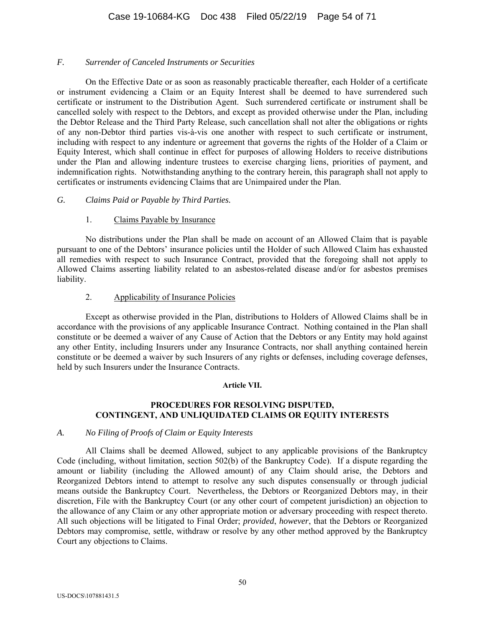### *F. Surrender of Canceled Instruments or Securities*

On the Effective Date or as soon as reasonably practicable thereafter, each Holder of a certificate or instrument evidencing a Claim or an Equity Interest shall be deemed to have surrendered such certificate or instrument to the Distribution Agent. Such surrendered certificate or instrument shall be cancelled solely with respect to the Debtors, and except as provided otherwise under the Plan, including the Debtor Release and the Third Party Release, such cancellation shall not alter the obligations or rights of any non-Debtor third parties vis-à-vis one another with respect to such certificate or instrument, including with respect to any indenture or agreement that governs the rights of the Holder of a Claim or Equity Interest, which shall continue in effect for purposes of allowing Holders to receive distributions under the Plan and allowing indenture trustees to exercise charging liens, priorities of payment, and indemnification rights. Notwithstanding anything to the contrary herein, this paragraph shall not apply to certificates or instruments evidencing Claims that are Unimpaired under the Plan.

### *G. Claims Paid or Payable by Third Parties.*

### 1. Claims Payable by Insurance

No distributions under the Plan shall be made on account of an Allowed Claim that is payable pursuant to one of the Debtors' insurance policies until the Holder of such Allowed Claim has exhausted all remedies with respect to such Insurance Contract, provided that the foregoing shall not apply to Allowed Claims asserting liability related to an asbestos-related disease and/or for asbestos premises liability.

### 2. Applicability of Insurance Policies

Except as otherwise provided in the Plan, distributions to Holders of Allowed Claims shall be in accordance with the provisions of any applicable Insurance Contract. Nothing contained in the Plan shall constitute or be deemed a waiver of any Cause of Action that the Debtors or any Entity may hold against any other Entity, including Insurers under any Insurance Contracts, nor shall anything contained herein constitute or be deemed a waiver by such Insurers of any rights or defenses, including coverage defenses, held by such Insurers under the Insurance Contracts.

#### **Article VII.**

# **PROCEDURES FOR RESOLVING DISPUTED, CONTINGENT, AND UNLIQUIDATED CLAIMS OR EQUITY INTERESTS**

#### *A. No Filing of Proofs of Claim or Equity Interests*

 All Claims shall be deemed Allowed, subject to any applicable provisions of the Bankruptcy Code (including, without limitation, section 502(b) of the Bankruptcy Code). If a dispute regarding the amount or liability (including the Allowed amount) of any Claim should arise, the Debtors and Reorganized Debtors intend to attempt to resolve any such disputes consensually or through judicial means outside the Bankruptcy Court. Nevertheless, the Debtors or Reorganized Debtors may, in their discretion, File with the Bankruptcy Court (or any other court of competent jurisdiction) an objection to the allowance of any Claim or any other appropriate motion or adversary proceeding with respect thereto. All such objections will be litigated to Final Order; *provided*, *however*, that the Debtors or Reorganized Debtors may compromise, settle, withdraw or resolve by any other method approved by the Bankruptcy Court any objections to Claims.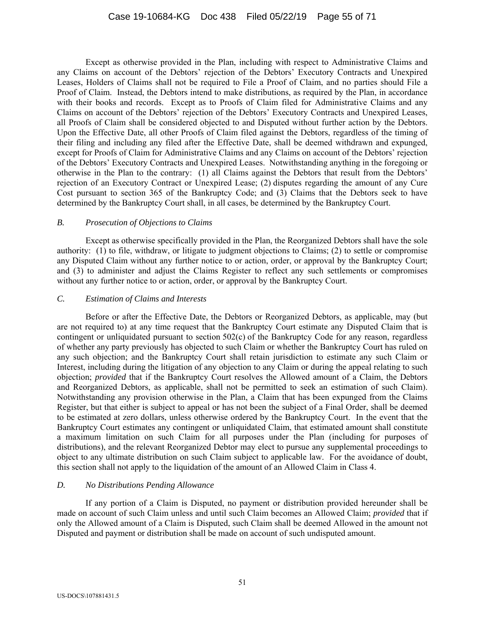Except as otherwise provided in the Plan, including with respect to Administrative Claims and any Claims on account of the Debtors' rejection of the Debtors' Executory Contracts and Unexpired Leases, Holders of Claims shall not be required to File a Proof of Claim, and no parties should File a Proof of Claim. Instead, the Debtors intend to make distributions, as required by the Plan, in accordance with their books and records. Except as to Proofs of Claim filed for Administrative Claims and any Claims on account of the Debtors' rejection of the Debtors' Executory Contracts and Unexpired Leases, all Proofs of Claim shall be considered objected to and Disputed without further action by the Debtors. Upon the Effective Date, all other Proofs of Claim filed against the Debtors, regardless of the timing of their filing and including any filed after the Effective Date, shall be deemed withdrawn and expunged, except for Proofs of Claim for Administrative Claims and any Claims on account of the Debtors' rejection of the Debtors' Executory Contracts and Unexpired Leases. Notwithstanding anything in the foregoing or otherwise in the Plan to the contrary: (1) all Claims against the Debtors that result from the Debtors' rejection of an Executory Contract or Unexpired Lease; (2) disputes regarding the amount of any Cure Cost pursuant to section 365 of the Bankruptcy Code; and (3) Claims that the Debtors seek to have determined by the Bankruptcy Court shall, in all cases, be determined by the Bankruptcy Court.

### *B. Prosecution of Objections to Claims*

Except as otherwise specifically provided in the Plan, the Reorganized Debtors shall have the sole authority: (1) to file, withdraw, or litigate to judgment objections to Claims; (2) to settle or compromise any Disputed Claim without any further notice to or action, order, or approval by the Bankruptcy Court; and (3) to administer and adjust the Claims Register to reflect any such settlements or compromises without any further notice to or action, order, or approval by the Bankruptcy Court.

# *C. Estimation of Claims and Interests*

Before or after the Effective Date, the Debtors or Reorganized Debtors, as applicable, may (but are not required to) at any time request that the Bankruptcy Court estimate any Disputed Claim that is contingent or unliquidated pursuant to section 502(c) of the Bankruptcy Code for any reason, regardless of whether any party previously has objected to such Claim or whether the Bankruptcy Court has ruled on any such objection; and the Bankruptcy Court shall retain jurisdiction to estimate any such Claim or Interest, including during the litigation of any objection to any Claim or during the appeal relating to such objection; *provided* that if the Bankruptcy Court resolves the Allowed amount of a Claim, the Debtors and Reorganized Debtors, as applicable, shall not be permitted to seek an estimation of such Claim). Notwithstanding any provision otherwise in the Plan, a Claim that has been expunged from the Claims Register, but that either is subject to appeal or has not been the subject of a Final Order, shall be deemed to be estimated at zero dollars, unless otherwise ordered by the Bankruptcy Court. In the event that the Bankruptcy Court estimates any contingent or unliquidated Claim, that estimated amount shall constitute a maximum limitation on such Claim for all purposes under the Plan (including for purposes of distributions), and the relevant Reorganized Debtor may elect to pursue any supplemental proceedings to object to any ultimate distribution on such Claim subject to applicable law. For the avoidance of doubt, this section shall not apply to the liquidation of the amount of an Allowed Claim in Class 4.

# *D. No Distributions Pending Allowance*

 If any portion of a Claim is Disputed, no payment or distribution provided hereunder shall be made on account of such Claim unless and until such Claim becomes an Allowed Claim; *provided* that if only the Allowed amount of a Claim is Disputed, such Claim shall be deemed Allowed in the amount not Disputed and payment or distribution shall be made on account of such undisputed amount.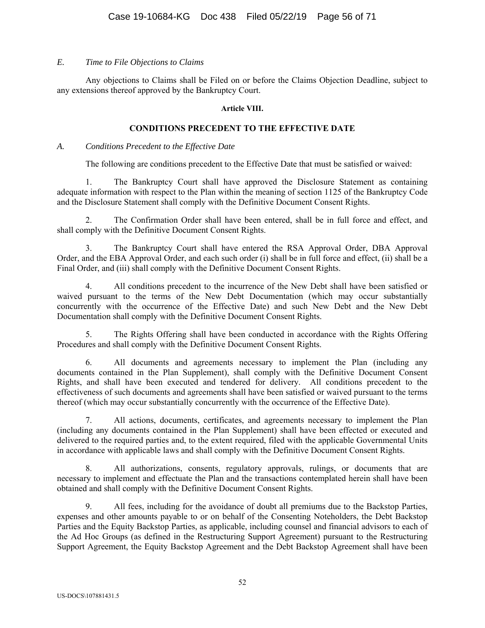# *E. Time to File Objections to Claims*

Any objections to Claims shall be Filed on or before the Claims Objection Deadline, subject to any extensions thereof approved by the Bankruptcy Court.

### **Article VIII.**

# **CONDITIONS PRECEDENT TO THE EFFECTIVE DATE**

### *A. Conditions Precedent to the Effective Date*

The following are conditions precedent to the Effective Date that must be satisfied or waived:

1. The Bankruptcy Court shall have approved the Disclosure Statement as containing adequate information with respect to the Plan within the meaning of section 1125 of the Bankruptcy Code and the Disclosure Statement shall comply with the Definitive Document Consent Rights.

2. The Confirmation Order shall have been entered, shall be in full force and effect, and shall comply with the Definitive Document Consent Rights.

3. The Bankruptcy Court shall have entered the RSA Approval Order, DBA Approval Order, and the EBA Approval Order, and each such order (i) shall be in full force and effect, (ii) shall be a Final Order, and (iii) shall comply with the Definitive Document Consent Rights.

4. All conditions precedent to the incurrence of the New Debt shall have been satisfied or waived pursuant to the terms of the New Debt Documentation (which may occur substantially concurrently with the occurrence of the Effective Date) and such New Debt and the New Debt Documentation shall comply with the Definitive Document Consent Rights.

5. The Rights Offering shall have been conducted in accordance with the Rights Offering Procedures and shall comply with the Definitive Document Consent Rights.

6. All documents and agreements necessary to implement the Plan (including any documents contained in the Plan Supplement), shall comply with the Definitive Document Consent Rights, and shall have been executed and tendered for delivery. All conditions precedent to the effectiveness of such documents and agreements shall have been satisfied or waived pursuant to the terms thereof (which may occur substantially concurrently with the occurrence of the Effective Date).

7. All actions, documents, certificates, and agreements necessary to implement the Plan (including any documents contained in the Plan Supplement) shall have been effected or executed and delivered to the required parties and, to the extent required, filed with the applicable Governmental Units in accordance with applicable laws and shall comply with the Definitive Document Consent Rights.

8. All authorizations, consents, regulatory approvals, rulings, or documents that are necessary to implement and effectuate the Plan and the transactions contemplated herein shall have been obtained and shall comply with the Definitive Document Consent Rights.

9. All fees, including for the avoidance of doubt all premiums due to the Backstop Parties, expenses and other amounts payable to or on behalf of the Consenting Noteholders, the Debt Backstop Parties and the Equity Backstop Parties, as applicable, including counsel and financial advisors to each of the Ad Hoc Groups (as defined in the Restructuring Support Agreement) pursuant to the Restructuring Support Agreement, the Equity Backstop Agreement and the Debt Backstop Agreement shall have been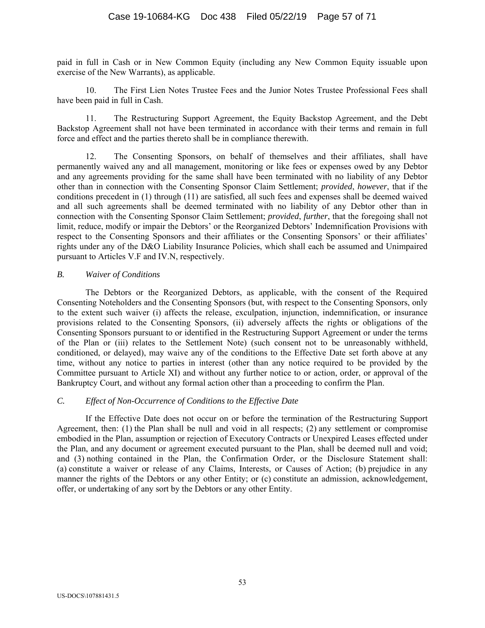paid in full in Cash or in New Common Equity (including any New Common Equity issuable upon exercise of the New Warrants), as applicable.

10. The First Lien Notes Trustee Fees and the Junior Notes Trustee Professional Fees shall have been paid in full in Cash.

11. The Restructuring Support Agreement, the Equity Backstop Agreement, and the Debt Backstop Agreement shall not have been terminated in accordance with their terms and remain in full force and effect and the parties thereto shall be in compliance therewith.

12. The Consenting Sponsors, on behalf of themselves and their affiliates, shall have permanently waived any and all management, monitoring or like fees or expenses owed by any Debtor and any agreements providing for the same shall have been terminated with no liability of any Debtor other than in connection with the Consenting Sponsor Claim Settlement; *provided*, *however*, that if the conditions precedent in (1) through (11) are satisfied, all such fees and expenses shall be deemed waived and all such agreements shall be deemed terminated with no liability of any Debtor other than in connection with the Consenting Sponsor Claim Settlement; *provided*, *further*, that the foregoing shall not limit, reduce, modify or impair the Debtors' or the Reorganized Debtors' Indemnification Provisions with respect to the Consenting Sponsors and their affiliates or the Consenting Sponsors' or their affiliates' rights under any of the D&O Liability Insurance Policies, which shall each be assumed and Unimpaired pursuant to Articles V.F and IV.N, respectively.

# *B. Waiver of Conditions*

The Debtors or the Reorganized Debtors, as applicable, with the consent of the Required Consenting Noteholders and the Consenting Sponsors (but, with respect to the Consenting Sponsors, only to the extent such waiver (i) affects the release, exculpation, injunction, indemnification, or insurance provisions related to the Consenting Sponsors, (ii) adversely affects the rights or obligations of the Consenting Sponsors pursuant to or identified in the Restructuring Support Agreement or under the terms of the Plan or (iii) relates to the Settlement Note) (such consent not to be unreasonably withheld, conditioned, or delayed), may waive any of the conditions to the Effective Date set forth above at any time, without any notice to parties in interest (other than any notice required to be provided by the Committee pursuant to Article XI) and without any further notice to or action, order, or approval of the Bankruptcy Court, and without any formal action other than a proceeding to confirm the Plan.

# *C. Effect of Non-Occurrence of Conditions to the Effective Date*

If the Effective Date does not occur on or before the termination of the Restructuring Support Agreement, then: (1) the Plan shall be null and void in all respects; (2) any settlement or compromise embodied in the Plan, assumption or rejection of Executory Contracts or Unexpired Leases effected under the Plan, and any document or agreement executed pursuant to the Plan, shall be deemed null and void; and (3) nothing contained in the Plan, the Confirmation Order, or the Disclosure Statement shall: (a) constitute a waiver or release of any Claims, Interests, or Causes of Action; (b) prejudice in any manner the rights of the Debtors or any other Entity; or (c) constitute an admission, acknowledgement, offer, or undertaking of any sort by the Debtors or any other Entity.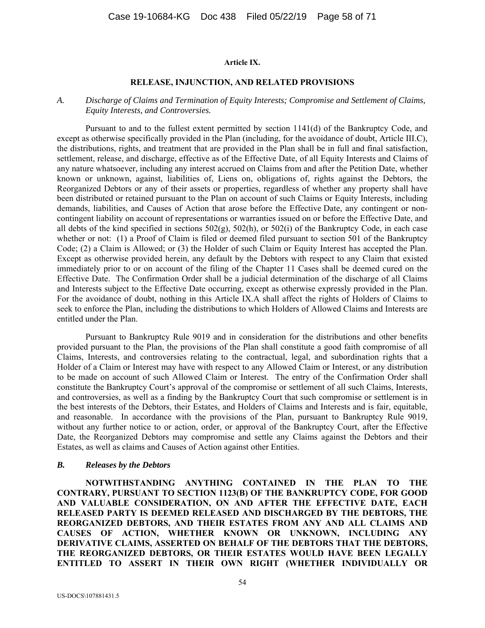#### **Article IX.**

#### **RELEASE, INJUNCTION, AND RELATED PROVISIONS**

#### *A. Discharge of Claims and Termination of Equity Interests; Compromise and Settlement of Claims, Equity Interests, and Controversies.*

Pursuant to and to the fullest extent permitted by section 1141(d) of the Bankruptcy Code, and except as otherwise specifically provided in the Plan (including, for the avoidance of doubt, Article III.C), the distributions, rights, and treatment that are provided in the Plan shall be in full and final satisfaction, settlement, release, and discharge, effective as of the Effective Date, of all Equity Interests and Claims of any nature whatsoever, including any interest accrued on Claims from and after the Petition Date, whether known or unknown, against, liabilities of, Liens on, obligations of, rights against the Debtors, the Reorganized Debtors or any of their assets or properties, regardless of whether any property shall have been distributed or retained pursuant to the Plan on account of such Claims or Equity Interests, including demands, liabilities, and Causes of Action that arose before the Effective Date, any contingent or noncontingent liability on account of representations or warranties issued on or before the Effective Date, and all debts of the kind specified in sections 502(g), 502(h), or 502(i) of the Bankruptcy Code, in each case whether or not: (1) a Proof of Claim is filed or deemed filed pursuant to section 501 of the Bankruptcy Code; (2) a Claim is Allowed; or (3) the Holder of such Claim or Equity Interest has accepted the Plan. Except as otherwise provided herein, any default by the Debtors with respect to any Claim that existed immediately prior to or on account of the filing of the Chapter 11 Cases shall be deemed cured on the Effective Date. The Confirmation Order shall be a judicial determination of the discharge of all Claims and Interests subject to the Effective Date occurring, except as otherwise expressly provided in the Plan. For the avoidance of doubt, nothing in this Article IX.A shall affect the rights of Holders of Claims to seek to enforce the Plan, including the distributions to which Holders of Allowed Claims and Interests are entitled under the Plan.

Pursuant to Bankruptcy Rule 9019 and in consideration for the distributions and other benefits provided pursuant to the Plan, the provisions of the Plan shall constitute a good faith compromise of all Claims, Interests, and controversies relating to the contractual, legal, and subordination rights that a Holder of a Claim or Interest may have with respect to any Allowed Claim or Interest, or any distribution to be made on account of such Allowed Claim or Interest. The entry of the Confirmation Order shall constitute the Bankruptcy Court's approval of the compromise or settlement of all such Claims, Interests, and controversies, as well as a finding by the Bankruptcy Court that such compromise or settlement is in the best interests of the Debtors, their Estates, and Holders of Claims and Interests and is fair, equitable, and reasonable. In accordance with the provisions of the Plan, pursuant to Bankruptcy Rule 9019, without any further notice to or action, order, or approval of the Bankruptcy Court, after the Effective Date, the Reorganized Debtors may compromise and settle any Claims against the Debtors and their Estates, as well as claims and Causes of Action against other Entities.

#### *B. Releases by the Debtors*

**NOTWITHSTANDING ANYTHING CONTAINED IN THE PLAN TO THE CONTRARY, PURSUANT TO SECTION 1123(B) OF THE BANKRUPTCY CODE, FOR GOOD AND VALUABLE CONSIDERATION, ON AND AFTER THE EFFECTIVE DATE, EACH RELEASED PARTY IS DEEMED RELEASED AND DISCHARGED BY THE DEBTORS, THE REORGANIZED DEBTORS, AND THEIR ESTATES FROM ANY AND ALL CLAIMS AND CAUSES OF ACTION, WHETHER KNOWN OR UNKNOWN, INCLUDING ANY DERIVATIVE CLAIMS, ASSERTED ON BEHALF OF THE DEBTORS THAT THE DEBTORS, THE REORGANIZED DEBTORS, OR THEIR ESTATES WOULD HAVE BEEN LEGALLY ENTITLED TO ASSERT IN THEIR OWN RIGHT (WHETHER INDIVIDUALLY OR**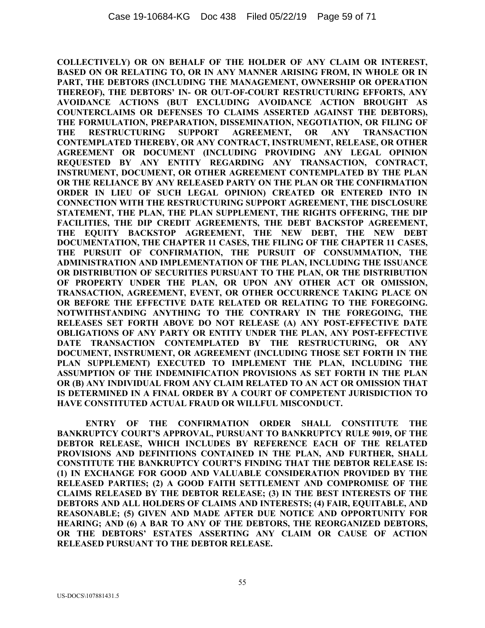**COLLECTIVELY) OR ON BEHALF OF THE HOLDER OF ANY CLAIM OR INTEREST, BASED ON OR RELATING TO, OR IN ANY MANNER ARISING FROM, IN WHOLE OR IN PART, THE DEBTORS (INCLUDING THE MANAGEMENT, OWNERSHIP OR OPERATION THEREOF), THE DEBTORS' IN- OR OUT-OF-COURT RESTRUCTURING EFFORTS, ANY AVOIDANCE ACTIONS (BUT EXCLUDING AVOIDANCE ACTION BROUGHT AS COUNTERCLAIMS OR DEFENSES TO CLAIMS ASSERTED AGAINST THE DEBTORS), THE FORMULATION, PREPARATION, DISSEMINATION, NEGOTIATION, OR FILING OF THE RESTRUCTURING SUPPORT AGREEMENT, OR ANY TRANSACTION CONTEMPLATED THEREBY, OR ANY CONTRACT, INSTRUMENT, RELEASE, OR OTHER AGREEMENT OR DOCUMENT (INCLUDING PROVIDING ANY LEGAL OPINION REQUESTED BY ANY ENTITY REGARDING ANY TRANSACTION, CONTRACT, INSTRUMENT, DOCUMENT, OR OTHER AGREEMENT CONTEMPLATED BY THE PLAN OR THE RELIANCE BY ANY RELEASED PARTY ON THE PLAN OR THE CONFIRMATION ORDER IN LIEU OF SUCH LEGAL OPINION) CREATED OR ENTERED INTO IN CONNECTION WITH THE RESTRUCTURING SUPPORT AGREEMENT, THE DISCLOSURE STATEMENT, THE PLAN, THE PLAN SUPPLEMENT, THE RIGHTS OFFERING, THE DIP FACILITIES, THE DIP CREDIT AGREEMENTS, THE DEBT BACKSTOP AGREEMENT, THE EQUITY BACKSTOP AGREEMENT, THE NEW DEBT, THE NEW DEBT DOCUMENTATION, THE CHAPTER 11 CASES, THE FILING OF THE CHAPTER 11 CASES, THE PURSUIT OF CONFIRMATION, THE PURSUIT OF CONSUMMATION, THE ADMINISTRATION AND IMPLEMENTATION OF THE PLAN, INCLUDING THE ISSUANCE OR DISTRIBUTION OF SECURITIES PURSUANT TO THE PLAN, OR THE DISTRIBUTION OF PROPERTY UNDER THE PLAN, OR UPON ANY OTHER ACT OR OMISSION, TRANSACTION, AGREEMENT, EVENT, OR OTHER OCCURRENCE TAKING PLACE ON OR BEFORE THE EFFECTIVE DATE RELATED OR RELATING TO THE FOREGOING. NOTWITHSTANDING ANYTHING TO THE CONTRARY IN THE FOREGOING, THE RELEASES SET FORTH ABOVE DO NOT RELEASE (A) ANY POST-EFFECTIVE DATE OBLIGATIONS OF ANY PARTY OR ENTITY UNDER THE PLAN, ANY POST-EFFECTIVE DATE TRANSACTION CONTEMPLATED BY THE RESTRUCTURING, OR ANY DOCUMENT, INSTRUMENT, OR AGREEMENT (INCLUDING THOSE SET FORTH IN THE PLAN SUPPLEMENT) EXECUTED TO IMPLEMENT THE PLAN, INCLUDING THE ASSUMPTION OF THE INDEMNIFICATION PROVISIONS AS SET FORTH IN THE PLAN OR (B) ANY INDIVIDUAL FROM ANY CLAIM RELATED TO AN ACT OR OMISSION THAT IS DETERMINED IN A FINAL ORDER BY A COURT OF COMPETENT JURISDICTION TO HAVE CONSTITUTED ACTUAL FRAUD OR WILLFUL MISCONDUCT.** 

**ENTRY OF THE CONFIRMATION ORDER SHALL CONSTITUTE THE BANKRUPTCY COURT'S APPROVAL, PURSUANT TO BANKRUPTCY RULE 9019, OF THE DEBTOR RELEASE, WHICH INCLUDES BY REFERENCE EACH OF THE RELATED PROVISIONS AND DEFINITIONS CONTAINED IN THE PLAN, AND FURTHER, SHALL CONSTITUTE THE BANKRUPTCY COURT'S FINDING THAT THE DEBTOR RELEASE IS: (1) IN EXCHANGE FOR GOOD AND VALUABLE CONSIDERATION PROVIDED BY THE RELEASED PARTIES; (2) A GOOD FAITH SETTLEMENT AND COMPROMISE OF THE CLAIMS RELEASED BY THE DEBTOR RELEASE; (3) IN THE BEST INTERESTS OF THE DEBTORS AND ALL HOLDERS OF CLAIMS AND INTERESTS; (4) FAIR, EQUITABLE, AND REASONABLE; (5) GIVEN AND MADE AFTER DUE NOTICE AND OPPORTUNITY FOR HEARING; AND (6) A BAR TO ANY OF THE DEBTORS, THE REORGANIZED DEBTORS, OR THE DEBTORS' ESTATES ASSERTING ANY CLAIM OR CAUSE OF ACTION RELEASED PURSUANT TO THE DEBTOR RELEASE.**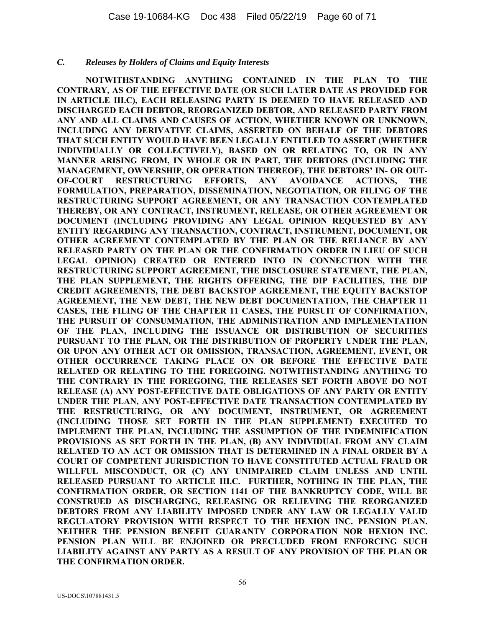#### *C. Releases by Holders of Claims and Equity Interests*

**NOTWITHSTANDING ANYTHING CONTAINED IN THE PLAN TO THE CONTRARY, AS OF THE EFFECTIVE DATE (OR SUCH LATER DATE AS PROVIDED FOR IN ARTICLE III.C), EACH RELEASING PARTY IS DEEMED TO HAVE RELEASED AND DISCHARGED EACH DEBTOR, REORGANIZED DEBTOR, AND RELEASED PARTY FROM ANY AND ALL CLAIMS AND CAUSES OF ACTION, WHETHER KNOWN OR UNKNOWN, INCLUDING ANY DERIVATIVE CLAIMS, ASSERTED ON BEHALF OF THE DEBTORS THAT SUCH ENTITY WOULD HAVE BEEN LEGALLY ENTITLED TO ASSERT (WHETHER INDIVIDUALLY OR COLLECTIVELY), BASED ON OR RELATING TO, OR IN ANY MANNER ARISING FROM, IN WHOLE OR IN PART, THE DEBTORS (INCLUDING THE MANAGEMENT, OWNERSHIP, OR OPERATION THEREOF), THE DEBTORS' IN- OR OUT-OF-COURT RESTRUCTURING EFFORTS, ANY AVOIDANCE ACTIONS, THE FORMULATION, PREPARATION, DISSEMINATION, NEGOTIATION, OR FILING OF THE RESTRUCTURING SUPPORT AGREEMENT, OR ANY TRANSACTION CONTEMPLATED THEREBY, OR ANY CONTRACT, INSTRUMENT, RELEASE, OR OTHER AGREEMENT OR DOCUMENT (INCLUDING PROVIDING ANY LEGAL OPINION REQUESTED BY ANY ENTITY REGARDING ANY TRANSACTION, CONTRACT, INSTRUMENT, DOCUMENT, OR OTHER AGREEMENT CONTEMPLATED BY THE PLAN OR THE RELIANCE BY ANY RELEASED PARTY ON THE PLAN OR THE CONFIRMATION ORDER IN LIEU OF SUCH LEGAL OPINION) CREATED OR ENTERED INTO IN CONNECTION WITH THE RESTRUCTURING SUPPORT AGREEMENT, THE DISCLOSURE STATEMENT, THE PLAN, THE PLAN SUPPLEMENT, THE RIGHTS OFFERING, THE DIP FACILITIES, THE DIP CREDIT AGREEMENTS, THE DEBT BACKSTOP AGREEMENT, THE EQUITY BACKSTOP AGREEMENT, THE NEW DEBT, THE NEW DEBT DOCUMENTATION, THE CHAPTER 11 CASES, THE FILING OF THE CHAPTER 11 CASES, THE PURSUIT OF CONFIRMATION, THE PURSUIT OF CONSUMMATION, THE ADMINISTRATION AND IMPLEMENTATION OF THE PLAN, INCLUDING THE ISSUANCE OR DISTRIBUTION OF SECURITIES PURSUANT TO THE PLAN, OR THE DISTRIBUTION OF PROPERTY UNDER THE PLAN, OR UPON ANY OTHER ACT OR OMISSION, TRANSACTION, AGREEMENT, EVENT, OR OTHER OCCURRENCE TAKING PLACE ON OR BEFORE THE EFFECTIVE DATE RELATED OR RELATING TO THE FOREGOING. NOTWITHSTANDING ANYTHING TO THE CONTRARY IN THE FOREGOING, THE RELEASES SET FORTH ABOVE DO NOT RELEASE (A) ANY POST-EFFECTIVE DATE OBLIGATIONS OF ANY PARTY OR ENTITY UNDER THE PLAN, ANY POST-EFFECTIVE DATE TRANSACTION CONTEMPLATED BY THE RESTRUCTURING, OR ANY DOCUMENT, INSTRUMENT, OR AGREEMENT (INCLUDING THOSE SET FORTH IN THE PLAN SUPPLEMENT) EXECUTED TO IMPLEMENT THE PLAN, INCLUDING THE ASSUMPTION OF THE INDEMNIFICATION PROVISIONS AS SET FORTH IN THE PLAN, (B) ANY INDIVIDUAL FROM ANY CLAIM RELATED TO AN ACT OR OMISSION THAT IS DETERMINED IN A FINAL ORDER BY A COURT OF COMPETENT JURISDICTION TO HAVE CONSTITUTED ACTUAL FRAUD OR WILLFUL MISCONDUCT, OR (C) ANY UNIMPAIRED CLAIM UNLESS AND UNTIL RELEASED PURSUANT TO ARTICLE III.C. FURTHER, NOTHING IN THE PLAN, THE CONFIRMATION ORDER, OR SECTION 1141 OF THE BANKRUPTCY CODE, WILL BE CONSTRUED AS DISCHARGING, RELEASING OR RELIEVING THE REORGANIZED DEBTORS FROM ANY LIABILITY IMPOSED UNDER ANY LAW OR LEGALLY VALID REGULATORY PROVISION WITH RESPECT TO THE HEXION INC. PENSION PLAN. NEITHER THE PENSION BENEFIT GUARANTY CORPORATION NOR HEXION INC. PENSION PLAN WILL BE ENJOINED OR PRECLUDED FROM ENFORCING SUCH LIABILITY AGAINST ANY PARTY AS A RESULT OF ANY PROVISION OF THE PLAN OR THE CONFIRMATION ORDER.**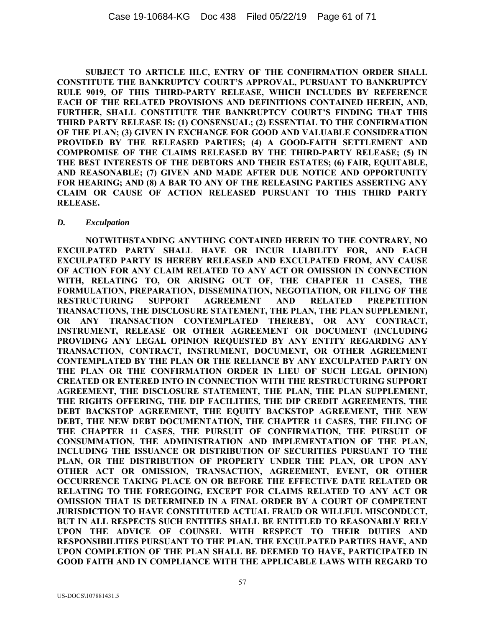**SUBJECT TO ARTICLE III.C, ENTRY OF THE CONFIRMATION ORDER SHALL CONSTITUTE THE BANKRUPTCY COURT'S APPROVAL, PURSUANT TO BANKRUPTCY RULE 9019, OF THIS THIRD-PARTY RELEASE, WHICH INCLUDES BY REFERENCE EACH OF THE RELATED PROVISIONS AND DEFINITIONS CONTAINED HEREIN, AND, FURTHER, SHALL CONSTITUTE THE BANKRUPTCY COURT'S FINDING THAT THIS THIRD PARTY RELEASE IS: (1) CONSENSUAL; (2) ESSENTIAL TO THE CONFIRMATION OF THE PLAN; (3) GIVEN IN EXCHANGE FOR GOOD AND VALUABLE CONSIDERATION PROVIDED BY THE RELEASED PARTIES; (4) A GOOD-FAITH SETTLEMENT AND COMPROMISE OF THE CLAIMS RELEASED BY THE THIRD-PARTY RELEASE; (5) IN THE BEST INTERESTS OF THE DEBTORS AND THEIR ESTATES; (6) FAIR, EQUITABLE, AND REASONABLE; (7) GIVEN AND MADE AFTER DUE NOTICE AND OPPORTUNITY FOR HEARING; AND (8) A BAR TO ANY OF THE RELEASING PARTIES ASSERTING ANY CLAIM OR CAUSE OF ACTION RELEASED PURSUANT TO THIS THIRD PARTY RELEASE.** 

#### *D. Exculpation*

**NOTWITHSTANDING ANYTHING CONTAINED HEREIN TO THE CONTRARY, NO EXCULPATED PARTY SHALL HAVE OR INCUR LIABILITY FOR, AND EACH EXCULPATED PARTY IS HEREBY RELEASED AND EXCULPATED FROM, ANY CAUSE OF ACTION FOR ANY CLAIM RELATED TO ANY ACT OR OMISSION IN CONNECTION WITH, RELATING TO, OR ARISING OUT OF, THE CHAPTER 11 CASES, THE FORMULATION, PREPARATION, DISSEMINATION, NEGOTIATION, OR FILING OF THE RESTRUCTURING SUPPORT AGREEMENT AND RELATED PREPETITION TRANSACTIONS, THE DISCLOSURE STATEMENT, THE PLAN, THE PLAN SUPPLEMENT, OR ANY TRANSACTION CONTEMPLATED THEREBY, OR ANY CONTRACT, INSTRUMENT, RELEASE OR OTHER AGREEMENT OR DOCUMENT (INCLUDING PROVIDING ANY LEGAL OPINION REQUESTED BY ANY ENTITY REGARDING ANY TRANSACTION, CONTRACT, INSTRUMENT, DOCUMENT, OR OTHER AGREEMENT CONTEMPLATED BY THE PLAN OR THE RELIANCE BY ANY EXCULPATED PARTY ON THE PLAN OR THE CONFIRMATION ORDER IN LIEU OF SUCH LEGAL OPINION) CREATED OR ENTERED INTO IN CONNECTION WITH THE RESTRUCTURING SUPPORT AGREEMENT, THE DISCLOSURE STATEMENT, THE PLAN, THE PLAN SUPPLEMENT, THE RIGHTS OFFERING, THE DIP FACILITIES, THE DIP CREDIT AGREEMENTS, THE DEBT BACKSTOP AGREEMENT, THE EQUITY BACKSTOP AGREEMENT, THE NEW DEBT, THE NEW DEBT DOCUMENTATION, THE CHAPTER 11 CASES, THE FILING OF THE CHAPTER 11 CASES, THE PURSUIT OF CONFIRMATION, THE PURSUIT OF CONSUMMATION, THE ADMINISTRATION AND IMPLEMENTATION OF THE PLAN, INCLUDING THE ISSUANCE OR DISTRIBUTION OF SECURITIES PURSUANT TO THE PLAN, OR THE DISTRIBUTION OF PROPERTY UNDER THE PLAN, OR UPON ANY OTHER ACT OR OMISSION, TRANSACTION, AGREEMENT, EVENT, OR OTHER OCCURRENCE TAKING PLACE ON OR BEFORE THE EFFECTIVE DATE RELATED OR RELATING TO THE FOREGOING, EXCEPT FOR CLAIMS RELATED TO ANY ACT OR OMISSION THAT IS DETERMINED IN A FINAL ORDER BY A COURT OF COMPETENT JURISDICTION TO HAVE CONSTITUTED ACTUAL FRAUD OR WILLFUL MISCONDUCT, BUT IN ALL RESPECTS SUCH ENTITIES SHALL BE ENTITLED TO REASONABLY RELY UPON THE ADVICE OF COUNSEL WITH RESPECT TO THEIR DUTIES AND RESPONSIBILITIES PURSUANT TO THE PLAN. THE EXCULPATED PARTIES HAVE, AND UPON COMPLETION OF THE PLAN SHALL BE DEEMED TO HAVE, PARTICIPATED IN GOOD FAITH AND IN COMPLIANCE WITH THE APPLICABLE LAWS WITH REGARD TO**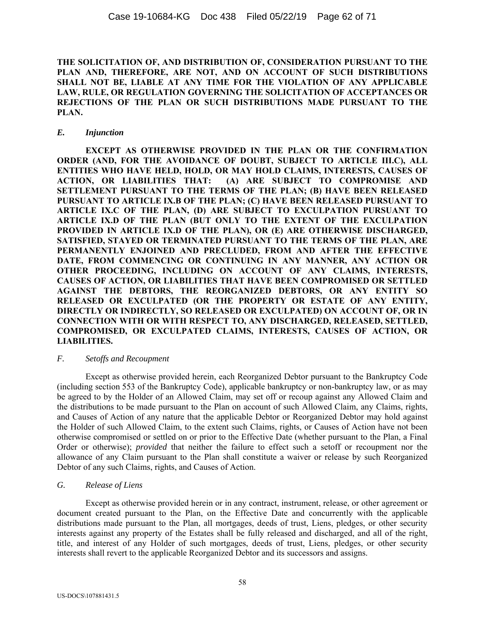**THE SOLICITATION OF, AND DISTRIBUTION OF, CONSIDERATION PURSUANT TO THE PLAN AND, THEREFORE, ARE NOT, AND ON ACCOUNT OF SUCH DISTRIBUTIONS SHALL NOT BE, LIABLE AT ANY TIME FOR THE VIOLATION OF ANY APPLICABLE LAW, RULE, OR REGULATION GOVERNING THE SOLICITATION OF ACCEPTANCES OR REJECTIONS OF THE PLAN OR SUCH DISTRIBUTIONS MADE PURSUANT TO THE PLAN.** 

### *E. Injunction*

**EXCEPT AS OTHERWISE PROVIDED IN THE PLAN OR THE CONFIRMATION ORDER (AND, FOR THE AVOIDANCE OF DOUBT, SUBJECT TO ARTICLE III.C), ALL ENTITIES WHO HAVE HELD, HOLD, OR MAY HOLD CLAIMS, INTERESTS, CAUSES OF ACTION, OR LIABILITIES THAT: (A) ARE SUBJECT TO COMPROMISE AND SETTLEMENT PURSUANT TO THE TERMS OF THE PLAN; (B) HAVE BEEN RELEASED PURSUANT TO ARTICLE IX.B OF THE PLAN; (C) HAVE BEEN RELEASED PURSUANT TO ARTICLE IX.C OF THE PLAN, (D) ARE SUBJECT TO EXCULPATION PURSUANT TO ARTICLE IX.D OF THE PLAN (BUT ONLY TO THE EXTENT OF THE EXCULPATION PROVIDED IN ARTICLE IX.D OF THE PLAN), OR (E) ARE OTHERWISE DISCHARGED, SATISFIED, STAYED OR TERMINATED PURSUANT TO THE TERMS OF THE PLAN, ARE PERMANENTLY ENJOINED AND PRECLUDED, FROM AND AFTER THE EFFECTIVE DATE, FROM COMMENCING OR CONTINUING IN ANY MANNER, ANY ACTION OR OTHER PROCEEDING, INCLUDING ON ACCOUNT OF ANY CLAIMS, INTERESTS, CAUSES OF ACTION, OR LIABILITIES THAT HAVE BEEN COMPROMISED OR SETTLED AGAINST THE DEBTORS, THE REORGANIZED DEBTORS, OR ANY ENTITY SO RELEASED OR EXCULPATED (OR THE PROPERTY OR ESTATE OF ANY ENTITY, DIRECTLY OR INDIRECTLY, SO RELEASED OR EXCULPATED) ON ACCOUNT OF, OR IN CONNECTION WITH OR WITH RESPECT TO, ANY DISCHARGED, RELEASED, SETTLED, COMPROMISED, OR EXCULPATED CLAIMS, INTERESTS, CAUSES OF ACTION, OR LIABILITIES.** 

### *F. Setoffs and Recoupment*

Except as otherwise provided herein, each Reorganized Debtor pursuant to the Bankruptcy Code (including section 553 of the Bankruptcy Code), applicable bankruptcy or non-bankruptcy law, or as may be agreed to by the Holder of an Allowed Claim, may set off or recoup against any Allowed Claim and the distributions to be made pursuant to the Plan on account of such Allowed Claim, any Claims, rights, and Causes of Action of any nature that the applicable Debtor or Reorganized Debtor may hold against the Holder of such Allowed Claim, to the extent such Claims, rights, or Causes of Action have not been otherwise compromised or settled on or prior to the Effective Date (whether pursuant to the Plan, a Final Order or otherwise); *provided* that neither the failure to effect such a setoff or recoupment nor the allowance of any Claim pursuant to the Plan shall constitute a waiver or release by such Reorganized Debtor of any such Claims, rights, and Causes of Action.

# *G. Release of Liens*

Except as otherwise provided herein or in any contract, instrument, release, or other agreement or document created pursuant to the Plan, on the Effective Date and concurrently with the applicable distributions made pursuant to the Plan, all mortgages, deeds of trust, Liens, pledges, or other security interests against any property of the Estates shall be fully released and discharged, and all of the right, title, and interest of any Holder of such mortgages, deeds of trust, Liens, pledges, or other security interests shall revert to the applicable Reorganized Debtor and its successors and assigns.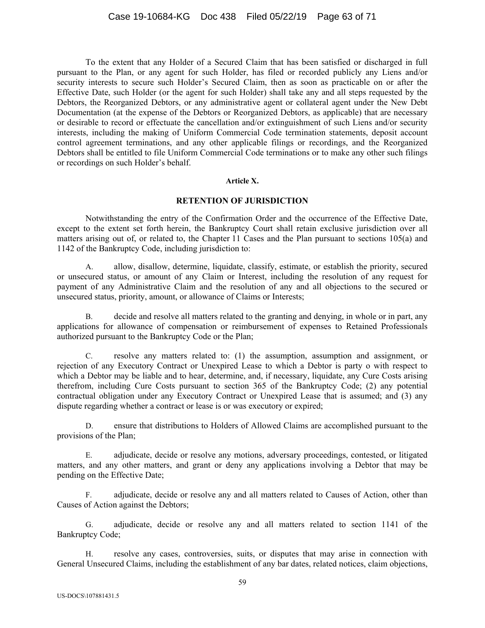To the extent that any Holder of a Secured Claim that has been satisfied or discharged in full pursuant to the Plan, or any agent for such Holder, has filed or recorded publicly any Liens and/or security interests to secure such Holder's Secured Claim, then as soon as practicable on or after the Effective Date, such Holder (or the agent for such Holder) shall take any and all steps requested by the Debtors, the Reorganized Debtors, or any administrative agent or collateral agent under the New Debt Documentation (at the expense of the Debtors or Reorganized Debtors, as applicable) that are necessary or desirable to record or effectuate the cancellation and/or extinguishment of such Liens and/or security interests, including the making of Uniform Commercial Code termination statements, deposit account control agreement terminations, and any other applicable filings or recordings, and the Reorganized Debtors shall be entitled to file Uniform Commercial Code terminations or to make any other such filings or recordings on such Holder's behalf.

#### **Article X.**

### **RETENTION OF JURISDICTION**

Notwithstanding the entry of the Confirmation Order and the occurrence of the Effective Date, except to the extent set forth herein, the Bankruptcy Court shall retain exclusive jurisdiction over all matters arising out of, or related to, the Chapter 11 Cases and the Plan pursuant to sections 105(a) and 1142 of the Bankruptcy Code, including jurisdiction to:

A. allow, disallow, determine, liquidate, classify, estimate, or establish the priority, secured or unsecured status, or amount of any Claim or Interest, including the resolution of any request for payment of any Administrative Claim and the resolution of any and all objections to the secured or unsecured status, priority, amount, or allowance of Claims or Interests;

B. decide and resolve all matters related to the granting and denying, in whole or in part, any applications for allowance of compensation or reimbursement of expenses to Retained Professionals authorized pursuant to the Bankruptcy Code or the Plan;

C. resolve any matters related to: (1) the assumption, assumption and assignment, or rejection of any Executory Contract or Unexpired Lease to which a Debtor is party o with respect to which a Debtor may be liable and to hear, determine, and, if necessary, liquidate, any Cure Costs arising therefrom, including Cure Costs pursuant to section 365 of the Bankruptcy Code; (2) any potential contractual obligation under any Executory Contract or Unexpired Lease that is assumed; and (3) any dispute regarding whether a contract or lease is or was executory or expired;

D. ensure that distributions to Holders of Allowed Claims are accomplished pursuant to the provisions of the Plan;

E. adjudicate, decide or resolve any motions, adversary proceedings, contested, or litigated matters, and any other matters, and grant or deny any applications involving a Debtor that may be pending on the Effective Date;

F. adjudicate, decide or resolve any and all matters related to Causes of Action, other than Causes of Action against the Debtors;

G. adjudicate, decide or resolve any and all matters related to section 1141 of the Bankruptcy Code;

H. resolve any cases, controversies, suits, or disputes that may arise in connection with General Unsecured Claims, including the establishment of any bar dates, related notices, claim objections,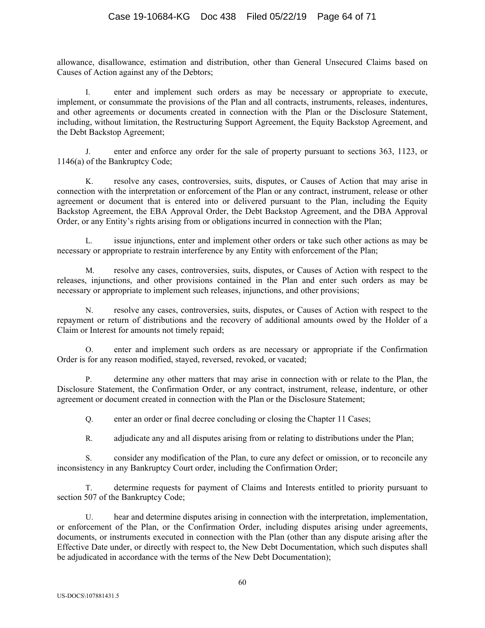# Case 19-10684-KG Doc 438 Filed 05/22/19 Page 64 of 71

allowance, disallowance, estimation and distribution, other than General Unsecured Claims based on Causes of Action against any of the Debtors;

I. enter and implement such orders as may be necessary or appropriate to execute, implement, or consummate the provisions of the Plan and all contracts, instruments, releases, indentures, and other agreements or documents created in connection with the Plan or the Disclosure Statement, including, without limitation, the Restructuring Support Agreement, the Equity Backstop Agreement, and the Debt Backstop Agreement;

J. enter and enforce any order for the sale of property pursuant to sections 363, 1123, or 1146(a) of the Bankruptcy Code;

K. resolve any cases, controversies, suits, disputes, or Causes of Action that may arise in connection with the interpretation or enforcement of the Plan or any contract, instrument, release or other agreement or document that is entered into or delivered pursuant to the Plan, including the Equity Backstop Agreement, the EBA Approval Order, the Debt Backstop Agreement, and the DBA Approval Order, or any Entity's rights arising from or obligations incurred in connection with the Plan;

L. issue injunctions, enter and implement other orders or take such other actions as may be necessary or appropriate to restrain interference by any Entity with enforcement of the Plan;

M. resolve any cases, controversies, suits, disputes, or Causes of Action with respect to the releases, injunctions, and other provisions contained in the Plan and enter such orders as may be necessary or appropriate to implement such releases, injunctions, and other provisions;

N. resolve any cases, controversies, suits, disputes, or Causes of Action with respect to the repayment or return of distributions and the recovery of additional amounts owed by the Holder of a Claim or Interest for amounts not timely repaid;

enter and implement such orders as are necessary or appropriate if the Confirmation Order is for any reason modified, stayed, reversed, revoked, or vacated;

P. determine any other matters that may arise in connection with or relate to the Plan, the Disclosure Statement, the Confirmation Order, or any contract, instrument, release, indenture, or other agreement or document created in connection with the Plan or the Disclosure Statement;

Q. enter an order or final decree concluding or closing the Chapter 11 Cases;

R. adjudicate any and all disputes arising from or relating to distributions under the Plan;

S. consider any modification of the Plan, to cure any defect or omission, or to reconcile any inconsistency in any Bankruptcy Court order, including the Confirmation Order;

T. determine requests for payment of Claims and Interests entitled to priority pursuant to section 507 of the Bankruptcy Code;

U. hear and determine disputes arising in connection with the interpretation, implementation, or enforcement of the Plan, or the Confirmation Order, including disputes arising under agreements, documents, or instruments executed in connection with the Plan (other than any dispute arising after the Effective Date under, or directly with respect to, the New Debt Documentation, which such disputes shall be adjudicated in accordance with the terms of the New Debt Documentation);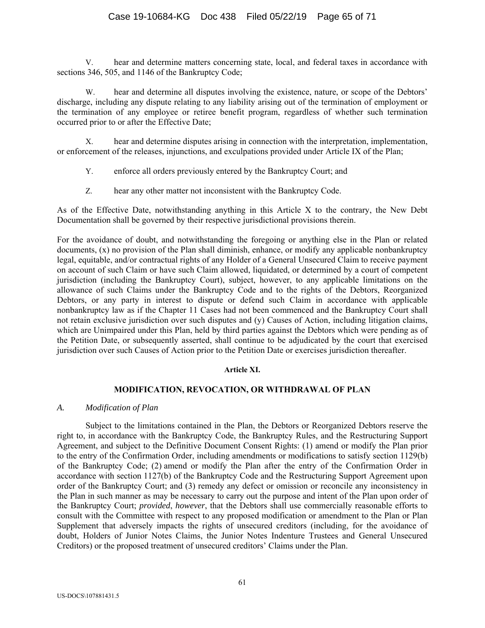V. hear and determine matters concerning state, local, and federal taxes in accordance with sections 346, 505, and 1146 of the Bankruptcy Code;

W. hear and determine all disputes involving the existence, nature, or scope of the Debtors' discharge, including any dispute relating to any liability arising out of the termination of employment or the termination of any employee or retiree benefit program, regardless of whether such termination occurred prior to or after the Effective Date;

X. hear and determine disputes arising in connection with the interpretation, implementation, or enforcement of the releases, injunctions, and exculpations provided under Article IX of the Plan;

- Y. enforce all orders previously entered by the Bankruptcy Court; and
- Z. hear any other matter not inconsistent with the Bankruptcy Code.

As of the Effective Date, notwithstanding anything in this Article X to the contrary, the New Debt Documentation shall be governed by their respective jurisdictional provisions therein.

For the avoidance of doubt, and notwithstanding the foregoing or anything else in the Plan or related documents, (x) no provision of the Plan shall diminish, enhance, or modify any applicable nonbankruptcy legal, equitable, and/or contractual rights of any Holder of a General Unsecured Claim to receive payment on account of such Claim or have such Claim allowed, liquidated, or determined by a court of competent jurisdiction (including the Bankruptcy Court), subject, however, to any applicable limitations on the allowance of such Claims under the Bankruptcy Code and to the rights of the Debtors, Reorganized Debtors, or any party in interest to dispute or defend such Claim in accordance with applicable nonbankruptcy law as if the Chapter 11 Cases had not been commenced and the Bankruptcy Court shall not retain exclusive jurisdiction over such disputes and (y) Causes of Action, including litigation claims, which are Unimpaired under this Plan, held by third parties against the Debtors which were pending as of the Petition Date, or subsequently asserted, shall continue to be adjudicated by the court that exercised jurisdiction over such Causes of Action prior to the Petition Date or exercises jurisdiction thereafter.

#### **Article XI.**

# **MODIFICATION, REVOCATION, OR WITHDRAWAL OF PLAN**

#### *A. Modification of Plan*

Subject to the limitations contained in the Plan, the Debtors or Reorganized Debtors reserve the right to, in accordance with the Bankruptcy Code, the Bankruptcy Rules, and the Restructuring Support Agreement, and subject to the Definitive Document Consent Rights: (1) amend or modify the Plan prior to the entry of the Confirmation Order, including amendments or modifications to satisfy section 1129(b) of the Bankruptcy Code; (2) amend or modify the Plan after the entry of the Confirmation Order in accordance with section 1127(b) of the Bankruptcy Code and the Restructuring Support Agreement upon order of the Bankruptcy Court; and (3) remedy any defect or omission or reconcile any inconsistency in the Plan in such manner as may be necessary to carry out the purpose and intent of the Plan upon order of the Bankruptcy Court; *provided*, *however*, that the Debtors shall use commercially reasonable efforts to consult with the Committee with respect to any proposed modification or amendment to the Plan or Plan Supplement that adversely impacts the rights of unsecured creditors (including, for the avoidance of doubt, Holders of Junior Notes Claims, the Junior Notes Indenture Trustees and General Unsecured Creditors) or the proposed treatment of unsecured creditors' Claims under the Plan.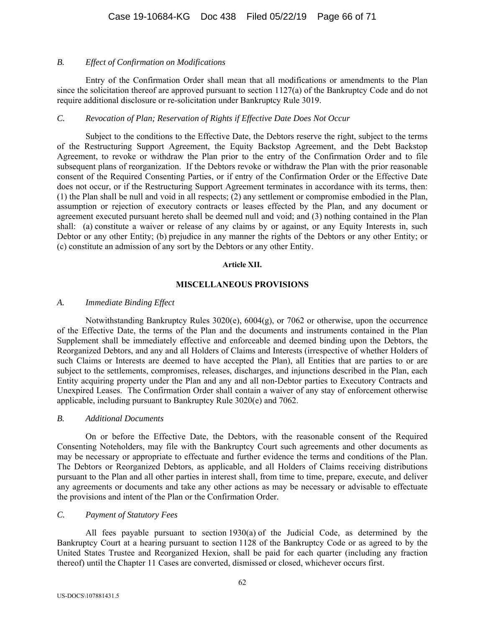### *B. Effect of Confirmation on Modifications*

Entry of the Confirmation Order shall mean that all modifications or amendments to the Plan since the solicitation thereof are approved pursuant to section 1127(a) of the Bankruptcy Code and do not require additional disclosure or re-solicitation under Bankruptcy Rule 3019.

### *C. Revocation of Plan; Reservation of Rights if Effective Date Does Not Occur*

Subject to the conditions to the Effective Date, the Debtors reserve the right, subject to the terms of the Restructuring Support Agreement, the Equity Backstop Agreement, and the Debt Backstop Agreement, to revoke or withdraw the Plan prior to the entry of the Confirmation Order and to file subsequent plans of reorganization. If the Debtors revoke or withdraw the Plan with the prior reasonable consent of the Required Consenting Parties, or if entry of the Confirmation Order or the Effective Date does not occur, or if the Restructuring Support Agreement terminates in accordance with its terms, then: (1) the Plan shall be null and void in all respects; (2) any settlement or compromise embodied in the Plan, assumption or rejection of executory contracts or leases effected by the Plan, and any document or agreement executed pursuant hereto shall be deemed null and void; and (3) nothing contained in the Plan shall: (a) constitute a waiver or release of any claims by or against, or any Equity Interests in, such Debtor or any other Entity; (b) prejudice in any manner the rights of the Debtors or any other Entity; or (c) constitute an admission of any sort by the Debtors or any other Entity.

#### **Article XII.**

### **MISCELLANEOUS PROVISIONS**

### *A. Immediate Binding Effect*

Notwithstanding Bankruptcy Rules 3020(e), 6004(g), or 7062 or otherwise, upon the occurrence of the Effective Date, the terms of the Plan and the documents and instruments contained in the Plan Supplement shall be immediately effective and enforceable and deemed binding upon the Debtors, the Reorganized Debtors, and any and all Holders of Claims and Interests (irrespective of whether Holders of such Claims or Interests are deemed to have accepted the Plan), all Entities that are parties to or are subject to the settlements, compromises, releases, discharges, and injunctions described in the Plan, each Entity acquiring property under the Plan and any and all non-Debtor parties to Executory Contracts and Unexpired Leases. The Confirmation Order shall contain a waiver of any stay of enforcement otherwise applicable, including pursuant to Bankruptcy Rule 3020(e) and 7062.

#### *B. Additional Documents*

On or before the Effective Date, the Debtors, with the reasonable consent of the Required Consenting Noteholders, may file with the Bankruptcy Court such agreements and other documents as may be necessary or appropriate to effectuate and further evidence the terms and conditions of the Plan. The Debtors or Reorganized Debtors, as applicable, and all Holders of Claims receiving distributions pursuant to the Plan and all other parties in interest shall, from time to time, prepare, execute, and deliver any agreements or documents and take any other actions as may be necessary or advisable to effectuate the provisions and intent of the Plan or the Confirmation Order.

# *C. Payment of Statutory Fees*

All fees payable pursuant to section 1930(a) of the Judicial Code, as determined by the Bankruptcy Court at a hearing pursuant to section 1128 of the Bankruptcy Code or as agreed to by the United States Trustee and Reorganized Hexion, shall be paid for each quarter (including any fraction thereof) until the Chapter 11 Cases are converted, dismissed or closed, whichever occurs first.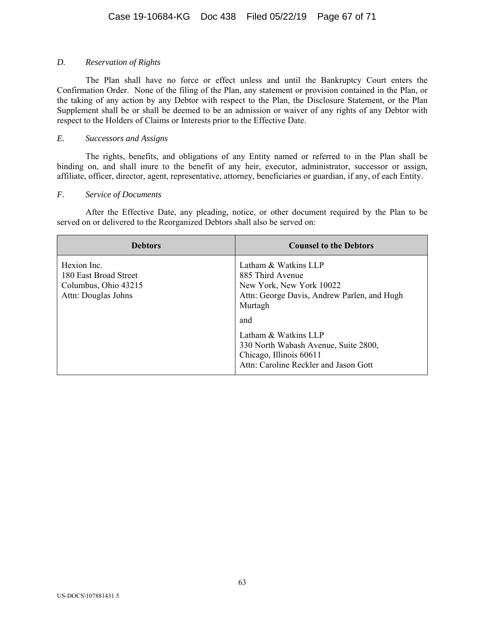# *D. Reservation of Rights*

The Plan shall have no force or effect unless and until the Bankruptcy Court enters the Confirmation Order. None of the filing of the Plan, any statement or provision contained in the Plan, or the taking of any action by any Debtor with respect to the Plan, the Disclosure Statement, or the Plan Supplement shall be or shall be deemed to be an admission or waiver of any rights of any Debtor with respect to the Holders of Claims or Interests prior to the Effective Date.

### *E. Successors and Assigns*

The rights, benefits, and obligations of any Entity named or referred to in the Plan shall be binding on, and shall inure to the benefit of any heir, executor, administrator, successor or assign, affiliate, officer, director, agent, representative, attorney, beneficiaries or guardian, if any, of each Entity.

### *F. Service of Documents*

After the Effective Date, any pleading, notice, or other document required by the Plan to be served on or delivered to the Reorganized Debtors shall also be served on:

| <b>Debtors</b>                                                                      | <b>Counsel to the Debtors</b>                                                                                                                                                                                                                                             |
|-------------------------------------------------------------------------------------|---------------------------------------------------------------------------------------------------------------------------------------------------------------------------------------------------------------------------------------------------------------------------|
| Hexion Inc.<br>180 East Broad Street<br>Columbus, Ohio 43215<br>Attn: Douglas Johns | Latham & Watkins LLP<br>885 Third Avenue<br>New York, New York 10022<br>Attn: George Davis, Andrew Parlen, and Hugh<br>Murtagh<br>and<br>Latham & Watkins LLP<br>330 North Wabash Avenue, Suite 2800,<br>Chicago, Illinois 60611<br>Attn: Caroline Reckler and Jason Gott |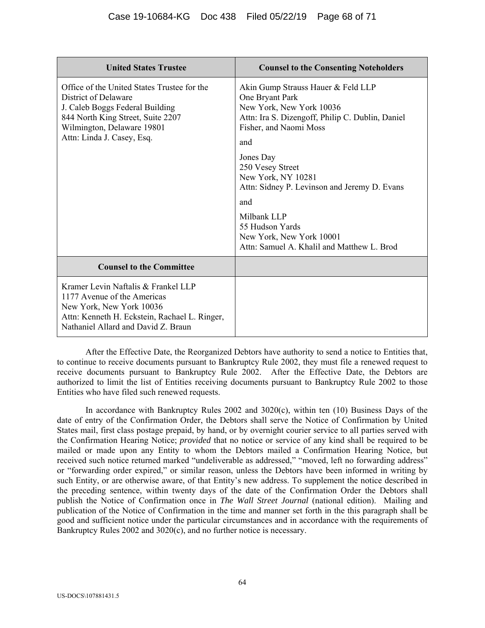| <b>United States Trustee</b>                                                                                                                                                                            | <b>Counsel to the Consenting Noteholders</b>                                                                                                                           |
|---------------------------------------------------------------------------------------------------------------------------------------------------------------------------------------------------------|------------------------------------------------------------------------------------------------------------------------------------------------------------------------|
| Office of the United States Trustee for the<br>District of Delaware<br>J. Caleb Boggs Federal Building<br>844 North King Street, Suite 2207<br>Wilmington, Delaware 19801<br>Attn: Linda J. Casey, Esq. | Akin Gump Strauss Hauer & Feld LLP<br>One Bryant Park<br>New York, New York 10036<br>Attn: Ira S. Dizengoff, Philip C. Dublin, Daniel<br>Fisher, and Naomi Moss<br>and |
|                                                                                                                                                                                                         | Jones Day<br>250 Vesey Street<br>New York, NY 10281<br>Attn: Sidney P. Levinson and Jeremy D. Evans<br>and                                                             |
|                                                                                                                                                                                                         | Milbank LLP<br>55 Hudson Yards<br>New York, New York 10001<br>Attn: Samuel A. Khalil and Matthew L. Brod                                                               |
| <b>Counsel to the Committee</b>                                                                                                                                                                         |                                                                                                                                                                        |
| Kramer Levin Naftalis & Frankel LLP<br>1177 Avenue of the Americas<br>New York, New York 10036<br>Attn: Kenneth H. Eckstein, Rachael L. Ringer,<br>Nathaniel Allard and David Z. Braun                  |                                                                                                                                                                        |

After the Effective Date, the Reorganized Debtors have authority to send a notice to Entities that, to continue to receive documents pursuant to Bankruptcy Rule 2002, they must file a renewed request to receive documents pursuant to Bankruptcy Rule 2002. After the Effective Date, the Debtors are authorized to limit the list of Entities receiving documents pursuant to Bankruptcy Rule 2002 to those Entities who have filed such renewed requests.

In accordance with Bankruptcy Rules 2002 and 3020(c), within ten (10) Business Days of the date of entry of the Confirmation Order, the Debtors shall serve the Notice of Confirmation by United States mail, first class postage prepaid, by hand, or by overnight courier service to all parties served with the Confirmation Hearing Notice; *provided* that no notice or service of any kind shall be required to be mailed or made upon any Entity to whom the Debtors mailed a Confirmation Hearing Notice, but received such notice returned marked "undeliverable as addressed," "moved, left no forwarding address" or "forwarding order expired," or similar reason, unless the Debtors have been informed in writing by such Entity, or are otherwise aware, of that Entity's new address. To supplement the notice described in the preceding sentence, within twenty days of the date of the Confirmation Order the Debtors shall publish the Notice of Confirmation once in *The Wall Street Journal* (national edition). Mailing and publication of the Notice of Confirmation in the time and manner set forth in the this paragraph shall be good and sufficient notice under the particular circumstances and in accordance with the requirements of Bankruptcy Rules 2002 and 3020(c), and no further notice is necessary.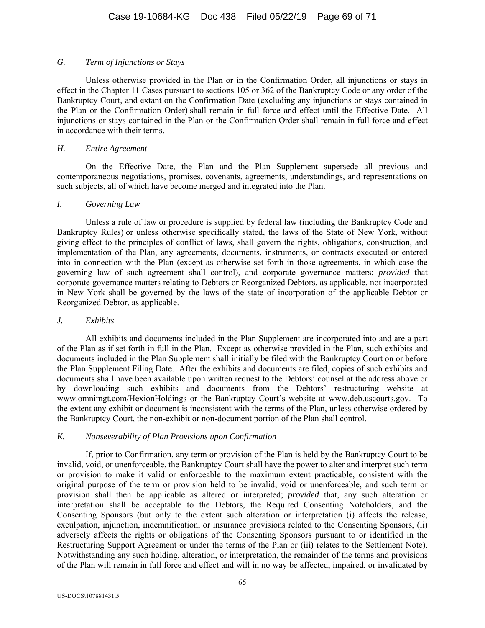### *G. Term of Injunctions or Stays*

Unless otherwise provided in the Plan or in the Confirmation Order, all injunctions or stays in effect in the Chapter 11 Cases pursuant to sections 105 or 362 of the Bankruptcy Code or any order of the Bankruptcy Court, and extant on the Confirmation Date (excluding any injunctions or stays contained in the Plan or the Confirmation Order) shall remain in full force and effect until the Effective Date. All injunctions or stays contained in the Plan or the Confirmation Order shall remain in full force and effect in accordance with their terms.

# *H. Entire Agreement*

On the Effective Date, the Plan and the Plan Supplement supersede all previous and contemporaneous negotiations, promises, covenants, agreements, understandings, and representations on such subjects, all of which have become merged and integrated into the Plan.

### *I. Governing Law*

Unless a rule of law or procedure is supplied by federal law (including the Bankruptcy Code and Bankruptcy Rules) or unless otherwise specifically stated, the laws of the State of New York, without giving effect to the principles of conflict of laws, shall govern the rights, obligations, construction, and implementation of the Plan, any agreements, documents, instruments, or contracts executed or entered into in connection with the Plan (except as otherwise set forth in those agreements, in which case the governing law of such agreement shall control), and corporate governance matters; *provided* that corporate governance matters relating to Debtors or Reorganized Debtors, as applicable, not incorporated in New York shall be governed by the laws of the state of incorporation of the applicable Debtor or Reorganized Debtor, as applicable.

# *J. Exhibits*

All exhibits and documents included in the Plan Supplement are incorporated into and are a part of the Plan as if set forth in full in the Plan. Except as otherwise provided in the Plan, such exhibits and documents included in the Plan Supplement shall initially be filed with the Bankruptcy Court on or before the Plan Supplement Filing Date. After the exhibits and documents are filed, copies of such exhibits and documents shall have been available upon written request to the Debtors' counsel at the address above or by downloading such exhibits and documents from the Debtors' restructuring website at www.omnimgt.com/HexionHoldings or the Bankruptcy Court's website at www.deb.uscourts.gov. To the extent any exhibit or document is inconsistent with the terms of the Plan, unless otherwise ordered by the Bankruptcy Court, the non-exhibit or non-document portion of the Plan shall control.

# *K. Nonseverability of Plan Provisions upon Confirmation*

If, prior to Confirmation, any term or provision of the Plan is held by the Bankruptcy Court to be invalid, void, or unenforceable, the Bankruptcy Court shall have the power to alter and interpret such term or provision to make it valid or enforceable to the maximum extent practicable, consistent with the original purpose of the term or provision held to be invalid, void or unenforceable, and such term or provision shall then be applicable as altered or interpreted; *provided* that, any such alteration or interpretation shall be acceptable to the Debtors, the Required Consenting Noteholders, and the Consenting Sponsors (but only to the extent such alteration or interpretation (i) affects the release, exculpation, injunction, indemnification, or insurance provisions related to the Consenting Sponsors, (ii) adversely affects the rights or obligations of the Consenting Sponsors pursuant to or identified in the Restructuring Support Agreement or under the terms of the Plan or (iii) relates to the Settlement Note). Notwithstanding any such holding, alteration, or interpretation, the remainder of the terms and provisions of the Plan will remain in full force and effect and will in no way be affected, impaired, or invalidated by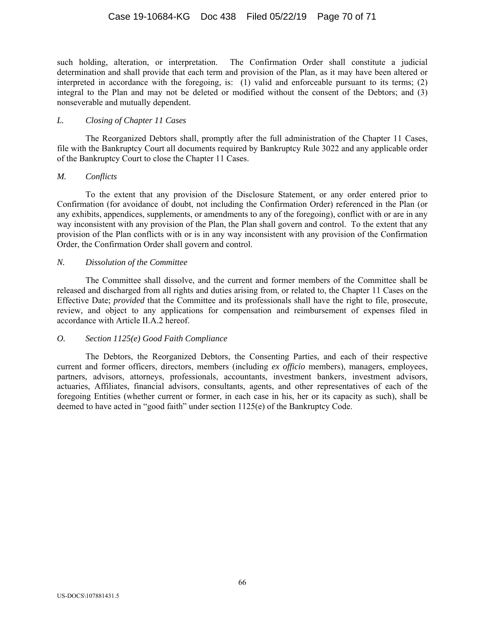such holding, alteration, or interpretation. The Confirmation Order shall constitute a judicial determination and shall provide that each term and provision of the Plan, as it may have been altered or interpreted in accordance with the foregoing, is: (1) valid and enforceable pursuant to its terms; (2) integral to the Plan and may not be deleted or modified without the consent of the Debtors; and (3) nonseverable and mutually dependent.

### *L. Closing of Chapter 11 Cases*

The Reorganized Debtors shall, promptly after the full administration of the Chapter 11 Cases, file with the Bankruptcy Court all documents required by Bankruptcy Rule 3022 and any applicable order of the Bankruptcy Court to close the Chapter 11 Cases.

### *M. Conflicts*

To the extent that any provision of the Disclosure Statement, or any order entered prior to Confirmation (for avoidance of doubt, not including the Confirmation Order) referenced in the Plan (or any exhibits, appendices, supplements, or amendments to any of the foregoing), conflict with or are in any way inconsistent with any provision of the Plan, the Plan shall govern and control. To the extent that any provision of the Plan conflicts with or is in any way inconsistent with any provision of the Confirmation Order, the Confirmation Order shall govern and control.

### *N. Dissolution of the Committee*

The Committee shall dissolve, and the current and former members of the Committee shall be released and discharged from all rights and duties arising from, or related to, the Chapter 11 Cases on the Effective Date; *provided* that the Committee and its professionals shall have the right to file, prosecute, review, and object to any applications for compensation and reimbursement of expenses filed in accordance with Article II.A.2 hereof.

# *O. Section 1125(e) Good Faith Compliance*

The Debtors, the Reorganized Debtors, the Consenting Parties, and each of their respective current and former officers, directors, members (including *ex officio* members), managers, employees, partners, advisors, attorneys, professionals, accountants, investment bankers, investment advisors, actuaries, Affiliates, financial advisors, consultants, agents, and other representatives of each of the foregoing Entities (whether current or former, in each case in his, her or its capacity as such), shall be deemed to have acted in "good faith" under section 1125(e) of the Bankruptcy Code.